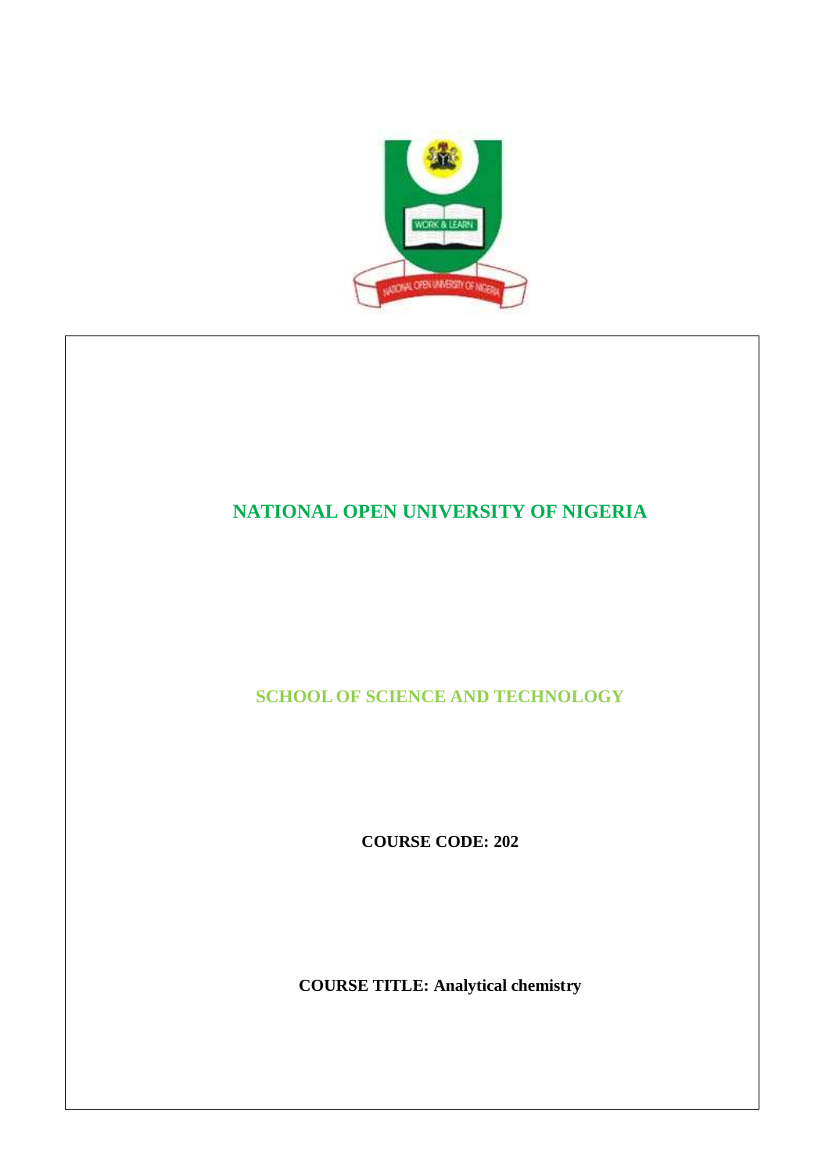

# **NATIONAL OPEN UNIVERSITY OF NIGERIA**

**SCHOOL OF SCIENCE AND TECHNOLOGY**

**COURSE CODE: 202**

**COURSE TITLE: Analytical chemistry**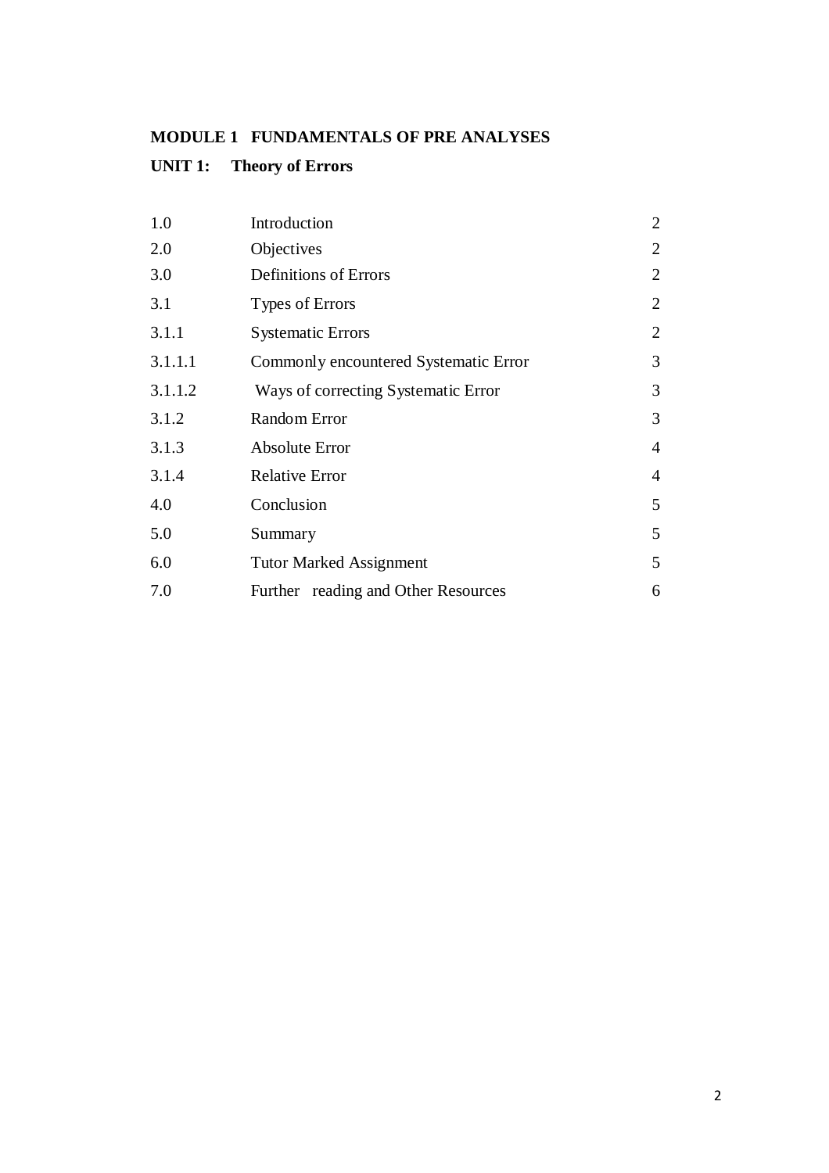# **MODULE 1 FUNDAMENTALS OF PRE ANALYSES**

# **UNIT 1: Theory of Errors**

| 1.0     | Introduction                          | $\overline{2}$ |
|---------|---------------------------------------|----------------|
| 2.0     | Objectives                            | $\overline{2}$ |
| 3.0     | Definitions of Errors                 | 2              |
| 3.1     | Types of Errors                       | $\overline{2}$ |
| 3.1.1   | <b>Systematic Errors</b>              | $\overline{2}$ |
| 3.1.1.1 | Commonly encountered Systematic Error | 3              |
| 3.1.1.2 | Ways of correcting Systematic Error   | 3              |
| 3.1.2   | <b>Random Error</b>                   | 3              |
| 3.1.3   | Absolute Error                        | $\overline{4}$ |
| 3.1.4   | <b>Relative Error</b>                 | $\overline{4}$ |
| 4.0     | Conclusion                            | 5              |
| 5.0     | Summary                               | 5              |
| 6.0     | <b>Tutor Marked Assignment</b>        | 5              |
| 7.0     | Further reading and Other Resources   | 6              |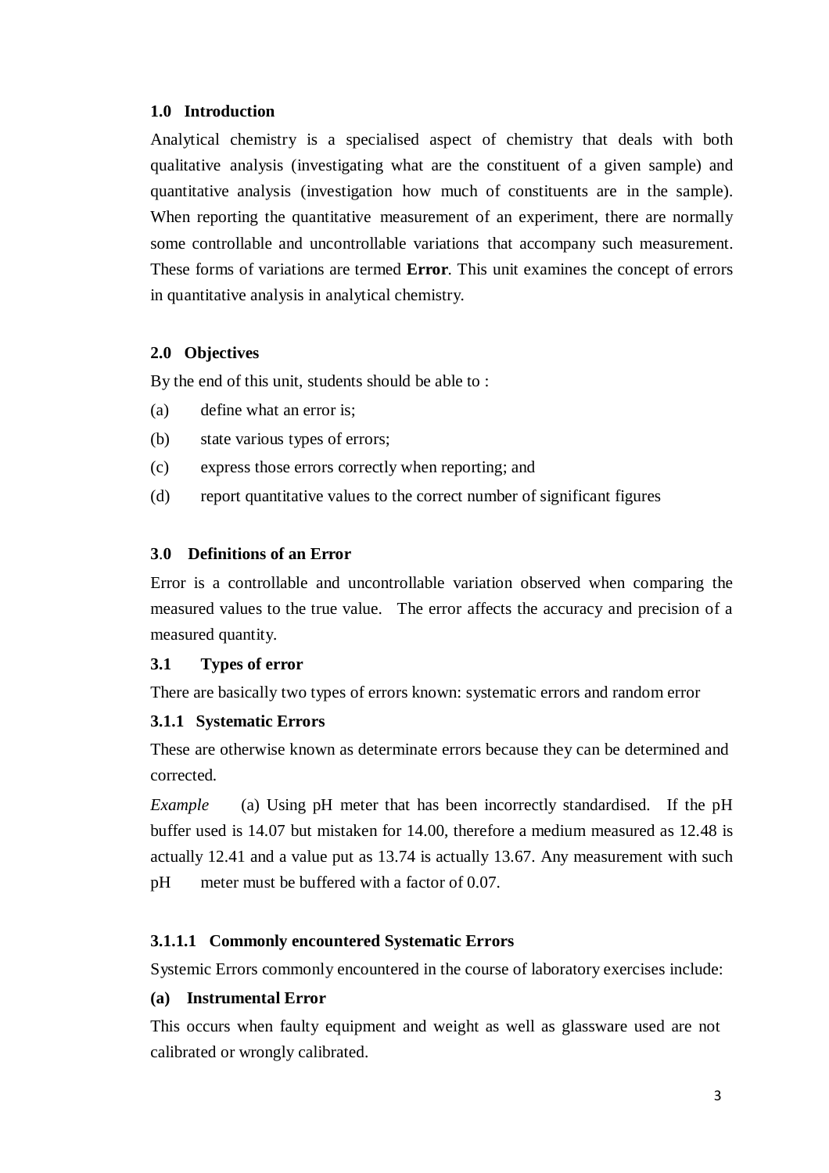#### **1.0 Introduction**

Analytical chemistry is a specialised aspect of chemistry that deals with both qualitative analysis (investigating what are the constituent of a given sample) and quantitative analysis (investigation how much of constituents are in the sample). When reporting the quantitative measurement of an experiment, there are normally some controllable and uncontrollable variations that accompany such measurement. These forms of variations are termed **Error**. This unit examines the concept of errors in quantitative analysis in analytical chemistry.

#### **2.0 Objectives**

By the end of this unit, students should be able to :

- (a) define what an error is;
- (b) state various types of errors;
- (c) express those errors correctly when reporting; and
- (d) report quantitative values to the correct number of significant figures

#### **3**.**0 Definitions of an Error**

Error is a controllable and uncontrollable variation observed when comparing the measured values to the true value. The error affects the accuracy and precision of a measured quantity.

#### **3.1 Types of error**

There are basically two types of errors known: systematic errors and random error

#### **3.1.1 Systematic Errors**

These are otherwise known as determinate errors because they can be determined and corrected.

*Example* (a) Using pH meter that has been incorrectly standardised. If the pH buffer used is 14.07 but mistaken for 14.00, therefore a medium measured as 12.48 is actually 12.41 and a value put as 13.74 is actually 13.67. Any measurement with such pH meter must be buffered with a factor of 0.07.

### **3.1.1.1 Commonly encountered Systematic Errors**

Systemic Errors commonly encountered in the course of laboratory exercises include:

#### **(a) Instrumental Error**

This occurs when faulty equipment and weight as well as glassware used are not calibrated or wrongly calibrated.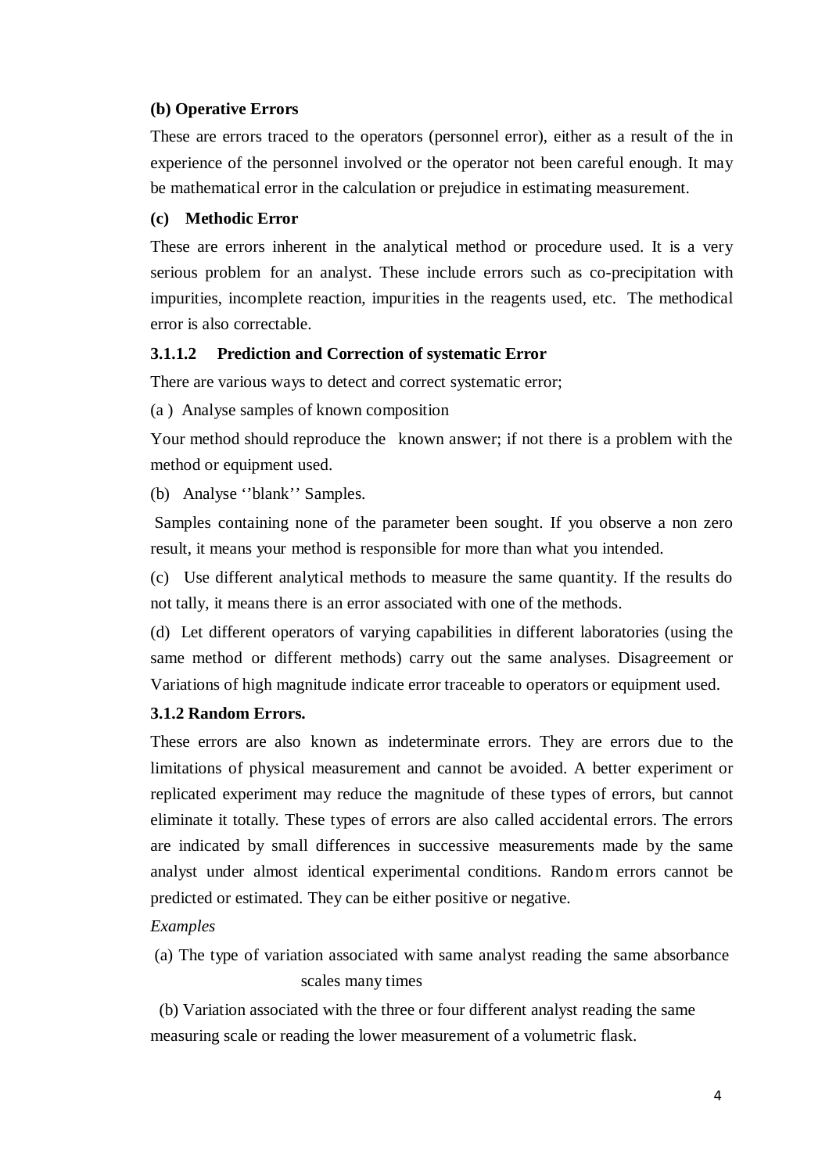#### **(b) Operative Errors**

These are errors traced to the operators (personnel error), either as a result of the in experience of the personnel involved or the operator not been careful enough. It may be mathematical error in the calculation or prejudice in estimating measurement.

#### **(c) Methodic Error**

These are errors inherent in the analytical method or procedure used. It is a very serious problem for an analyst. These include errors such as co-precipitation with impurities, incomplete reaction, impurities in the reagents used, etc. The methodical error is also correctable.

#### **3.1.1.2 Prediction and Correction of systematic Error**

There are various ways to detect and correct systematic error;

(a ) Analyse samples of known composition

Your method should reproduce the known answer; if not there is a problem with the method or equipment used.

(b) Analyse ''blank'' Samples.

Samples containing none of the parameter been sought. If you observe a non zero result, it means your method is responsible for more than what you intended.

(c) Use different analytical methods to measure the same quantity. If the results do not tally, it means there is an error associated with one of the methods.

(d) Let different operators of varying capabilities in different laboratories (using the same method or different methods) carry out the same analyses. Disagreement or Variations of high magnitude indicate error traceable to operators or equipment used.

#### **3.1.2 Random Errors.**

These errors are also known as indeterminate errors. They are errors due to the limitations of physical measurement and cannot be avoided. A better experiment or replicated experiment may reduce the magnitude of these types of errors, but cannot eliminate it totally. These types of errors are also called accidental errors. The errors are indicated by small differences in successive measurements made by the same analyst under almost identical experimental conditions. Rando m errors cannot be predicted or estimated. They can be either positive or negative.

#### *Examples*

(a) The type of variation associated with same analyst reading the same absorbance scales many times

(b) Variation associated with the three or four different analyst reading the same measuring scale or reading the lower measurement of a volumetric flask.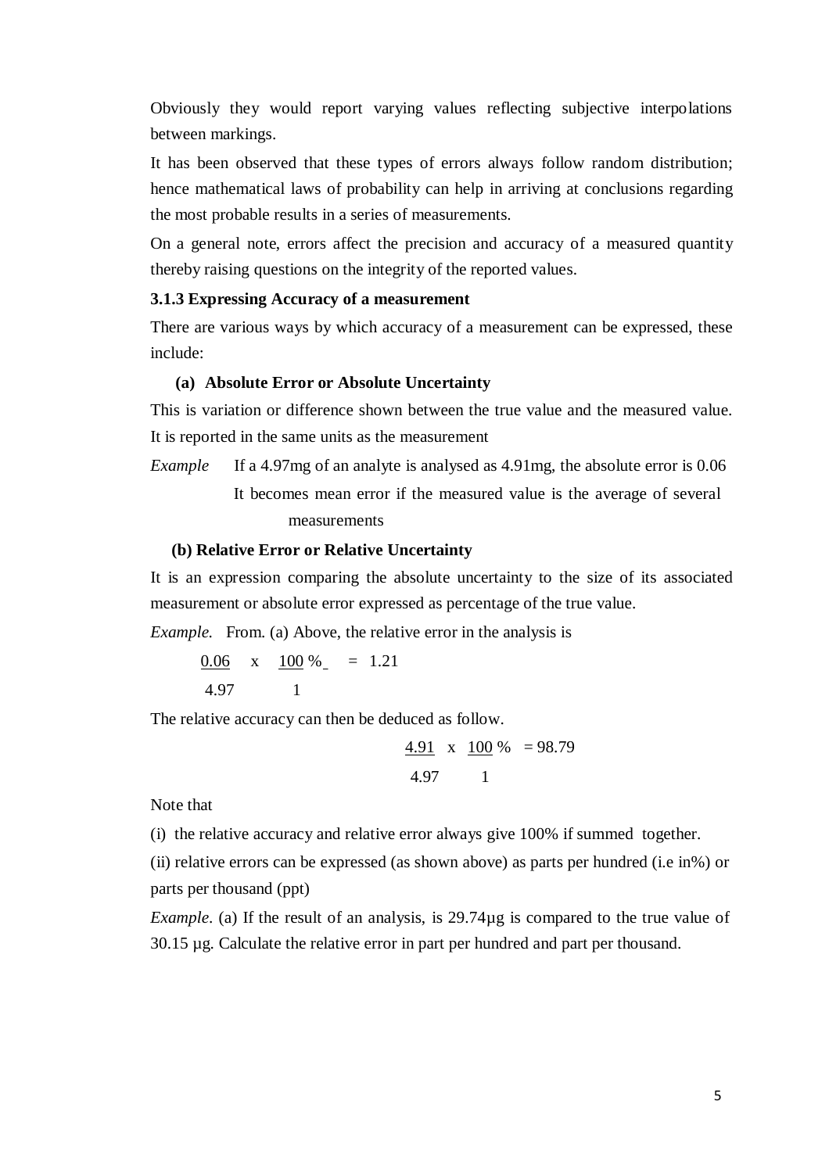Obviously they would report varying values reflecting subjective interpo lations between markings.

It has been observed that these types of errors always follow random distribution; hence mathematical laws of probability can help in arriving at conclusions regarding the most probable results in a series of measurements.

On a general note, errors affect the precision and accuracy of a measured quantity thereby raising questions on the integrity of the reported values.

# **3.1.3 Expressing Accuracy of a measurement**

There are various ways by which accuracy of a measurement can be expressed, these include:

### **(a) Absolute Error or Absolute Uncertainty**

This is variation or difference shown between the true value and the measured value. It is reported in the same units as the measurement

*Example* If a 4.97mg of an analyte is analysed as 4.91mg, the absolute error is 0.06 It becomes mean error if the measured value is the average of several measurements

#### **(b) Relative Error or Relative Uncertainty**

It is an expression comparing the absolute uncertainty to the size of its associated measurement or absolute error expressed as percentage of the true value.

*Example.* From. (a) Above, the relative error in the analysis is

0.06  $x$  100 % = 1.21 4.97 1

The relative accuracy can then be deduced as follow.

$$
\frac{4.91}{4.97} \times \frac{100}{1} = 98.79
$$

Note that

(i) the relative accuracy and relative error always give 100% if summed together.

(ii) relative errors can be expressed (as shown above) as parts per hundred (i.e in%) or parts per thousand (ppt)

*Example*. (a) If the result of an analysis, is 29.74 $\mu$ g is compared to the true value of 30.15 µg. Calculate the relative error in part per hundred and part per thousand.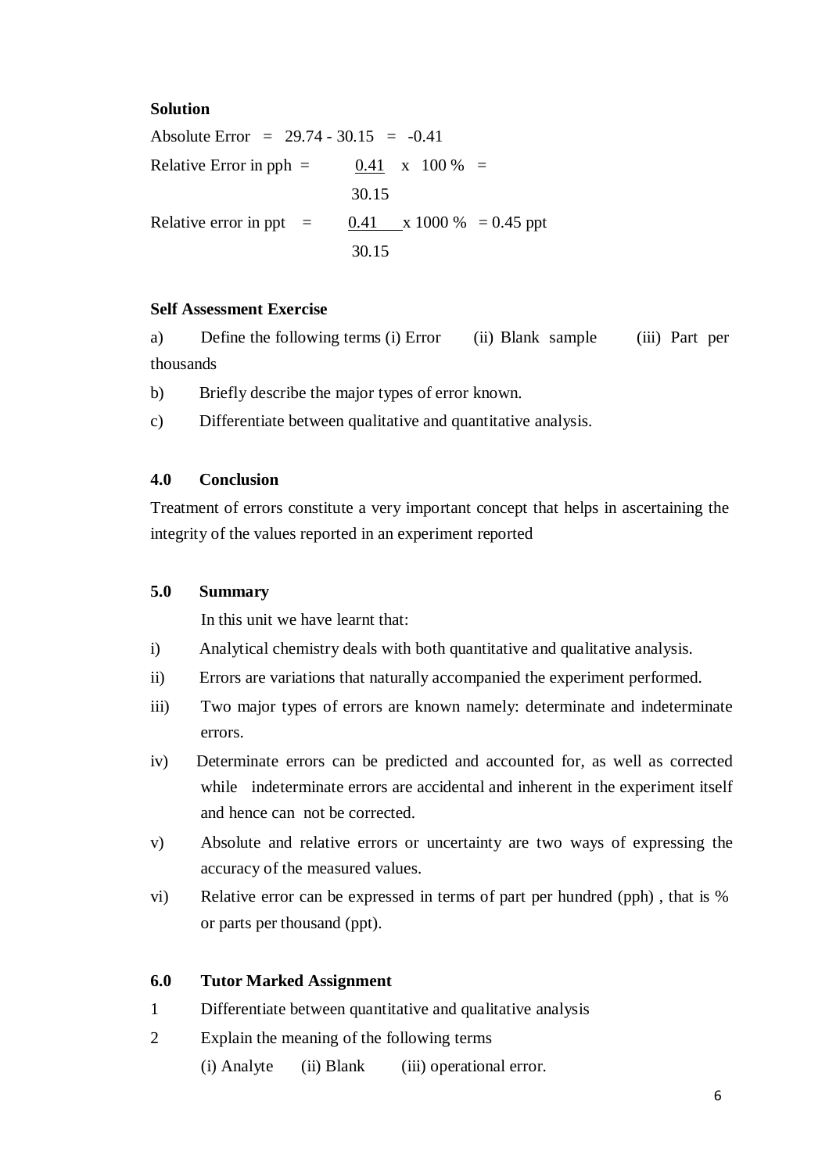### **Solution**

Absolute Error =  $29.74 - 30.15 = -0.41$ Relative Error in pph  $=$  0.41 x 100 %  $=$ 30.15 Relative error in ppt =  $0.41$  x 1000 % = 0.45 ppt 30.15

#### **Self Assessment Exercise**

a) Define the following terms (i) Error (ii) Blank sample (iii) Part per thousands

b) Briefly describe the major types of error known.

c) Differentiate between qualitative and quantitative analysis.

### **4.0 Conclusion**

Treatment of errors constitute a very important concept that helps in ascertaining the integrity of the values reported in an experiment reported

### **5.0 Summary**

In this unit we have learnt that:

- i) Analytical chemistry deals with both quantitative and qualitative analysis.
- ii) Errors are variations that naturally accompanied the experiment performed.
- iii) Two major types of errors are known namely: determinate and indeterminate errors.
- iv) Determinate errors can be predicted and accounted for, as well as corrected while indeterminate errors are accidental and inherent in the experiment itself and hence can not be corrected.
- v) Absolute and relative errors or uncertainty are two ways of expressing the accuracy of the measured values.
- vi) Relative error can be expressed in terms of part per hundred (pph) , that is % or parts per thousand (ppt).

#### **6.0 Tutor Marked Assignment**

- 1 Differentiate between quantitative and qualitative analysis
- 2 Explain the meaning of the following terms

(i) Analyte (ii) Blank (iii) operational error.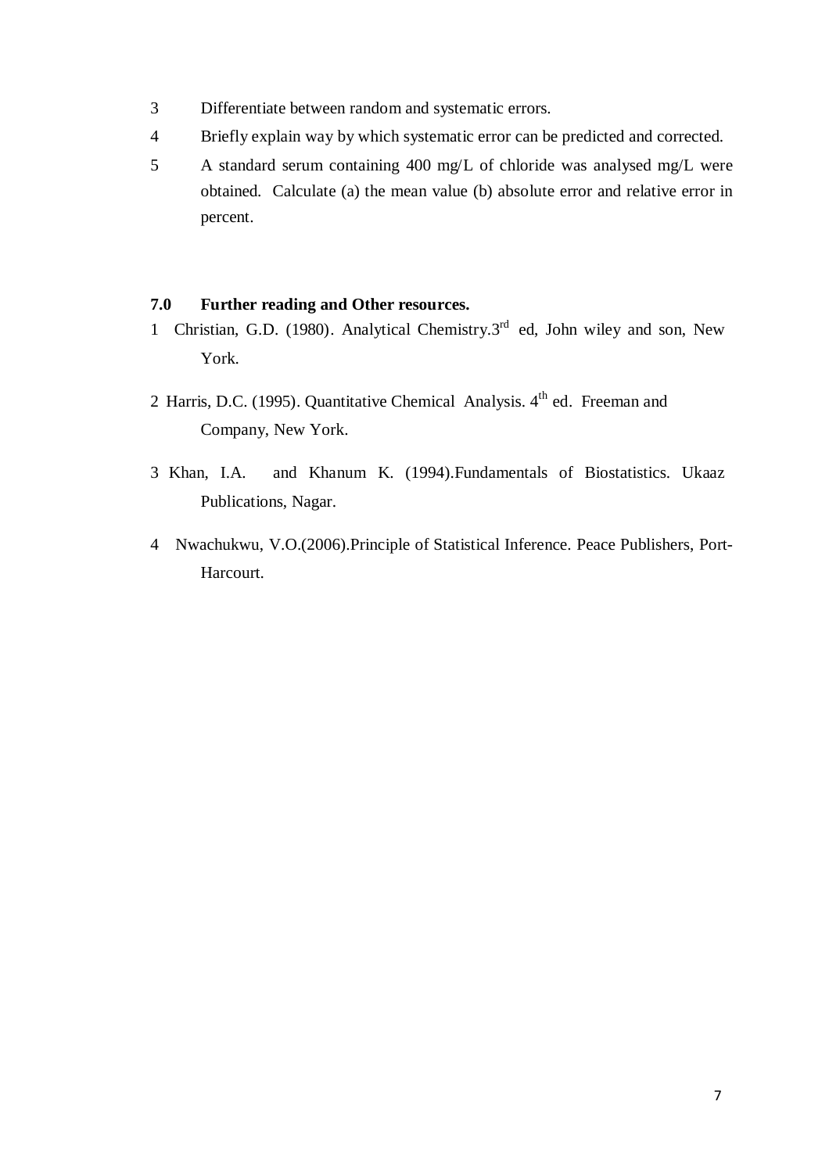- 3 Differentiate between random and systematic errors.
- 4 Briefly explain way by which systematic error can be predicted and corrected.
- 5 A standard serum containing 400 mg/L of chloride was analysed mg/L were obtained. Calculate (a) the mean value (b) absolute error and relative error in percent.

# **7.0 Further reading and Other resources.**

- 1 Christian, G.D. (1980). Analytical Chemistry.3<sup>rd</sup> ed, John wiley and son, New York.
- 2 Harris, D.C. (1995). Quantitative Chemical Analysis. 4<sup>th</sup> ed. Freeman and Company, New York.
- 3 Khan, I.A. and Khanum K. (1994).Fundamentals of Biostatistics. Ukaaz Publications, Nagar.
- 4 Nwachukwu, V.O.(2006).Principle of Statistical Inference. Peace Publishers, Port-Harcourt.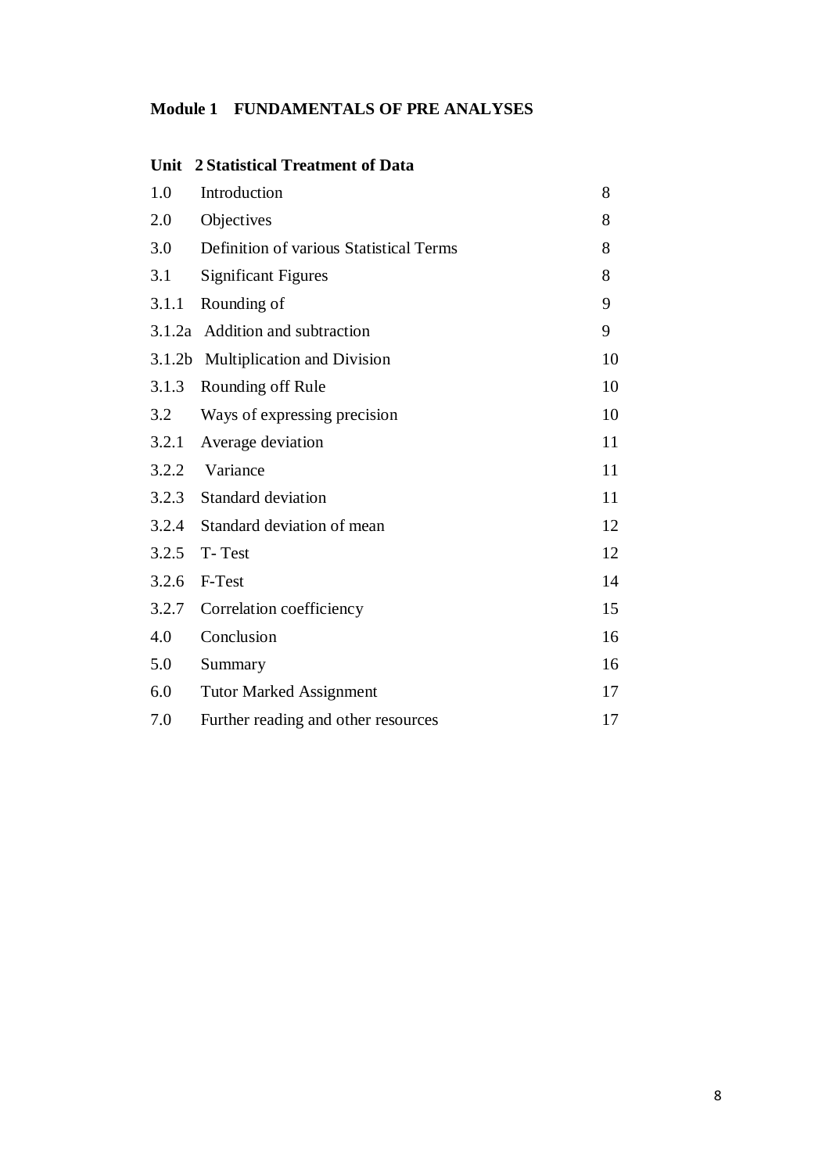# **Module 1 FUNDAMENTALS OF PRE ANALYSES**

| Unit               | 2 Statistical Treatment of Data         |    |
|--------------------|-----------------------------------------|----|
| 1.0                | Introduction                            | 8  |
| 2.0                | Objectives                              | 8  |
| 3.0                | Definition of various Statistical Terms | 8  |
| 3.1                | <b>Significant Figures</b>              | 8  |
| 3.1.1              | Rounding of                             | 9  |
|                    | 3.1.2a Addition and subtraction         | 9  |
| 3.1.2 <sub>b</sub> | Multiplication and Division             | 10 |
| 3.1.3              | Rounding off Rule                       | 10 |
| 3.2                | Ways of expressing precision            | 10 |
| 3.2.1              | Average deviation                       | 11 |
| 3.2.2              | Variance                                | 11 |
| 3.2.3              | <b>Standard deviation</b>               | 11 |
| 3.2.4              | Standard deviation of mean              | 12 |
| 3.2.5              | T-Test                                  | 12 |
| 3.2.6              | F-Test                                  | 14 |
| 3.2.7              | Correlation coefficiency                | 15 |
| 4.0                | Conclusion                              | 16 |
| 5.0                | Summary                                 | 16 |
| 6.0                | <b>Tutor Marked Assignment</b>          | 17 |
| 7.0                | Further reading and other resources     | 17 |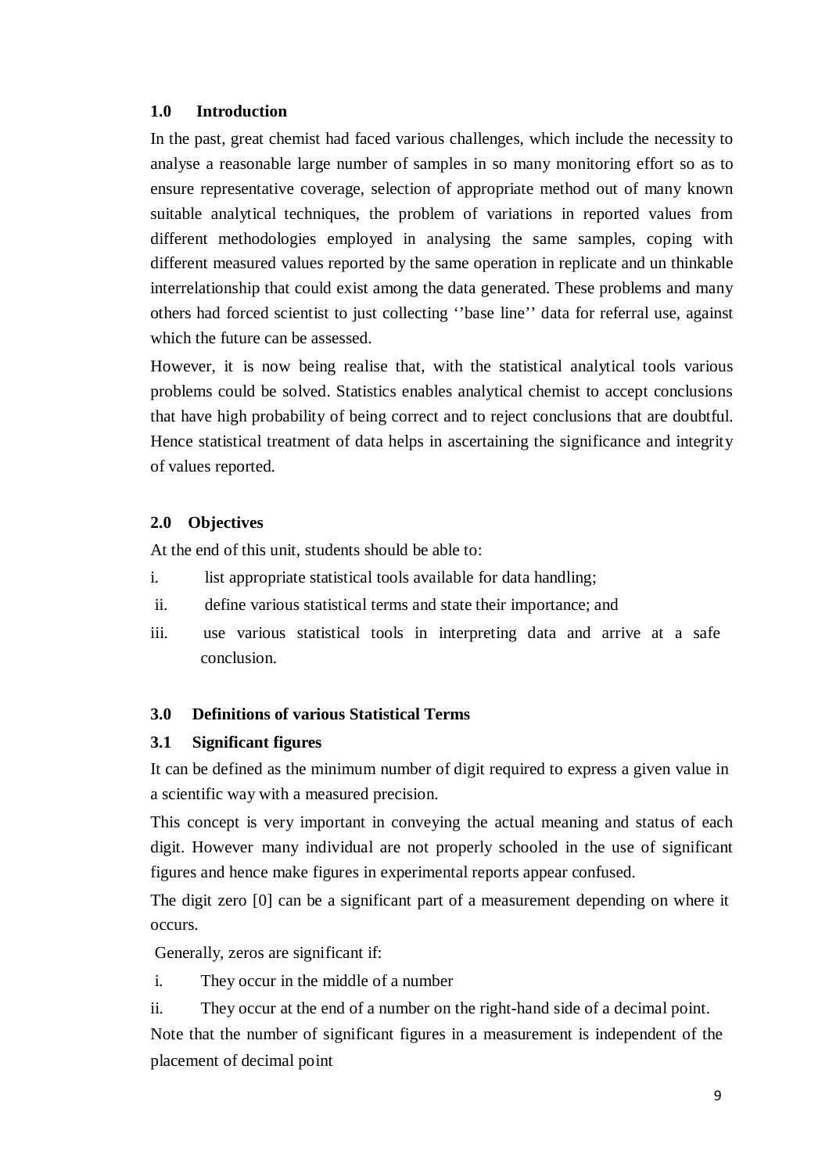# **1.0 Introduction**

In the past, great chemist had faced various challenges, which include the necessity to analyse a reasonable large number of samples in so many monitoring effort so as to ensure representative coverage, selection of appropriate method out of many known suitable analytical techniques, the problem of variations in reported values from different methodologies employed in analysing the same samples, coping with different measured values reported by the same operation in replicate and un thinkable interrelationship that could exist among the data generated. These problems and many others had forced scientist to just collecting ''base line'' data for referral use, against which the future can be assessed.

However, it is now being realise that, with the statistical analytical tools various problems could be solved. Statistics enables analytical chemist to accept conclusions that have high probability of being correct and to reject conclusions that are doubtful. Hence statistical treatment of data helps in ascertaining the significance and integrity of values reported.

# **2.0 Objectives**

At the end of this unit, students should be able to:

- i. list appropriate statistical tools available for data handling;
- ii. define various statistical terms and state their importance; and
- iii. use various statistical tools in interpreting data and arrive at a safe conclusion.

# **3.0 Definitions of various Statistical Terms**

# **3.1 Significant figures**

It can be defined as the minimum number of digit required to express a given value in a scientific way with a measured precision.

This concept is very important in conveying the actual meaning and status of each digit. However many individual are not properly schooled in the use of significant figures and hence make figures in experimental reports appear confused.

The digit zero [0] can be a significant part of a measurement depending on where it occurs.

Generally, zeros are significant if:

i. They occur in the middle of a number

ii. They occur at the end of a number on the right-hand side of a decimal point.

Note that the number of significant figures in a measurement is independent of the placement of decimal point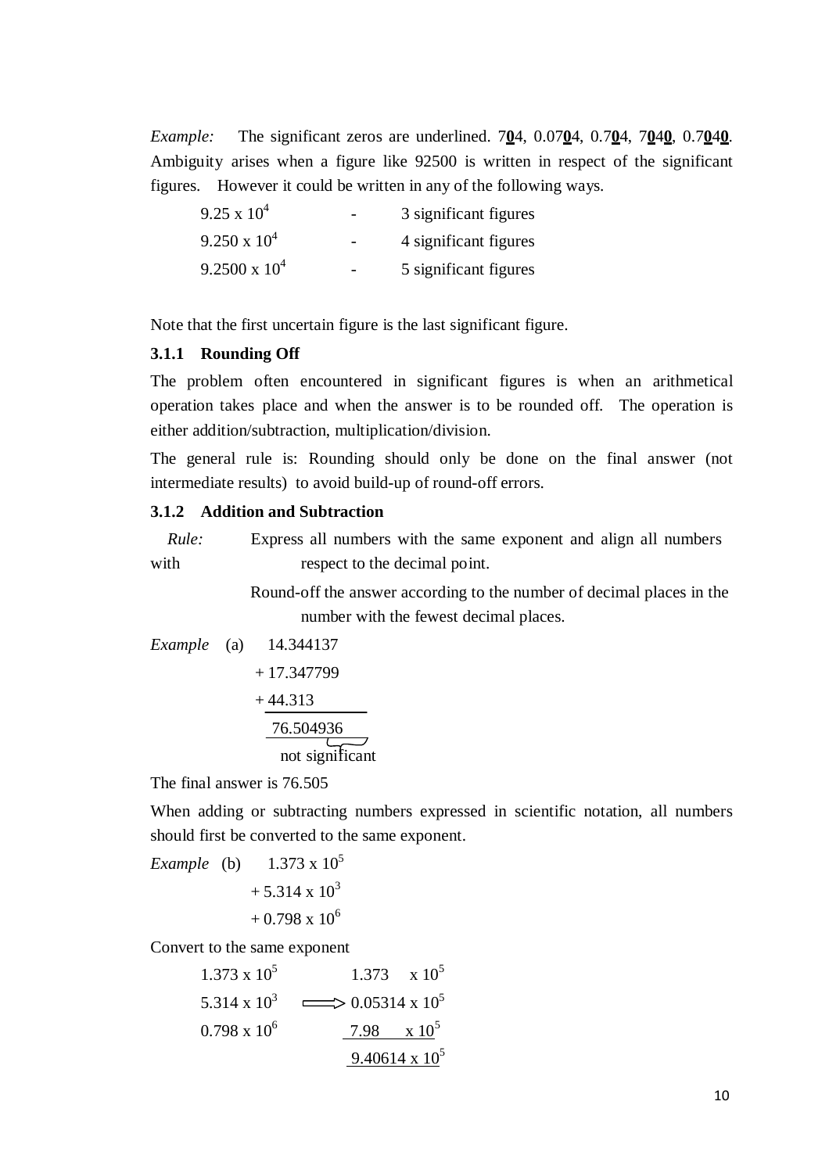*Example:* The significant zeros are underlined. 7**0**4, 0.07**0**4, 0.7**0**4, 7**0**4**0**, 0.7**0**4**0**. Ambiguity arises when a figure like 92500 is written in respect of the significant figures. However it could be written in any of the following ways.

| $9.25 \times 10^4$     | 3 significant figures |
|------------------------|-----------------------|
| $9.250 \times 10^{4}$  | 4 significant figures |
| $9.2500 \times 10^{4}$ | 5 significant figures |

Note that the first uncertain figure is the last significant figure.

#### **3.1.1 Rounding Off**

The problem often encountered in significant figures is when an arithmetical operation takes place and when the answer is to be rounded off. The operation is either addition/subtraction, multiplication/division.

The general rule is: Rounding should only be done on the final answer (not intermediate results) to avoid build-up of round-off errors.

# **3.1.2 Addition and Subtraction**

*Rule:* Express all numbers with the same exponent and align all numbers with respect to the decimal point.

> Round-off the answer according to the number of decimal places in the number with the fewest decimal places.

*Example* (a) 14.344137 + 17.347799

$$
\frac{+44.313}{\underline{76.504936}}
$$
\n
$$
\underbrace{76.504936}_{\text{not significant}}
$$

The final answer is 76.505

When adding or subtracting numbers expressed in scientific notation, all numbers should first be converted to the same exponent.

*Example* (b)  $1.373 \times 10^5$  $+ 5.314 \times 10^3$  $+ 0.798 \times 10^6$ Convert to the same exponent

1.373 x 10<sup>5</sup>  
\n5.314 x 10<sup>3</sup> 
$$
\longrightarrow
$$
 0.05314 x 10<sup>5</sup>  
\n0.798 x 10<sup>6</sup>  
\n $\longrightarrow$  7.98 x 10<sup>5</sup>  
\n9.40614 x 10<sup>5</sup>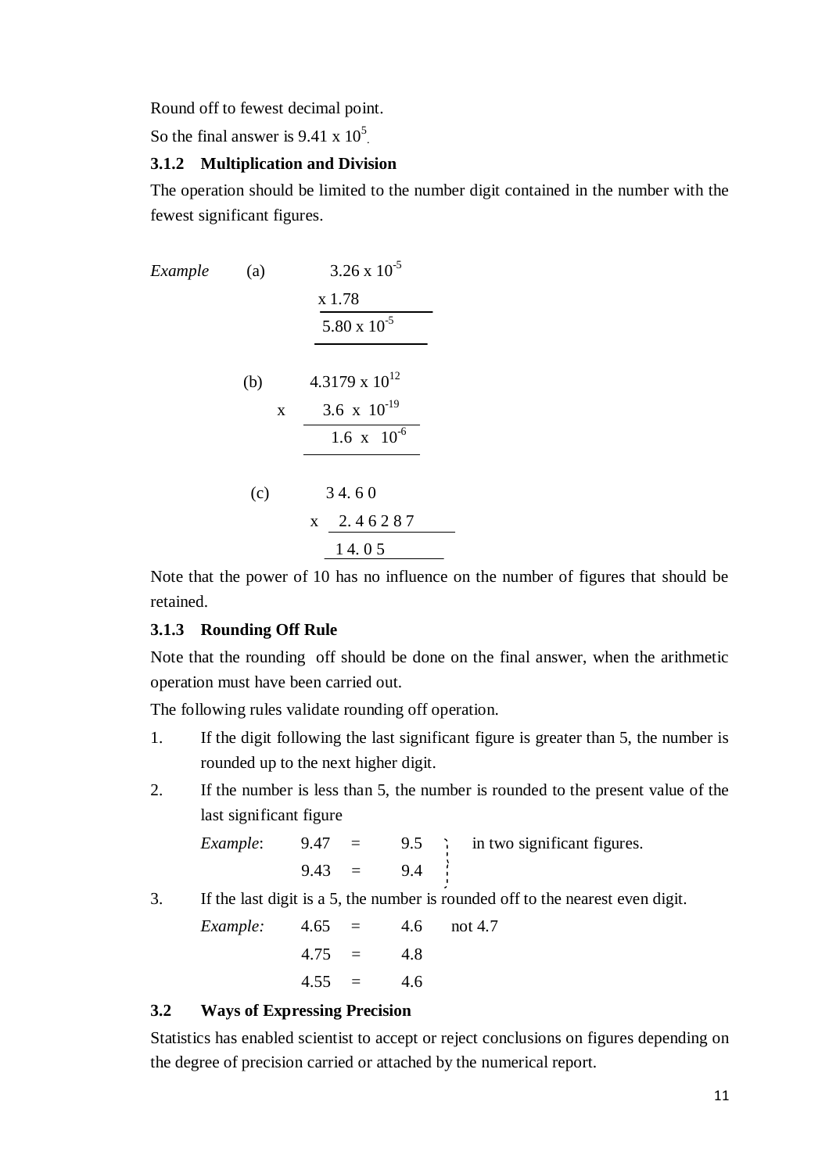Round off to fewest decimal point.

So the final answer is  $9.41 \times 10^5$ .

# **3.1.2 Multiplication and Division**

The operation should be limited to the number digit contained in the number with the fewest significant figures.

*Example* (a)  $3.26 \times 10^{-5}$ x 1.78 5.80 x  $10^{-5}$ (b)  $4.3179 \times 10^{12}$  $x = 3.6 \times 10^{-19}$  $1.6 \times 10^{-6}$  $(c)$  3 4.60 x 2. 4 6 2 8 7 1 4. 0 5

Note that the power of 10 has no influence on the number of figures that should be retained.

### **3.1.3 Rounding Off Rule**

Note that the rounding off should be done on the final answer, when the arithmetic operation must have been carried out.

The following rules validate rounding off operation.

- 1. If the digit following the last significant figure is greater than 5, the number is rounded up to the next higher digit.
- 2. If the number is less than 5, the number is rounded to the present value of the last significant figure

*Example*:  $9.47 = 9.5$  *in two significant figures.*  $9.43 = 9.4$ 

3. If the last digit is a 5, the number is rounded off to the nearest even digit.

*Example:* 4.65 = 4.6 not 4.7  $4.75 = 4.8$  $4.55 = 4.6$ 

#### **3.2 Ways of Expressing Precision**

Statistics has enabled scientist to accept or reject conclusions on figures depending on the degree of precision carried or attached by the numerical report.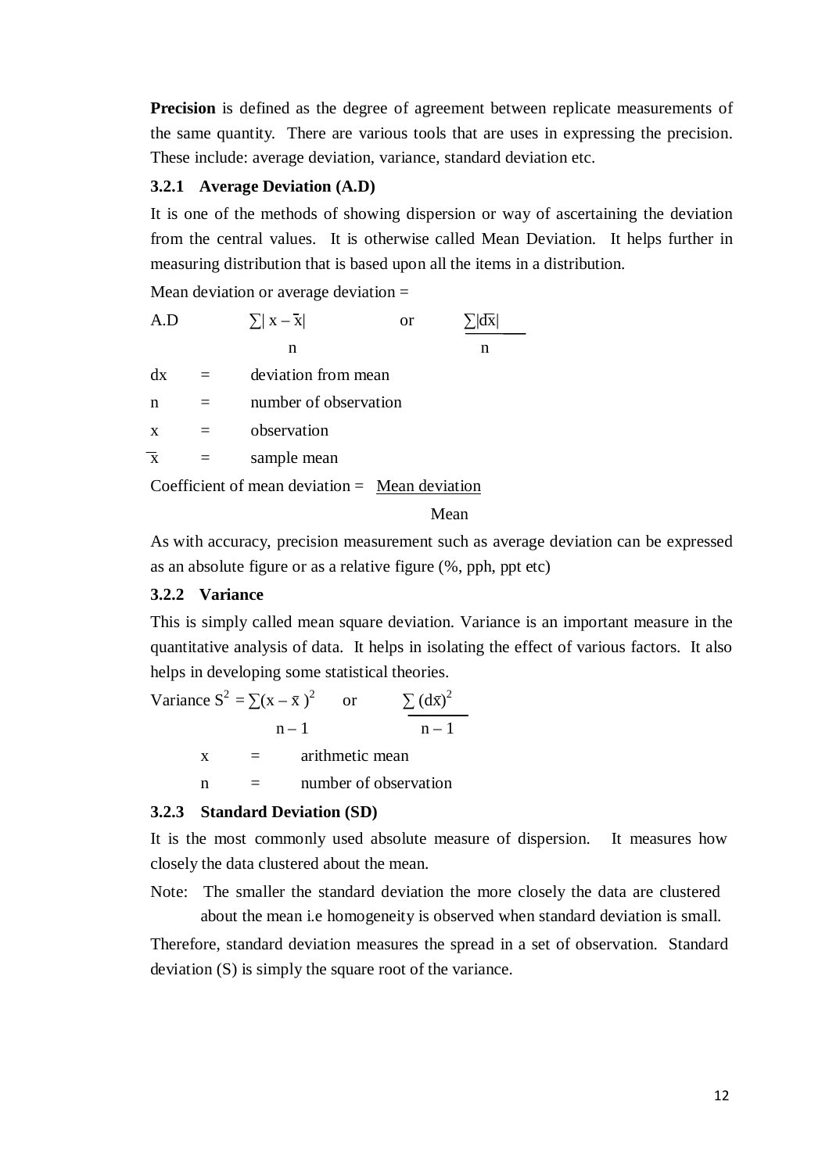**Precision** is defined as the degree of agreement between replicate measurements of the same quantity. There are various tools that are uses in expressing the precision. These include: average deviation, variance, standard deviation etc.

### **3.2.1 Average Deviation (A.D)**

It is one of the methods of showing dispersion or way of ascertaining the deviation from the central values. It is otherwise called Mean Deviation. It helps further in measuring distribution that is based upon all the items in a distribution.

Mean deviation or average deviation =

| A.D                     | $\sum  X - \overline{X} $ | <b>or</b> |   |
|-------------------------|---------------------------|-----------|---|
|                         | n                         |           | n |
| dx                      | deviation from mean       |           |   |
| n                       | number of observation     |           |   |
| $\mathbf{x}$            | observation               |           |   |
| $\overline{\mathbf{x}}$ | sample mean               |           |   |
|                         |                           |           |   |

Coefficient of mean deviation = Mean deviation

# Mean

As with accuracy, precision measurement such as average deviation can be expressed as an absolute figure or as a relative figure (%, pph, ppt etc)

#### **3.2.2 Variance**

This is simply called mean square deviation. Variance is an important measure in the quantitative analysis of data. It helps in isolating the effect of various factors. It also helps in developing some statistical theories.

Variance 
$$
S^2 = \sum (x - \bar{x})^2
$$
 or  $\sum (d\bar{x})^2$   
\n $n - 1$   
\n $x =$  arithmetic mean

 $n =$  number of observation

### **3.2.3 Standard Deviation (SD)**

It is the most commonly used absolute measure of dispersion. It measures how closely the data clustered about the mean.

Note: The smaller the standard deviation the more closely the data are clustered about the mean i.e homogeneity is observed when standard deviation is small.

Therefore, standard deviation measures the spread in a set of observation. Standard deviation (S) is simply the square root of the variance.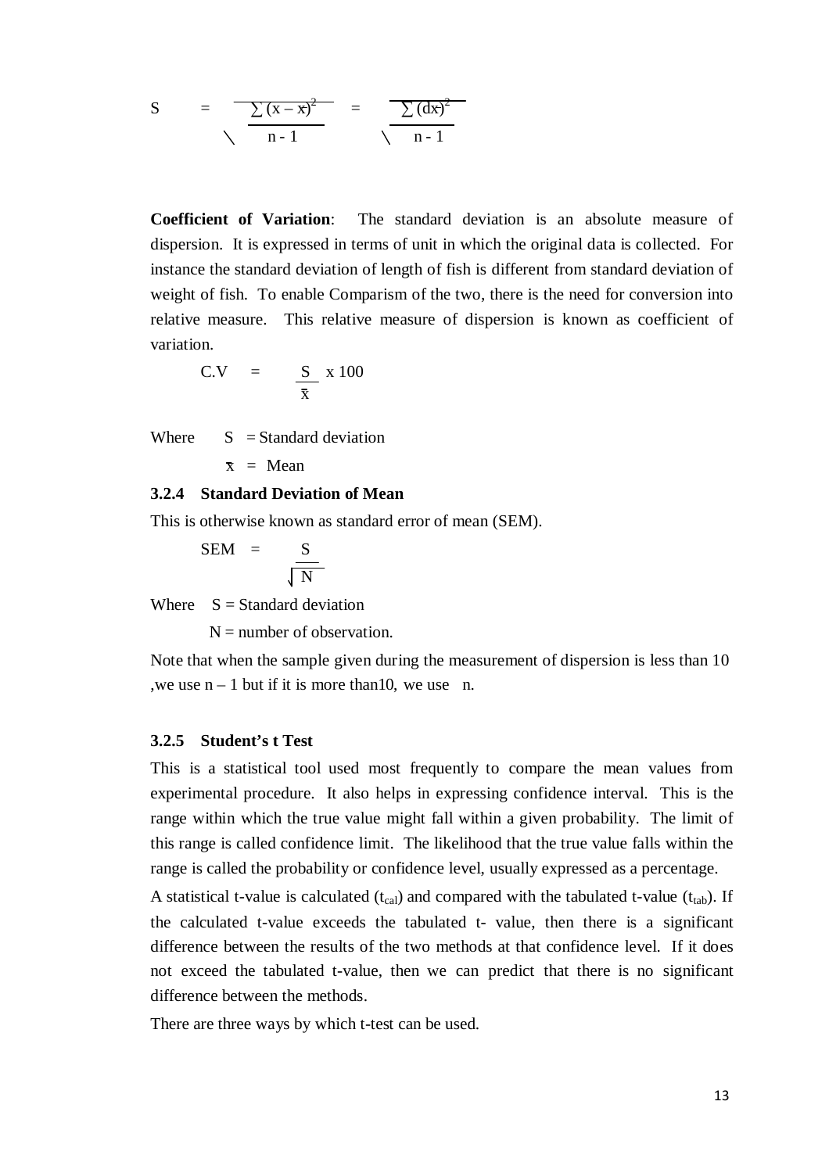S = 
$$
\frac{\sum (x - x)^2}{n - 1}
$$
 =  $\frac{\sum (dx)^2}{n - 1}$ 

**Coefficient of Variation**: The standard deviation is an absolute measure of dispersion. It is expressed in terms of unit in which the original data is collected. For instance the standard deviation of length of fish is different from standard deviation of weight of fish. To enable Comparism of the two, there is the need for conversion into relative measure. This relative measure of dispersion is known as coefficient of variation.

$$
C.V = \frac{S}{\bar{x}} \times 100
$$

Where  $S =$ Standard deviation

$$
x = Mean
$$

#### **3.2.4 Standard Deviation of Mean**

This is otherwise known as standard error of mean (SEM).

$$
SEM = \frac{S}{\sqrt{N}}
$$

Where  $S = Standard deviation$ 

 $N =$  number of observation.

Note that when the sample given during the measurement of dispersion is less than 10 , we use  $n - 1$  but if it is more than 10, we use n.

#### **3.2.5 Student's t Test**

This is a statistical tool used most frequently to compare the mean values from experimental procedure. It also helps in expressing confidence interval. This is the range within which the true value might fall within a given probability. The limit of this range is called confidence limit. The likelihood that the true value falls within the range is called the probability or confidence level, usually expressed as a percentage.

A statistical t-value is calculated  $(t_{cal})$  and compared with the tabulated t-value  $(t_{tab})$ . If the calculated t-value exceeds the tabulated t- value, then there is a significant difference between the results of the two methods at that confidence level. If it does not exceed the tabulated t-value, then we can predict that there is no significant difference between the methods.

There are three ways by which t-test can be used.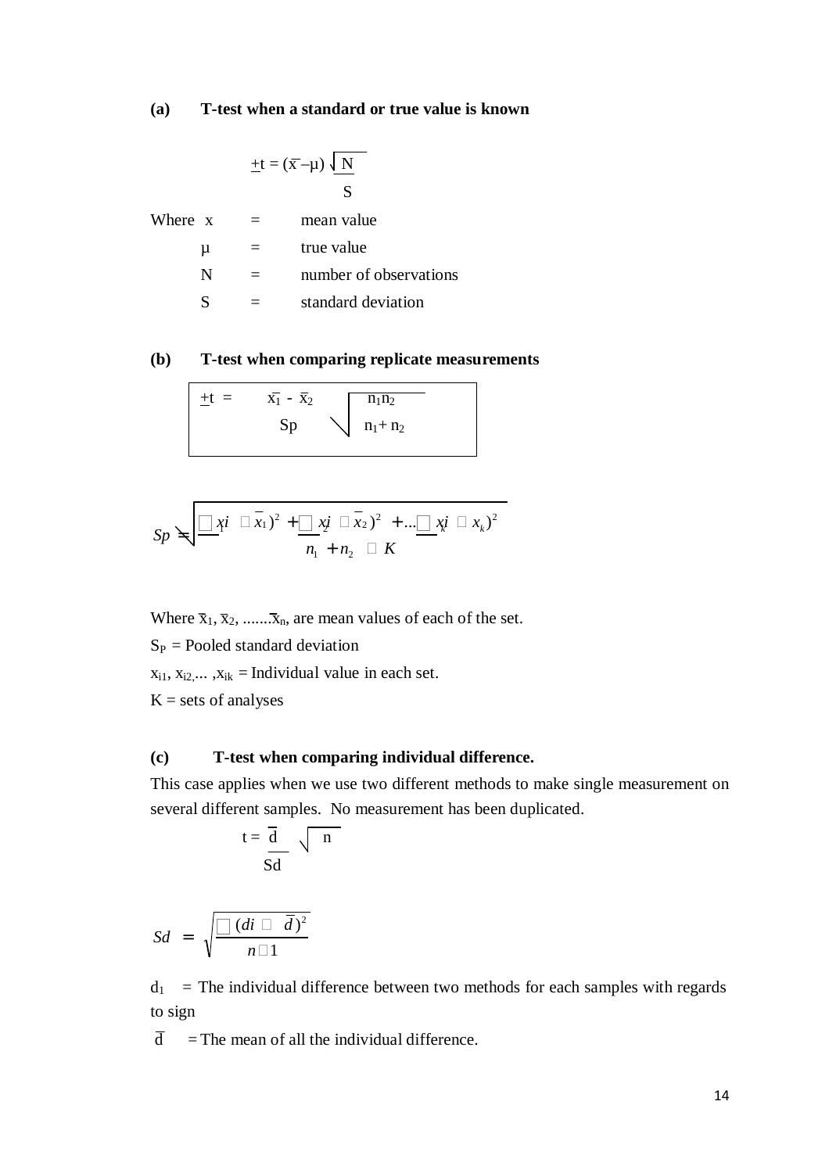#### **(a) T-test when a standard or true value is known**

$$
\pm t = (\overline{x} - \mu) \sqrt{\frac{N}{S}}
$$

| Where x | mean value             |
|---------|------------------------|
| u       | true value             |
| N       | number of observations |
|         | standard deviation     |

# **(b) T-test when comparing replicate measurements**

| $\pm t =$ | $\overline{x_1}$ - $\overline{x_2}$ | $n_1n_2$              |  |
|-----------|-------------------------------------|-----------------------|--|
|           | Sp                                  | $\bigvee$ $n_1 + n_2$ |  |

$$
Sp \leq \frac{1}{\sqrt{2\pi i}} \sqrt{2\pi i} + \frac{1}{n_1 + n_2} \sqrt{2\pi i} + ... \sqrt{2\pi i} \sqrt{2\pi i} = x_k^2
$$

Where  $\bar{x}_1, \bar{x}_2, \dots, \bar{x}_n$ , are mean values of each of the set.

 $S_P$  = Pooled standard deviation

 $x_{i1}$ ,  $x_{i2}$ ,...,  $x_{ik}$  = Individual value in each set.

 $K = sets of analyses$ 

### **(c) T-test when comparing individual difference.**

This case applies when we use two different methods to make single measurement on several different samples. No measurement has been duplicated.

$$
t = \frac{\overline{d}}{\underline{S}d} \sqrt{n}
$$

$$
Sd = \sqrt{\frac{\Box (di \Box \overline{d})^2}{n \Box 1}}
$$

 $d_1$  = The individual difference between two methods for each samples with regards to sign

 $\overline{d}$  = The mean of all the individual difference.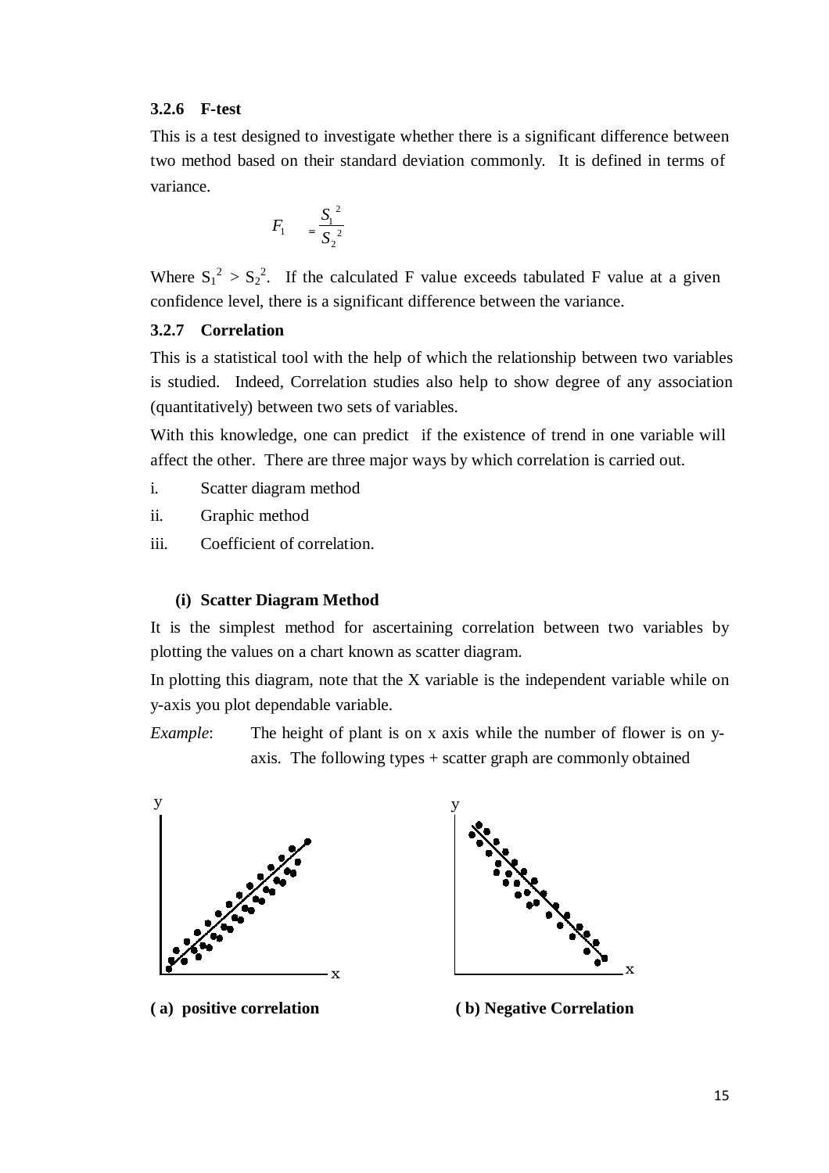#### **3.2.6 F-test**

This is a test designed to investigate whether there is a significant difference between two method based on their standard deviation commonly. It is defined in terms of variance.

$$
F_1 = \frac{S_1^2}{S_2^2}
$$

Where  $S_1^2 > S_2^2$ . If the calculated F value exceeds tabulated F value at a given confidence level, there is a significant difference between the variance.

### **3.2.7 Correlation**

This is a statistical tool with the help of which the relationship between two variables is studied. Indeed, Correlation studies also help to show degree of any association (quantitatively) between two sets of variables.

With this knowledge, one can predict if the existence of trend in one variable will affect the other. There are three major ways by which correlation is carried out.

- i. Scatter diagram method
- ii. Graphic method
- iii. Coefficient of correlation.

#### **(i) Scatter Diagram Method**

It is the simplest method for ascertaining correlation between two variables by plotting the values on a chart known as scatter diagram.

In plotting this diagram, note that the X variable is the independent variable while on y-axis you plot dependable variable.

*Example*: The height of plant is on x axis while the number of flower is on yaxis. The following types + scatter graph are commonly obtained





**( a) positive correlation ( b) Negative Correlation**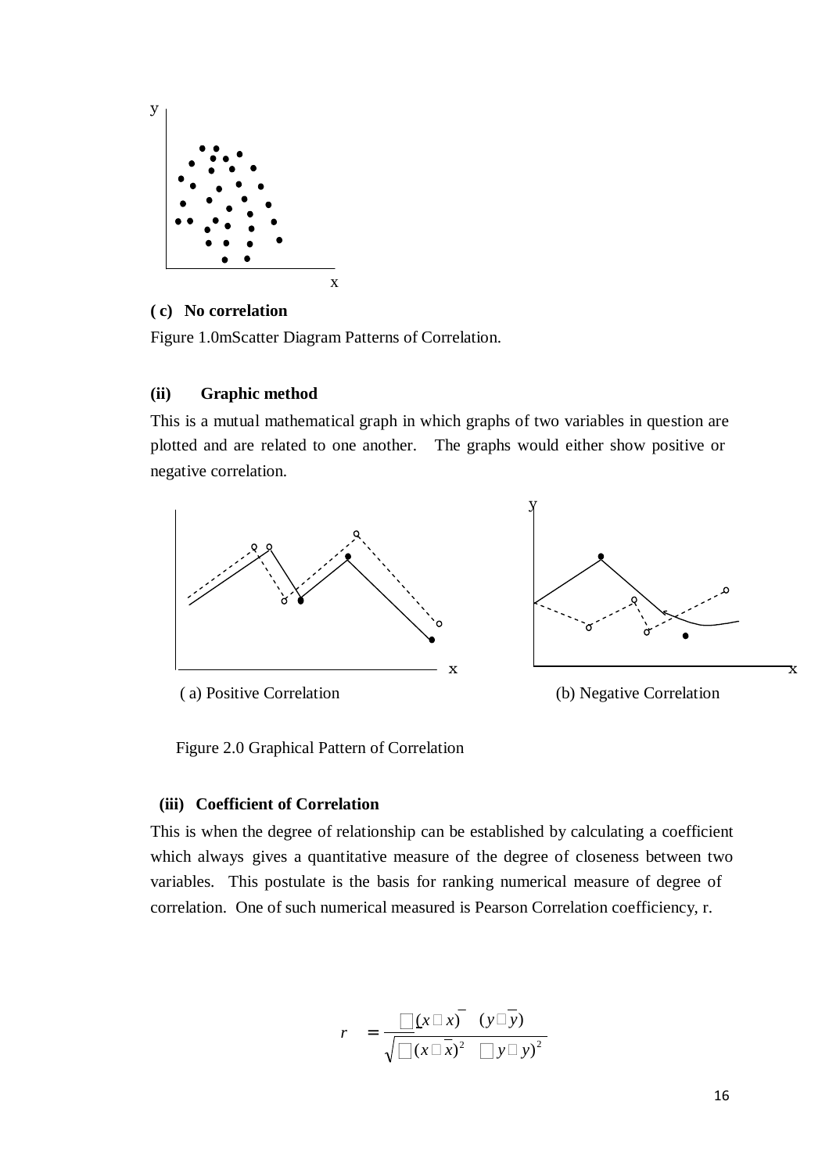

### **( c) No correlation**

Figure 1.0mScatter Diagram Patterns of Correlation.

### **(ii) Graphic method**

This is a mutual mathematical graph in which graphs of two variables in question are plotted and are related to one another. The graphs would either show positive or negative correlation.



Figure 2.0 Graphical Pattern of Correlation

### **(iii) Coefficient of Correlation**

This is when the degree of relationship can be established by calculating a coefficient which always gives a quantitative measure of the degree of closeness between two variables. This postulate is the basis for ranking numerical measure of degree of correlation. One of such numerical measured is Pearson Correlation coefficiency, r.

$$
r = \frac{[x \Box x] (y \Box \overline{y})}{\sqrt{[x \Box x)^2} [y \Box y)^2}
$$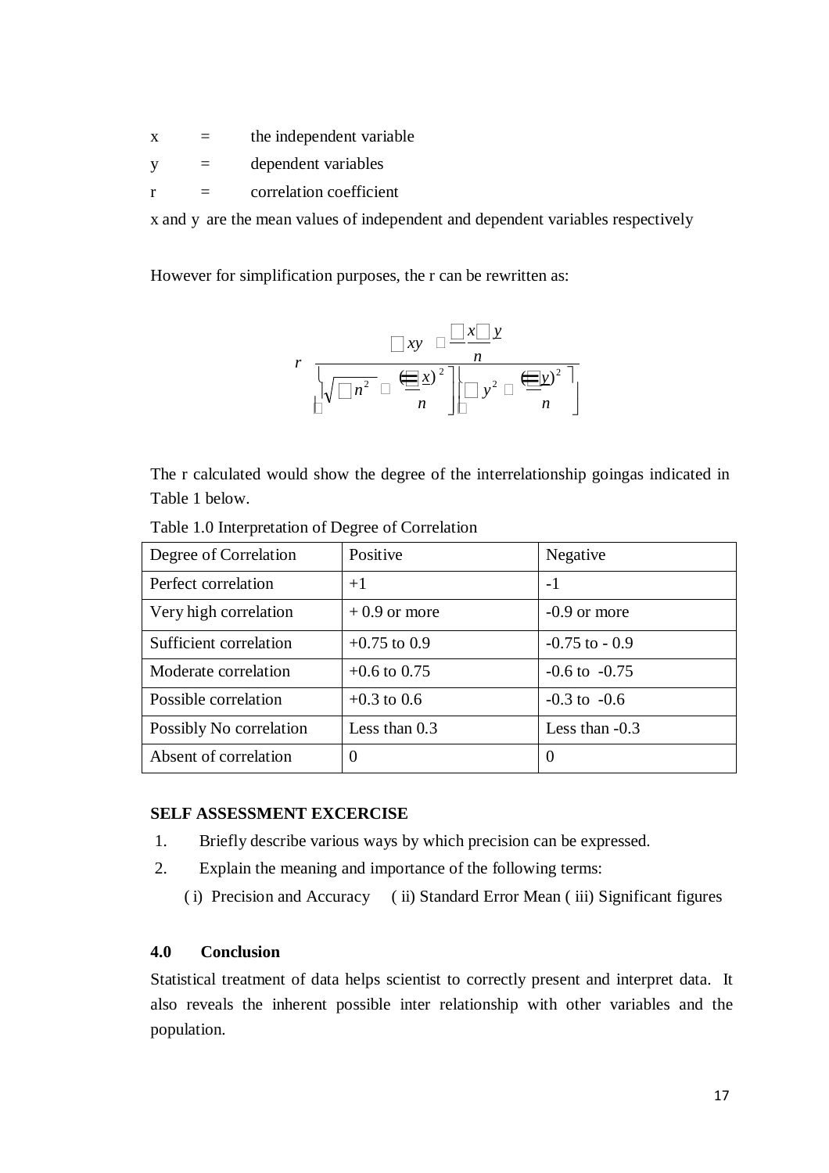- $x =$  the independent variable
- y = dependent variables
- $r =$  correlation coefficient

x and y are the mean values of independent and dependent variables respectively

However for simplification purposes, the r can be rewritten as:

$$
r \frac{\Box xy \Box \frac{\Box x \Box y}{n}}{\sqrt{\Box n^2} \Box \frac{\Box x}{n} \Box y^2 \Box \frac{\Box y}{n}}
$$

The r calculated would show the degree of the interrelationship goingas indicated in Table 1 below.

| Degree of Correlation   | Positive        | Negative          |
|-------------------------|-----------------|-------------------|
| Perfect correlation     | $+1$            | $-1$              |
| Very high correlation   | $+0.9$ or more  | $-0.9$ or more    |
| Sufficient correlation  | $+0.75$ to 0.9  | $-0.75$ to $-0.9$ |
| Moderate correlation    | $+0.6$ to 0.75  | $-0.6$ to $-0.75$ |
| Possible correlation    | $+0.3$ to 0.6   | $-0.3$ to $-0.6$  |
| Possibly No correlation | Less than $0.3$ | Less than -0.3    |
| Absent of correlation   | $\theta$        | $\theta$          |

Table 1.0 Interpretation of Degree of Correlation

#### **SELF ASSESSMENT EXCERCISE**

- 1. Briefly describe various ways by which precision can be expressed.
- 2. Explain the meaning and importance of the following terms:
	- ( i) Precision and Accuracy ( ii) Standard Error Mean ( iii) Significant figures

### **4.0 Conclusion**

Statistical treatment of data helps scientist to correctly present and interpret data. It also reveals the inherent possible inter relationship with other variables and the population.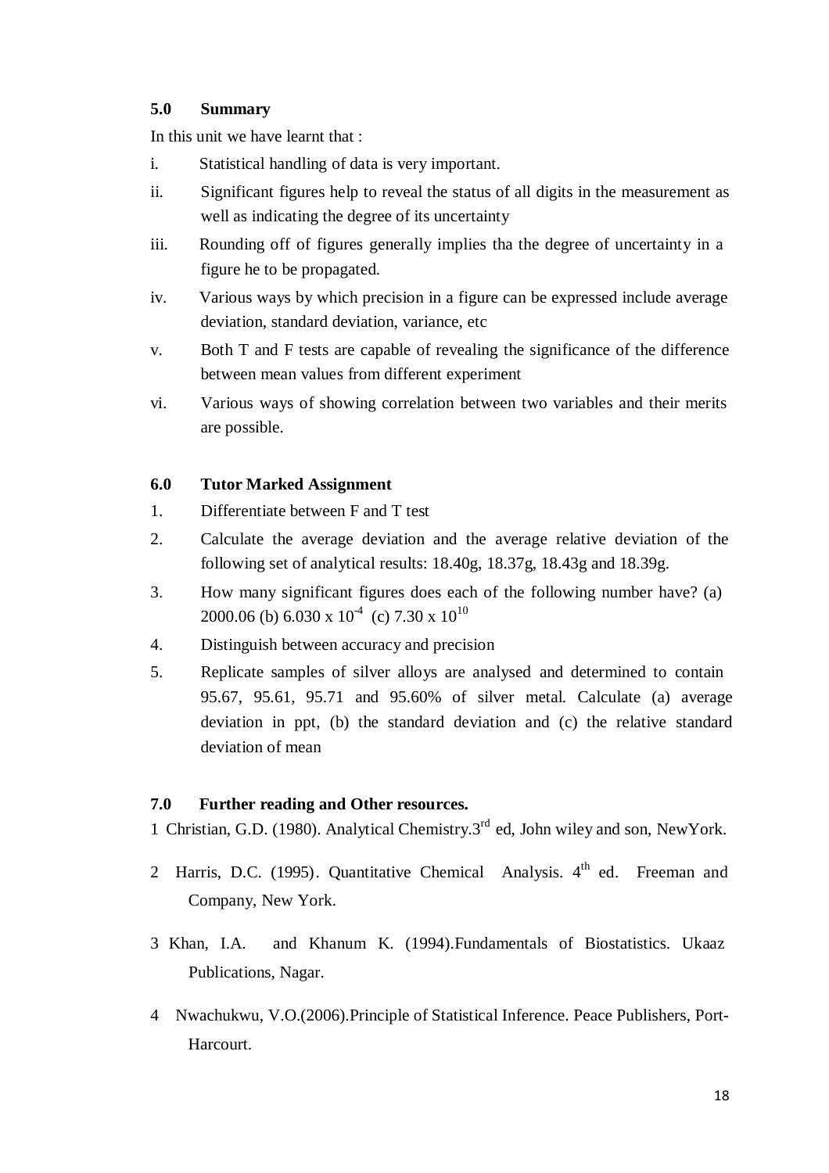# **5.0 Summary**

In this unit we have learnt that :

- i. Statistical handling of data is very important.
- ii. Significant figures help to reveal the status of all digits in the measurement as well as indicating the degree of its uncertainty
- iii. Rounding off of figures generally implies tha the degree of uncertainty in a figure he to be propagated.
- iv. Various ways by which precision in a figure can be expressed include average deviation, standard deviation, variance, etc
- v. Both T and F tests are capable of revealing the significance of the difference between mean values from different experiment
- vi. Various ways of showing correlation between two variables and their merits are possible.

# **6.0 Tutor Marked Assignment**

- 1. Differentiate between F and T test
- 2. Calculate the average deviation and the average relative deviation of the following set of analytical results: 18.40g, 18.37g, 18.43g and 18.39g.
- 3. How many significant figures does each of the following number have? (a) 2000.06 (b) 6.030 x  $10^{4}$  (c) 7.30 x  $10^{10}$
- 4. Distinguish between accuracy and precision
- 5. Replicate samples of silver alloys are analysed and determined to contain 95.67, 95.61, 95.71 and 95.60% of silver metal. Calculate (a) average deviation in ppt, (b) the standard deviation and (c) the relative standard deviation of mean

# **7.0 Further reading and Other resources.**

1 Christian, G.D. (1980). Analytical Chemistry.3rd ed, John wiley and son, NewYork.

- 2 Harris, D.C. (1995). Quantitative Chemical Analysis.  $4<sup>th</sup>$  ed. Freeman and Company, New York.
- 3 Khan, I.A. and Khanum K. (1994).Fundamentals of Biostatistics. Ukaaz Publications, Nagar.
- 4 Nwachukwu, V.O.(2006).Principle of Statistical Inference. Peace Publishers, Port-Harcourt.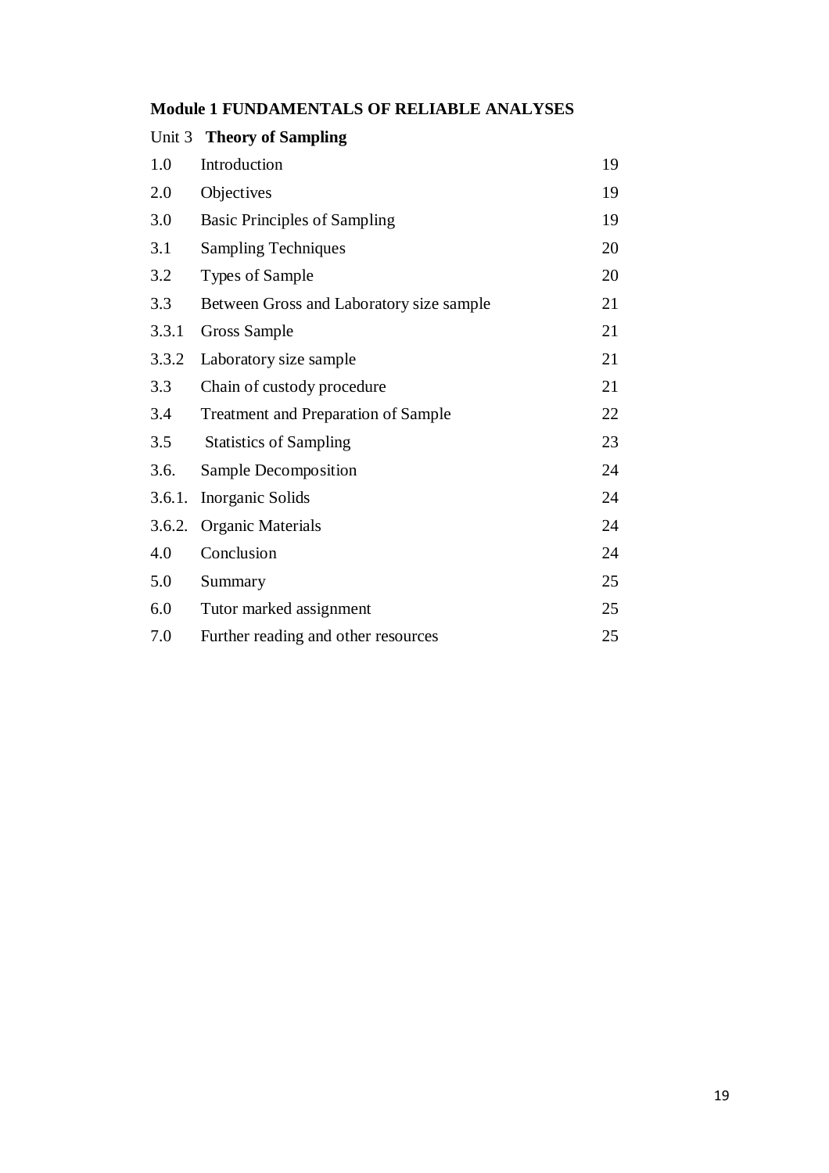|  | <b>Module 1 FUNDAMENTALS OF RELIABLE ANALYSES</b> |  |  |  |
|--|---------------------------------------------------|--|--|--|
|--|---------------------------------------------------|--|--|--|

|        | Unit 3 Theory of Sampling                  |    |
|--------|--------------------------------------------|----|
| 1.0    | Introduction                               | 19 |
| 2.0    | Objectives                                 | 19 |
| 3.0    | <b>Basic Principles of Sampling</b>        | 19 |
| 3.1    | <b>Sampling Techniques</b>                 | 20 |
| 3.2    | <b>Types of Sample</b>                     | 20 |
| 3.3    | Between Gross and Laboratory size sample   | 21 |
| 3.3.1  | Gross Sample                               | 21 |
| 3.3.2  | Laboratory size sample                     | 21 |
| 3.3    | Chain of custody procedure                 | 21 |
| 3.4    | <b>Treatment and Preparation of Sample</b> | 22 |
| 3.5    | <b>Statistics of Sampling</b>              | 23 |
| 3.6.   | Sample Decomposition                       | 24 |
| 3.6.1. | Inorganic Solids                           | 24 |
| 3.6.2. | <b>Organic Materials</b>                   | 24 |
| 4.0    | Conclusion                                 | 24 |
| 5.0    | Summary                                    | 25 |
| 6.0    | Tutor marked assignment                    | 25 |
| 7.0    | Further reading and other resources        | 25 |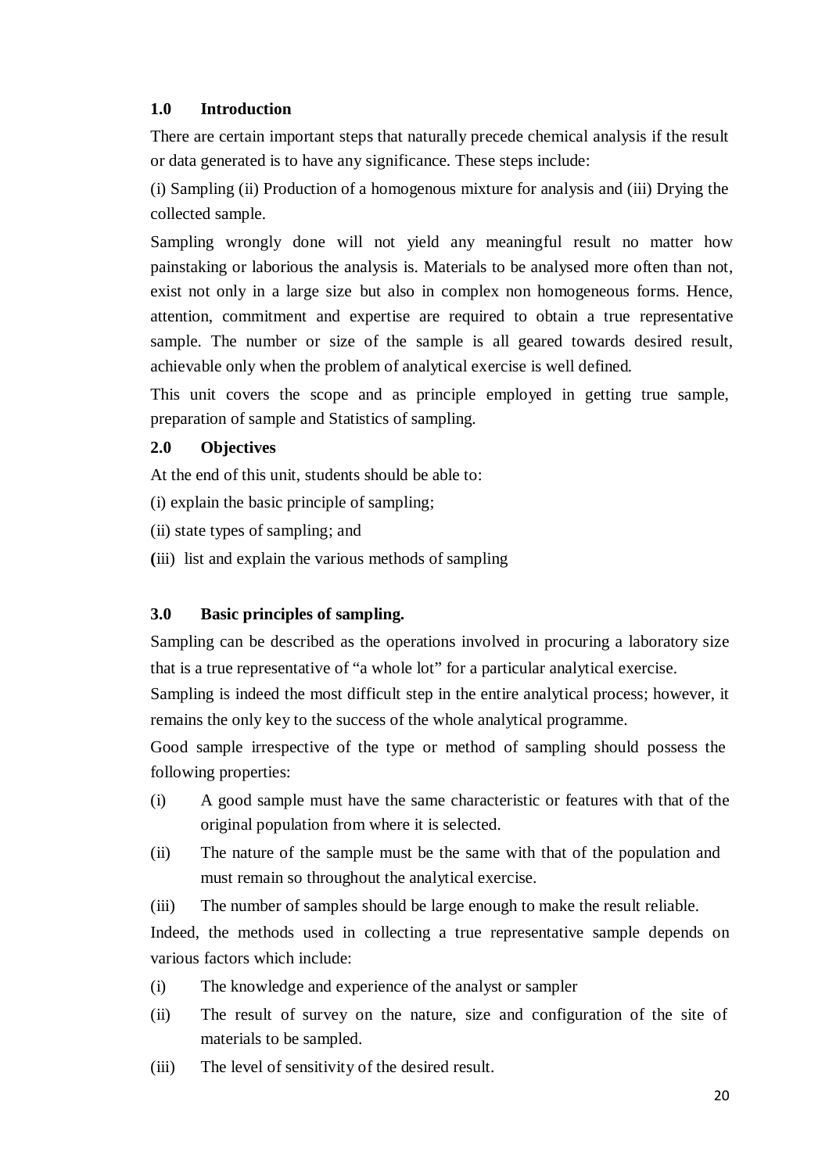# **1.0 Introduction**

There are certain important steps that naturally precede chemical analysis if the result or data generated is to have any significance. These steps include:

(i) Sampling (ii) Production of a homogenous mixture for analysis and (iii) Drying the collected sample.

Sampling wrongly done will not yield any meaningful result no matter how painstaking or laborious the analysis is. Materials to be analysed more often than not, exist not only in a large size but also in complex non homogeneous forms. Hence, attention, commitment and expertise are required to obtain a true representative sample. The number or size of the sample is all geared towards desired result, achievable only when the problem of analytical exercise is well defined.

This unit covers the scope and as principle employed in getting true sample, preparation of sample and Statistics of sampling.

# **2.0 Objectives**

At the end of this unit, students should be able to:

(i) explain the basic principle of sampling;

- (ii) state types of sampling; and
- **(**iii) list and explain the various methods of sampling

# **3.0 Basic principles of sampling.**

Sampling can be described as the operations involved in procuring a laboratory size that is a true representative of "a whole lot" for a particular analytical exercise.

Sampling is indeed the most difficult step in the entire analytical process; however, it remains the only key to the success of the whole analytical programme.

Good sample irrespective of the type or method of sampling should possess the following properties:

- (i) A good sample must have the same characteristic or features with that of the original population from where it is selected.
- (ii) The nature of the sample must be the same with that of the population and must remain so throughout the analytical exercise.
- (iii) The number of samples should be large enough to make the result reliable.

Indeed, the methods used in collecting a true representative sample depends on various factors which include:

- (i) The knowledge and experience of the analyst or sampler
- (ii) The result of survey on the nature, size and configuration of the site of materials to be sampled.
- (iii) The level of sensitivity of the desired result.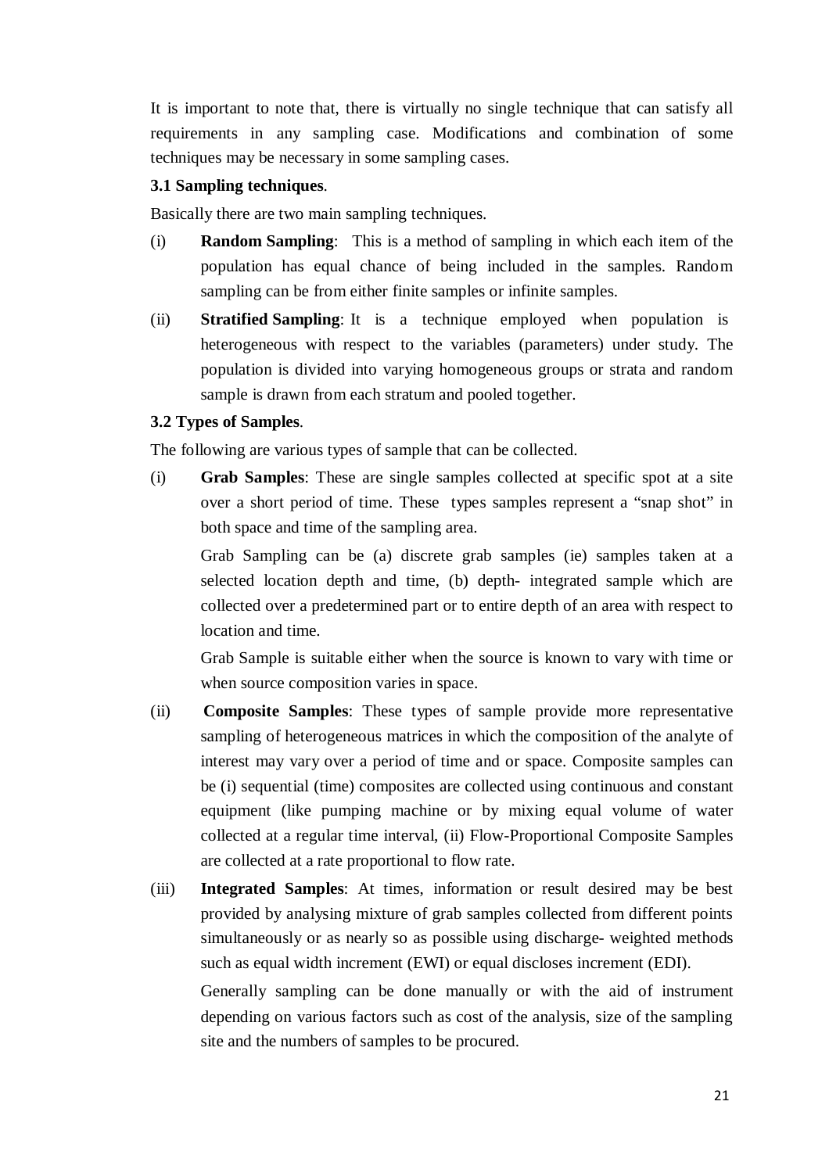It is important to note that, there is virtually no single technique that can satisfy all requirements in any sampling case. Modifications and combination of some techniques may be necessary in some sampling cases.

# **3.1 Sampling techniques**.

Basically there are two main sampling techniques.

- (i) **Random Sampling**: This is a method of sampling in which each item of the population has equal chance of being included in the samples. Random sampling can be from either finite samples or infinite samples.
- (ii) **Stratified Sampling**: It is a technique employed when population is heterogeneous with respect to the variables (parameters) under study. The population is divided into varying homogeneous groups or strata and random sample is drawn from each stratum and pooled together.

# **3.2 Types of Samples**.

The following are various types of sample that can be collected.

(i) **Grab Samples**: These are single samples collected at specific spot at a site over a short period of time. These types samples represent a "snap shot" in both space and time of the sampling area.

Grab Sampling can be (a) discrete grab samples (ie) samples taken at a selected location depth and time, (b) depth- integrated sample which are collected over a predetermined part or to entire depth of an area with respect to location and time.

Grab Sample is suitable either when the source is known to vary with time or when source composition varies in space.

- (ii) **Composite Samples**: These types of sample provide more representative sampling of heterogeneous matrices in which the composition of the analyte of interest may vary over a period of time and or space. Composite samples can be (i) sequential (time) composites are collected using continuous and constant equipment (like pumping machine or by mixing equal volume of water collected at a regular time interval, (ii) Flow-Proportional Composite Samples are collected at a rate proportional to flow rate.
- (iii) **Integrated Samples**: At times, information or result desired may be best provided by analysing mixture of grab samples collected from different points simultaneously or as nearly so as possible using discharge- weighted methods such as equal width increment (EWI) or equal discloses increment (EDI).

Generally sampling can be done manually or with the aid of instrument depending on various factors such as cost of the analysis, size of the sampling site and the numbers of samples to be procured.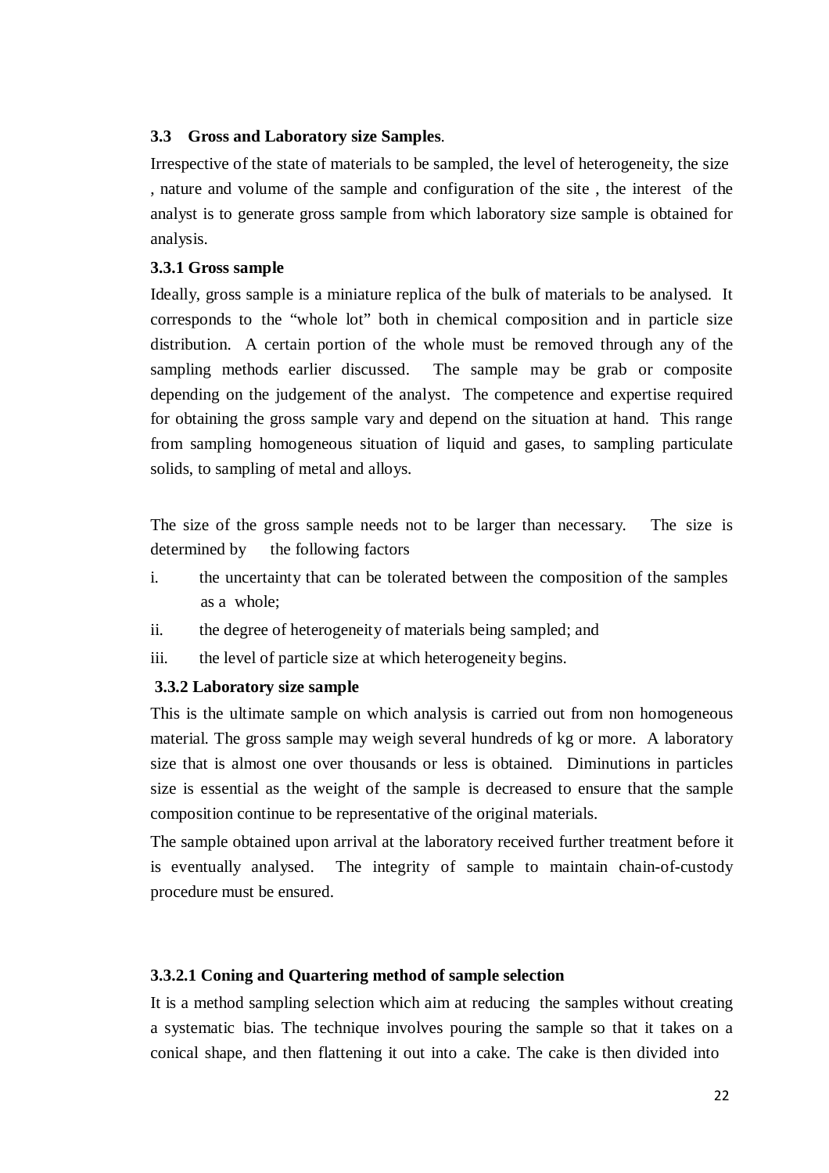# **3.3 Gross and Laboratory size Samples**.

Irrespective of the state of materials to be sampled, the level of heterogeneity, the size , nature and volume of the sample and configuration of the site , the interest of the analyst is to generate gross sample from which laboratory size sample is obtained for analysis.

# **3.3.1 Gross sample**

Ideally, gross sample is a miniature replica of the bulk of materials to be analysed. It corresponds to the "whole lot" both in chemical composition and in particle size distribution. A certain portion of the whole must be removed through any of the sampling methods earlier discussed. The sample may be grab or composite depending on the judgement of the analyst. The competence and expertise required for obtaining the gross sample vary and depend on the situation at hand. This range from sampling homogeneous situation of liquid and gases, to sampling particulate solids, to sampling of metal and alloys.

The size of the gross sample needs not to be larger than necessary. The size is determined by the following factors

- i. the uncertainty that can be tolerated between the composition of the samples as a whole;
- ii. the degree of heterogeneity of materials being sampled; and
- iii. the level of particle size at which heterogeneity begins.

# **3.3.2 Laboratory size sample**

This is the ultimate sample on which analysis is carried out from non homogeneous material. The gross sample may weigh several hundreds of kg or more. A laboratory size that is almost one over thousands or less is obtained. Diminutions in particles size is essential as the weight of the sample is decreased to ensure that the sample composition continue to be representative of the original materials.

The sample obtained upon arrival at the laboratory received further treatment before it is eventually analysed. The integrity of sample to maintain chain-of-custody procedure must be ensured.

# **3.3.2.1 Coning and Quartering method of sample selection**

It is a method sampling selection which aim at reducing the samples without creating a systematic bias. The technique involves pouring the sample so that it takes on a conical shape, and then flattening it out into a cake. The cake is then divided into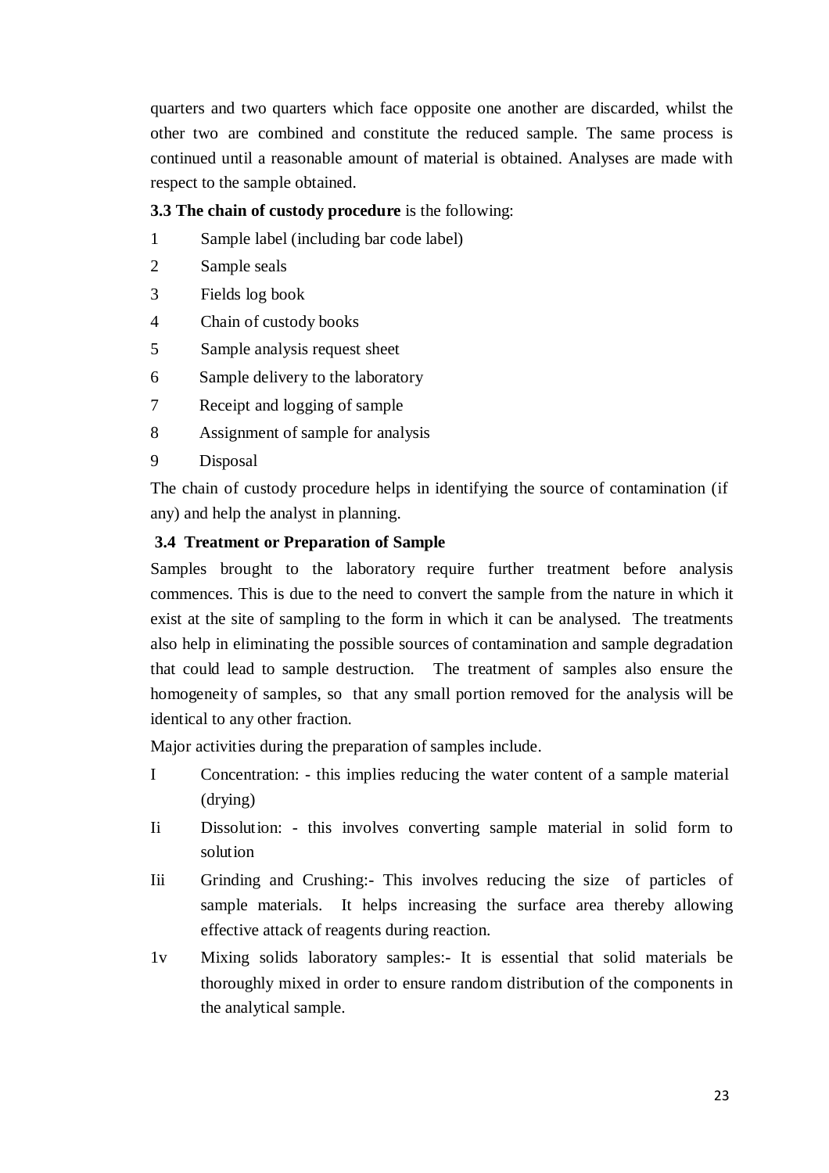quarters and two quarters which face opposite one another are discarded, whilst the other two are combined and constitute the reduced sample. The same process is continued until a reasonable amount of material is obtained. Analyses are made with respect to the sample obtained.

# **3.3 The chain of custody procedure** is the following:

- 1 Sample label (including bar code label)
- 2 Sample seals
- 3 Fields log book
- 4 Chain of custody books
- 5 Sample analysis request sheet
- 6 Sample delivery to the laboratory
- 7 Receipt and logging of sample
- 8 Assignment of sample for analysis
- 9 Disposal

The chain of custody procedure helps in identifying the source of contamination (if any) and help the analyst in planning.

# **3.4 Treatment or Preparation of Sample**

Samples brought to the laboratory require further treatment before analysis commences. This is due to the need to convert the sample from the nature in which it exist at the site of sampling to the form in which it can be analysed. The treatments also help in eliminating the possible sources of contamination and sample degradation that could lead to sample destruction. The treatment of samples also ensure the homogeneity of samples, so that any small portion removed for the analysis will be identical to any other fraction.

Major activities during the preparation of samples include.

- I Concentration: this implies reducing the water content of a sample material (drying)
- Ii Dissolut ion: this involves converting sample material in solid form to solut ion
- Iii Grinding and Crushing:- This involves reducing the size of particles of sample materials. It helps increasing the surface area thereby allowing effective attack of reagents during reaction.
- 1v Mixing solids laboratory samples:- It is essential that solid materials be thoroughly mixed in order to ensure random distribution of the components in the analytical sample.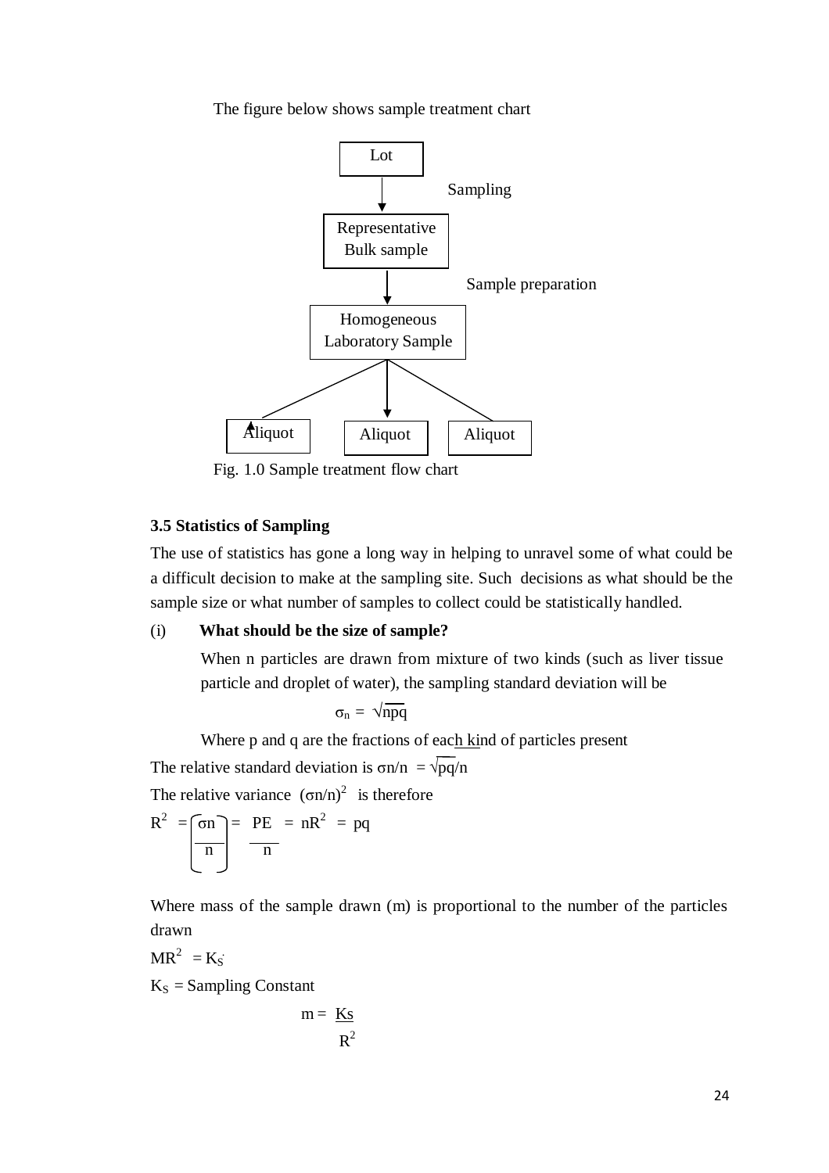The figure below shows sample treatment chart



Fig. 1.0 Sample treatment flow chart

### **3.5 Statistics of Sampling**

The use of statistics has gone a long way in helping to unravel some of what could be a difficult decision to make at the sampling site. Such decisions as what should be the sample size or what number of samples to collect could be statistically handled.

### (i) **What should be the size of sample?**

When n particles are drawn from mixture of two kinds (such as liver tissue particle and droplet of water), the sampling standard deviation will be

$$
\sigma_n = \sqrt{npq}
$$

Where p and q are the fractions of each kind of particles present

The relative standard deviation is  $\sigma n/n = \sqrt{pq}/n$ 

The relative variance  $(\sigma n/n)^2$  is therefore

$$
R^{2} = \boxed{\sigma n}{n} = PE = nR^{2} = pq
$$

Where mass of the sample drawn (m) is proportional to the number of the particles drawn

$$
MR^2 = K_S
$$

 $K<sub>S</sub>$  = Sampling Constant

$$
m = \frac{Ks}{R^2}
$$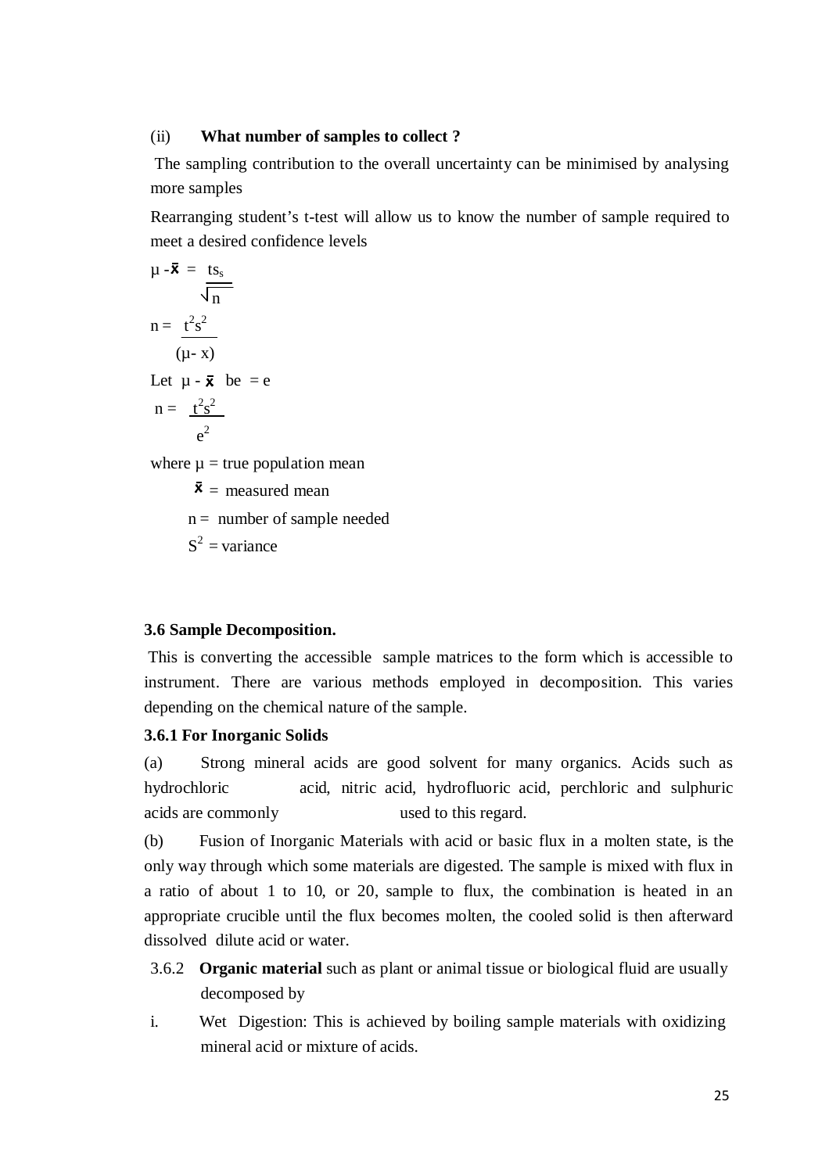#### (ii) **What number of samples to collect ?**

The sampling contribution to the overall uncertainty can be minimised by analysing more samples

Rearranging student's t-test will allow us to know the number of sample required to meet a desired confidence levels

$$
\mu - \bar{\mathbf{x}} = \frac{ts_s}{\sqrt{n}}
$$
  
\n
$$
n = \frac{t^2 s^2}{(\mu - x)}
$$
  
\nLet  $\mu - \bar{\mathbf{x}}$  be = e  
\n
$$
n = \frac{t^2 s^2}{e^2}
$$

where  $\mu$  = true population mean

 $\bar{x}$  = measured mean

 $n =$  number of sample needed

 $S^2$  = variance

#### **3.6 Sample Decomposition.**

This is converting the accessible sample matrices to the form which is accessible to instrument. There are various methods employed in decomposition. This varies depending on the chemical nature of the sample.

#### **3.6.1 For Inorganic Solids**

(a) Strong mineral acids are good solvent for many organics. Acids such as hydrochloric acid, nitric acid, hydrofluoric acid, perchloric and sulphuric acids are commonly used to this regard.

(b) Fusion of Inorganic Materials with acid or basic flux in a molten state, is the only way through which some materials are digested. The sample is mixed with flux in a ratio of about 1 to 10, or 20, sample to flux, the combination is heated in an appropriate crucible until the flux becomes molten, the cooled solid is then afterward dissolved dilute acid or water.

- 3.6.2 **Organic material** such as plant or animal tissue or biological fluid are usually decomposed by
- i. Wet Digestion: This is achieved by boiling sample materials with oxidizing mineral acid or mixture of acids.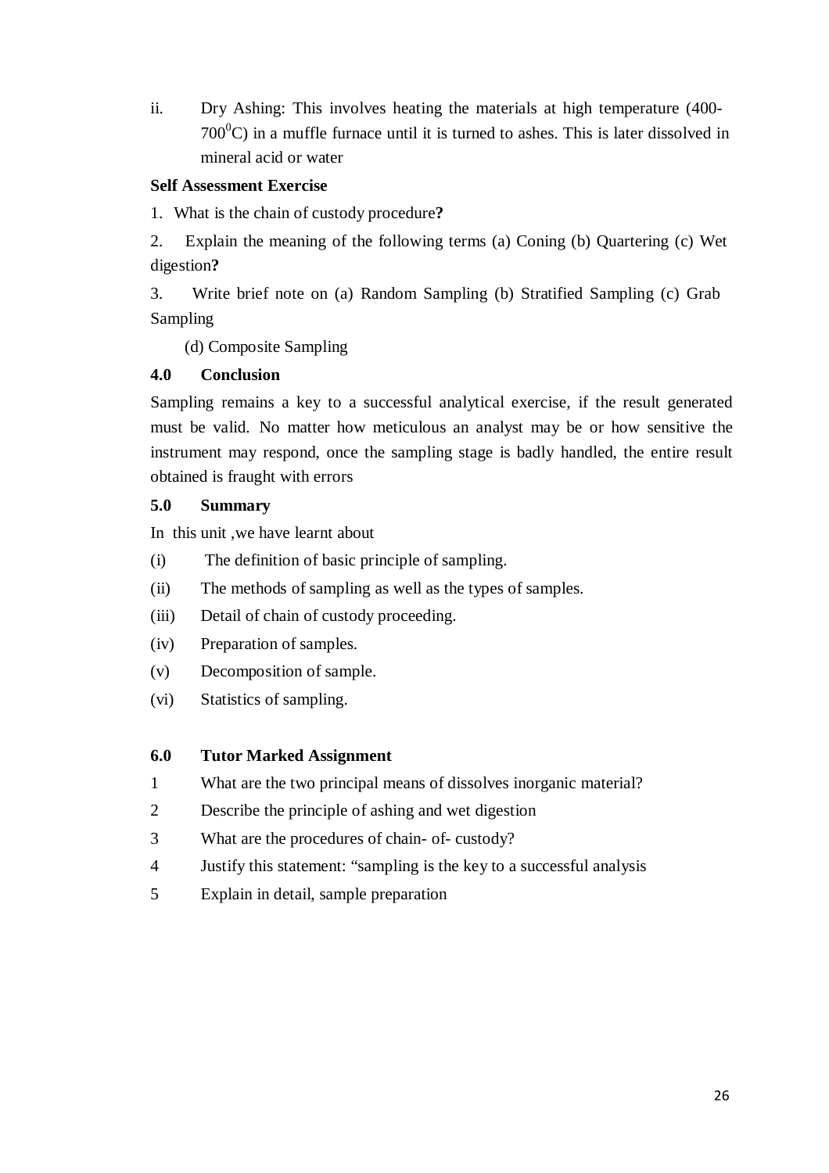ii. Dry Ashing: This involves heating the materials at high temperature (400-  $700^{\circ}$ C) in a muffle furnace until it is turned to ashes. This is later dissolved in mineral acid or water

# **Self Assessment Exercise**

1. What is the chain of custody procedure**?**

2. Explain the meaning of the following terms (a) Coning (b) Quartering (c) Wet digestion**?**

3. Write brief note on (a) Random Sampling (b) Stratified Sampling (c) Grab Sampling

(d) Composite Sampling

# **4.0 Conclusion**

Sampling remains a key to a successful analytical exercise, if the result generated must be valid. No matter how meticulous an analyst may be or how sensitive the instrument may respond, once the sampling stage is badly handled, the entire result obtained is fraught with errors

# **5.0 Summary**

In this unit ,we have learnt about

- (i) The definition of basic principle of sampling.
- (ii) The methods of sampling as well as the types of samples.
- (iii) Detail of chain of custody proceeding.
- (iv) Preparation of samples.
- (v) Decomposition of sample.
- (vi) Statistics of sampling.

# **6.0 Tutor Marked Assignment**

- 1 What are the two principal means of dissolves inorganic material?
- 2 Describe the principle of ashing and wet digestion
- 3 What are the procedures of chain- of- custody?
- 4 Justify this statement: "sampling is the key to a successful analysis
- 5 Explain in detail, sample preparation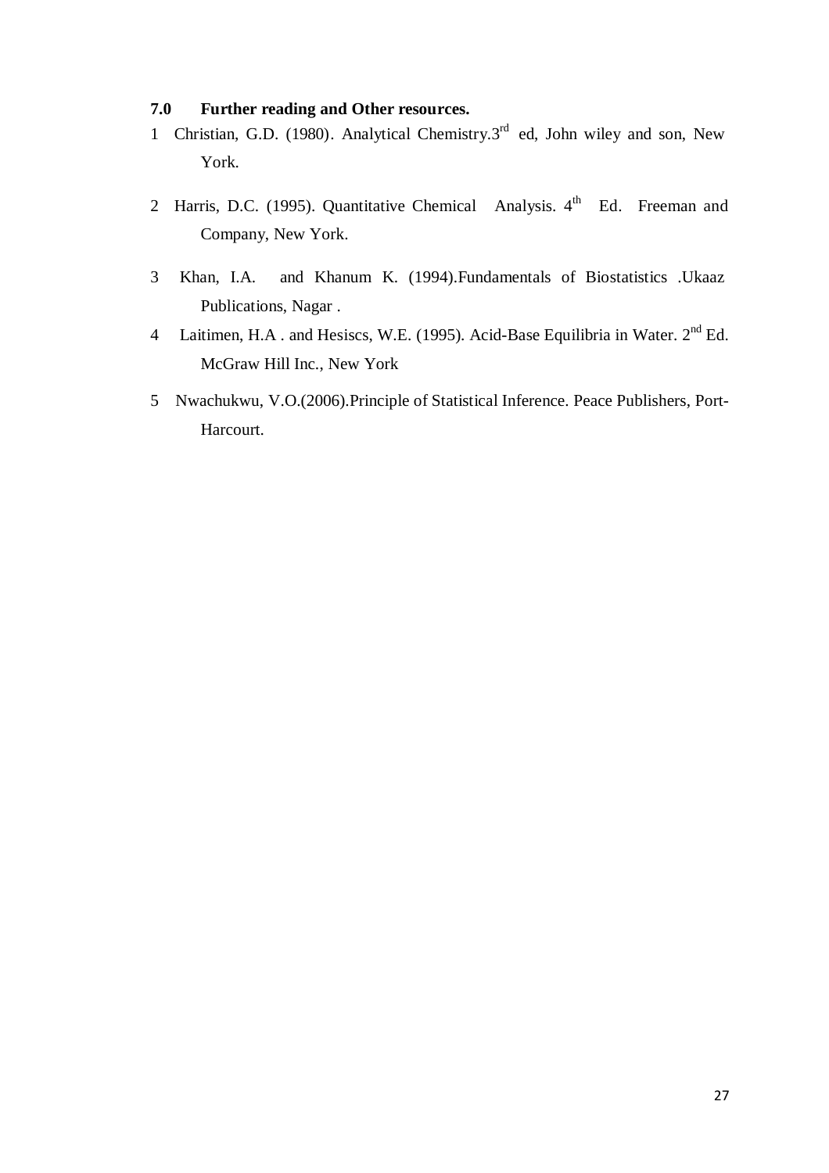# **7.0 Further reading and Other resources.**

- 1 Christian, G.D. (1980). Analytical Chemistry.3<sup>rd</sup> ed, John wiley and son, New York.
- 2 Harris, D.C. (1995). Quantitative Chemical Analysis.  $4<sup>th</sup>$  Ed. Freeman and Company, New York.
- 3 Khan, I.A. and Khanum K. (1994).Fundamentals of Biostatistics .Ukaaz Publications, Nagar .
- 4 Laitimen, H.A. and Hesiscs, W.E. (1995). Acid-Base Equilibria in Water. 2<sup>nd</sup> Ed. McGraw Hill Inc., New York
- 5 Nwachukwu, V.O.(2006).Principle of Statistical Inference. Peace Publishers, Port-Harcourt.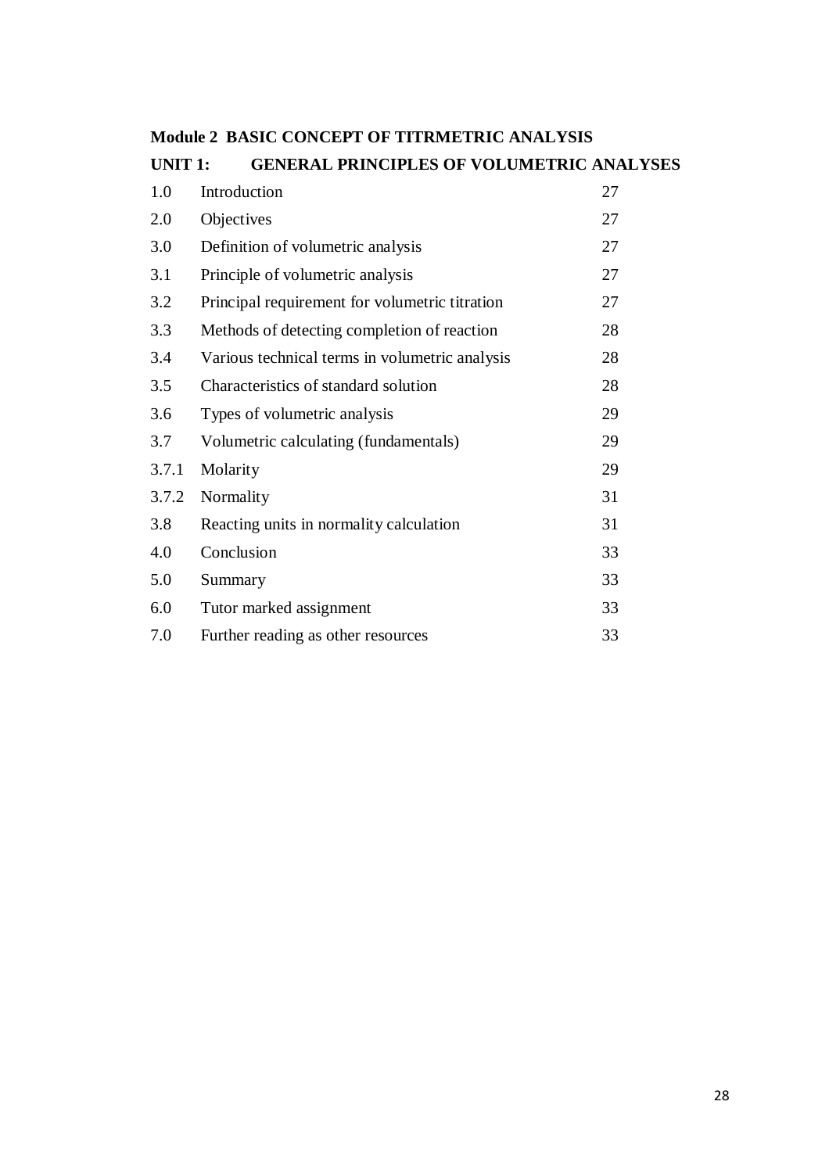| <b>UNIT 1:</b> | <b>GENERAL PRINCIPLES OF VOLUMETRIC ANALYSES</b> |    |
|----------------|--------------------------------------------------|----|
| 1.0            | Introduction                                     | 27 |
| 2.0            | Objectives                                       | 27 |
| 3.0            | Definition of volumetric analysis                | 27 |
| 3.1            | Principle of volumetric analysis                 | 27 |
| 3.2            | Principal requirement for volumetric titration   | 27 |
| 3.3            | Methods of detecting completion of reaction      | 28 |
| 3.4            | Various technical terms in volumetric analysis   | 28 |
| 3.5            | Characteristics of standard solution             | 28 |
| 3.6            | Types of volumetric analysis                     | 29 |
| 3.7            | Volumetric calculating (fundamentals)            | 29 |
| 3.7.1          | Molarity                                         | 29 |
| 3.7.2          | Normality                                        | 31 |
| 3.8            | Reacting units in normality calculation          | 31 |
| 4.0            | Conclusion                                       | 33 |
| 5.0            | Summary                                          | 33 |
| 6.0            | Tutor marked assignment                          | 33 |
| 7.0            | Further reading as other resources               | 33 |

# **Module 2 BASIC CONCEPT OF TITRMETRIC ANALYSIS**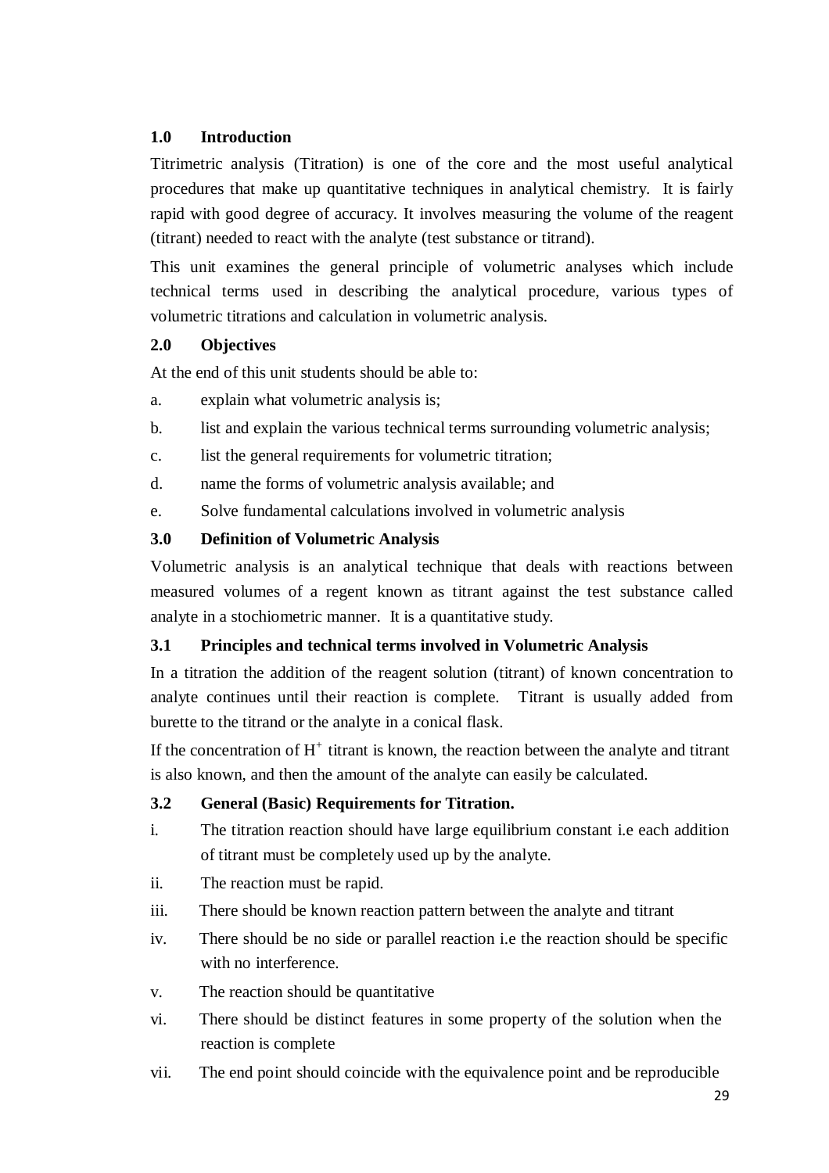# **1.0 Introduction**

Titrimetric analysis (Titration) is one of the core and the most useful analytical procedures that make up quantitative techniques in analytical chemistry. It is fairly rapid with good degree of accuracy. It involves measuring the volume of the reagent (titrant) needed to react with the analyte (test substance or titrand).

This unit examines the general principle of volumetric analyses which include technical terms used in describing the analytical procedure, various types of volumetric titrations and calculation in volumetric analysis.

# **2.0 Objectives**

At the end of this unit students should be able to:

- a. explain what volumetric analysis is;
- b. list and explain the various technical terms surrounding volumetric analysis;
- c. list the general requirements for volumetric titration;
- d. name the forms of volumetric analysis available; and
- e. Solve fundamental calculations involved in volumetric analysis

# **3.0 Definition of Volumetric Analysis**

Volumetric analysis is an analytical technique that deals with reactions between measured volumes of a regent known as titrant against the test substance called analyte in a stochiometric manner. It is a quantitative study.

# **3.1 Principles and technical terms involved in Volumetric Analysis**

In a titration the addition of the reagent solution (titrant) of known concentration to analyte continues until their reaction is complete. Titrant is usually added from burette to the titrand or the analyte in a conical flask.

If the concentration of  $H^+$  titrant is known, the reaction between the analyte and titrant is also known, and then the amount of the analyte can easily be calculated.

### **3.2 General (Basic) Requirements for Titration.**

- i. The titration reaction should have large equilibrium constant i.e each addition of titrant must be completely used up by the analyte.
- ii. The reaction must be rapid.
- iii. There should be known reaction pattern between the analyte and titrant
- iv. There should be no side or parallel reaction i.e the reaction should be specific with no interference.
- v. The reaction should be quantitative
- vi. There should be distinct features in some property of the solution when the reaction is complete
- vii. The end point should coincide with the equivalence point and be reproducible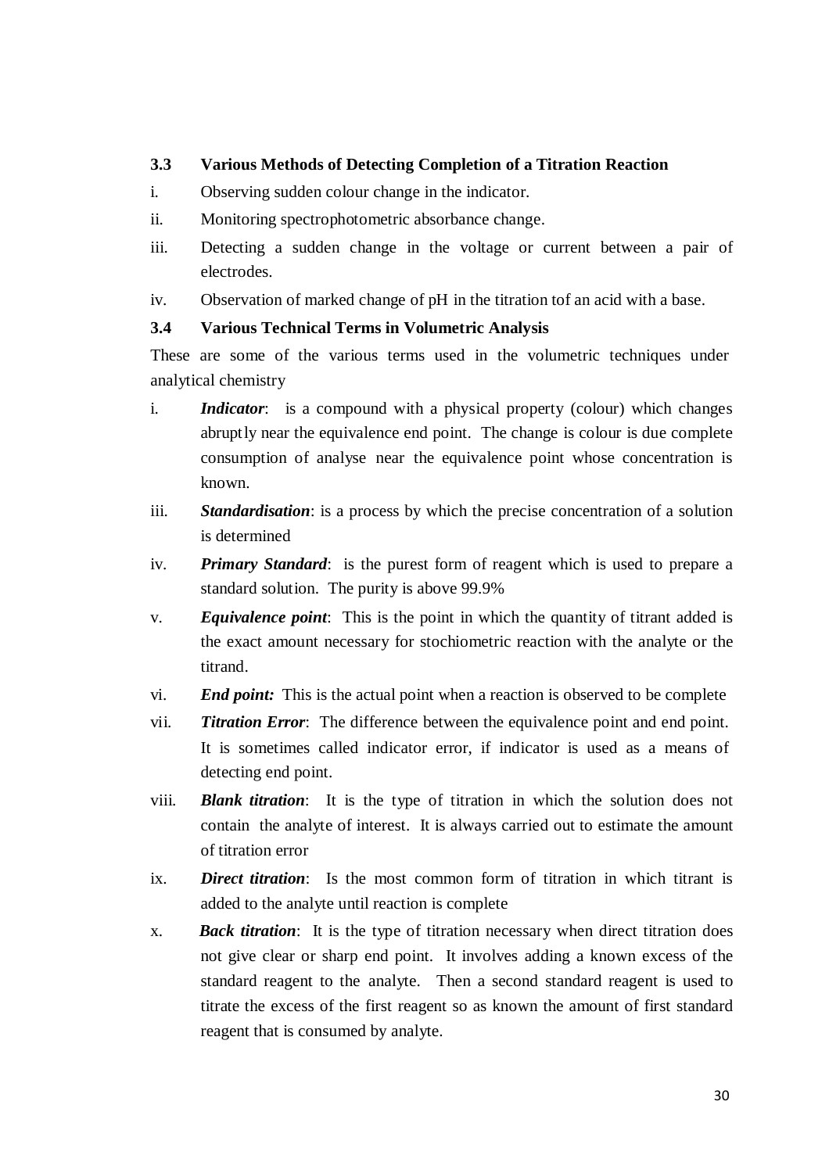# **3.3 Various Methods of Detecting Completion of a Titration Reaction**

- i. Observing sudden colour change in the indicator.
- ii. Monitoring spectrophotometric absorbance change.
- iii. Detecting a sudden change in the voltage or current between a pair of electrodes.
- iv. Observation of marked change of pH in the titration tof an acid with a base.

# **3.4 Various Technical Terms in Volumetric Analysis**

These are some of the various terms used in the volumetric techniques under analytical chemistry

- i. *Indicator*: is a compound with a physical property (colour) which changes abrupt ly near the equivalence end point. The change is colour is due complete consumption of analyse near the equivalence point whose concentration is known.
- iii. *Standardisation*: is a process by which the precise concentration of a solution is determined
- iv. *Primary Standard*: is the purest form of reagent which is used to prepare a standard solution. The purity is above 99.9%
- v. *Equivalence point*: This is the point in which the quantity of titrant added is the exact amount necessary for stochiometric reaction with the analyte or the titrand.
- vi. *End point:* This is the actual point when a reaction is observed to be complete
- vii. *Titration Error*: The difference between the equivalence point and end point. It is sometimes called indicator error, if indicator is used as a means of detecting end point.
- viii. *Blank titration*: It is the type of titration in which the solution does not contain the analyte of interest. It is always carried out to estimate the amount of titration error
- ix. *Direct titration*: Is the most common form of titration in which titrant is added to the analyte until reaction is complete
- x. *Back titration*: It is the type of titration necessary when direct titration does not give clear or sharp end point. It involves adding a known excess of the standard reagent to the analyte. Then a second standard reagent is used to titrate the excess of the first reagent so as known the amount of first standard reagent that is consumed by analyte.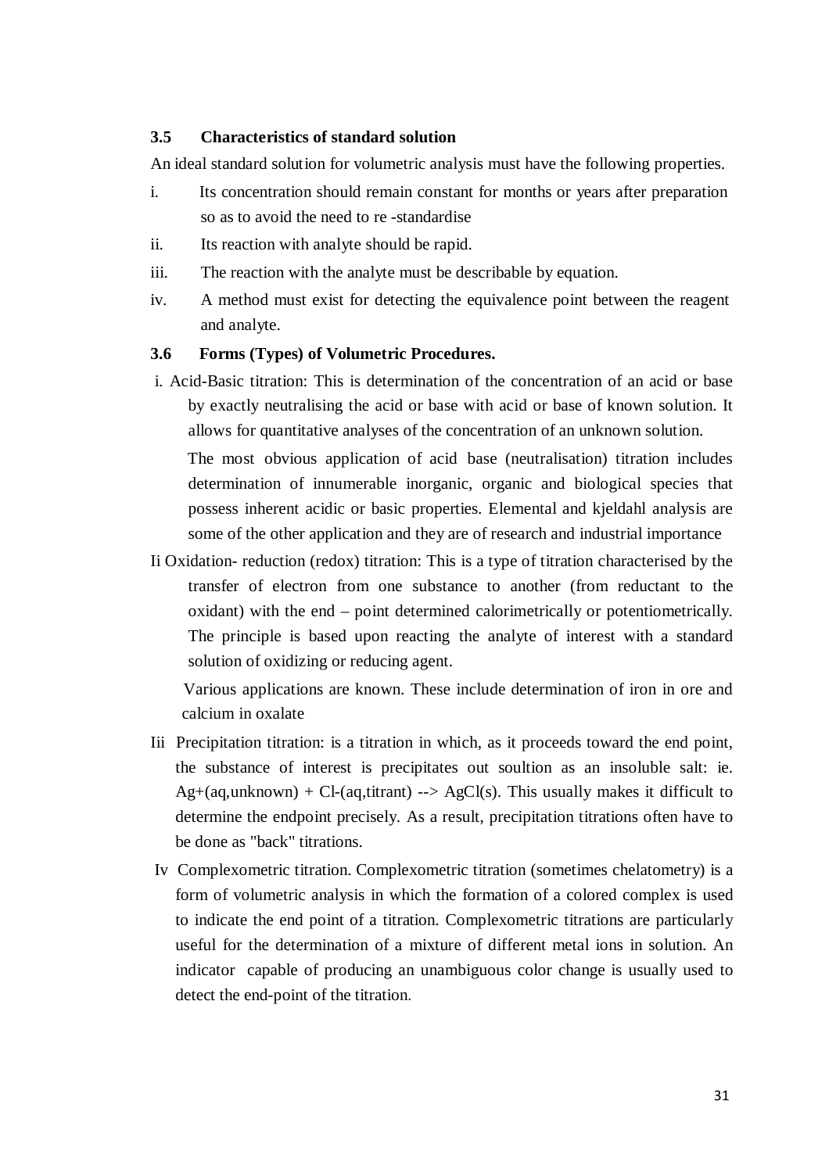# **3.5 Characteristics of standard solution**

An ideal standard solution for volumetric analysis must have the following properties.

- i. Its concentration should remain constant for months or years after preparation so as to avoid the need to re -standardise
- ii. Its reaction with analyte should be rapid.
- iii. The reaction with the analyte must be describable by equation.
- iv. A method must exist for detecting the equivalence point between the reagent and analyte.

### **3.6 Forms (Types) of Volumetric Procedures.**

- i. Acid-Basic titration: This is determination of the concentration of an acid or base by exactly neutralising the acid or base with acid or base of known solution. It allows for quantitative analyses of the concentration of an unknown solution. The most obvious application of acid base (neutralisation) titration includes determination of innumerable inorganic, organic and biological species that possess inherent acidic or basic properties. Elemental and kjeldahl analysis are some of the other application and they are of research and industrial importance
- Ii Oxidation- reduction (redox) titration: This is a type of titration characterised by the transfer of electron from one substance to another (from reductant to the oxidant) with the end – point determined calorimetrically or potentiometrically. The principle is based upon reacting the analyte of interest with a standard solution of oxidizing or reducing agent.

Various applications are known. These include determination of iron in ore and calcium in oxalate

- Iii Precipitation titration: is a titration in which, as it proceeds toward the end point, the substance of interest is precipitates out soultion as an insoluble salt: ie.  $Ag+(aq,unknown) + Cl-(aq,titrant) \rightarrow AgCl(s)$ . This usually makes it difficult to determine the endpoint precisely. As a result, precipitation titrations often have to be done as "back" titrations.
- Iv Complexometric titration. Complexometric titration (sometimes chelatometry) is a form of volumetric analysis in which the formation of a colored complex is used to indicate the end point of a titration. Complexometric titrations are particularly useful for the determination of a mixture of different metal ions in solution. An indicator capable of producing an unambiguous color change is usually used to detect the end-point of the titration.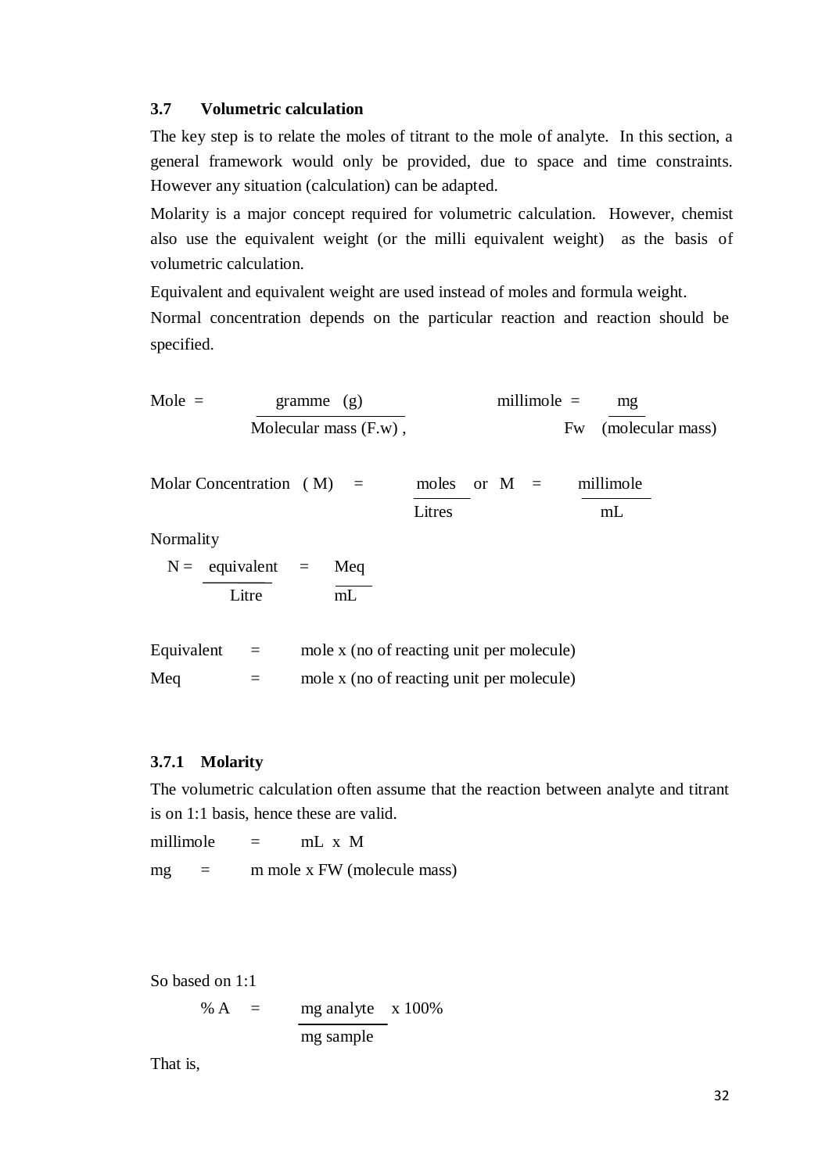#### **3.7 Volumetric calculation**

The key step is to relate the moles of titrant to the mole of analyte. In this section, a general framework would only be provided, due to space and time constraints. However any situation (calculation) can be adapted.

Molarity is a major concept required for volumetric calculation. However, chemist also use the equivalent weight (or the milli equivalent weight) as the basis of volumetric calculation.

Equivalent and equivalent weight are used instead of moles and formula weight.

Normal concentration depends on the particular reaction and reaction should be specified.

Mole = 
$$
\frac{\text{gramme}}{\text{Molecular mass (F.w)}},
$$
 millimole =  $\frac{\text{mg}}{\text{Fw}} \cdot \frac{\text{molecule}}{\text{molecular mass}}$ )

| Molar Concentration $(M)$ = |  |        |  | moles or $M =$ millimole |
|-----------------------------|--|--------|--|--------------------------|
|                             |  | Litres |  | mL                       |

Normality

 $N =$  equivalent = Meq Litre  $\overline{\text{mL}}$ 

| Equivalent | mole x (no of reacting unit per molecule) |
|------------|-------------------------------------------|
| Meg        | mole x (no of reacting unit per molecule) |

### **3.7.1 Molarity**

The volumetric calculation often assume that the reaction between analyte and titrant is on 1:1 basis, hence these are valid.

millimole  $=$  mL x M  $mg = m$  m mole x FW (molecule mass)

So based on 1:1

% A  $=$  mg analyte  $\times 100\%$ mg sample

That is,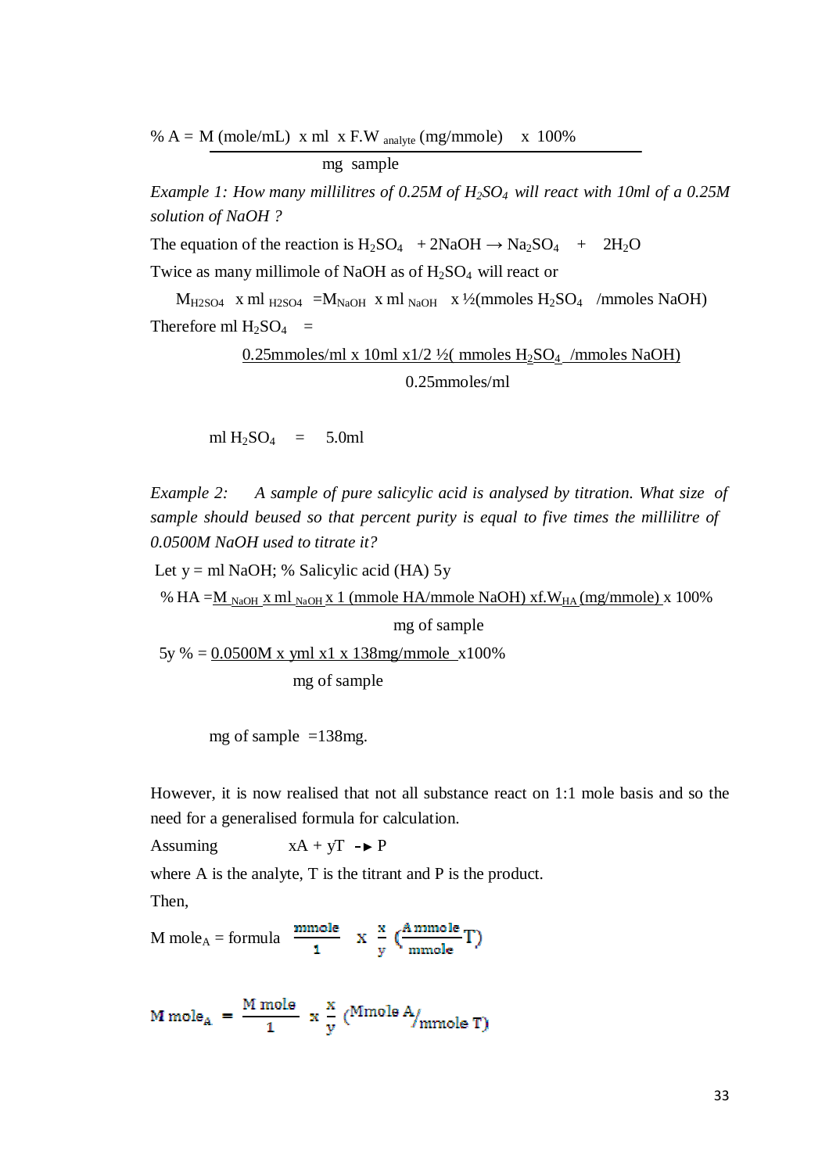%  $A = M$  (mole/mL) x ml x F.W analyte (mg/mmole) x 100%

mg sample

*Example 1: How many millilitres of 0.25M of H2SO4 will react with 10ml of a 0.25M solution of NaOH ?*

The equation of the reaction is  $H_2SO_4 + 2NaOH \rightarrow Na_2SO_4 + 2H_2O$ 

Twice as many millimole of NaOH as of  $H<sub>2</sub>SO<sub>4</sub>$  will react or

 $M_{H2SO4}$  x ml  $_{H2SO4}$  = $M_{NaOH}$  x ml  $_{NaOH}$  x ½(mmoles H<sub>2</sub>SO<sub>4</sub> /mmoles NaOH) Therefore ml  $H_2SO_4$  =

> $0.25$ mmoles/ml x 10 ml x1/2 ½(mmoles H<sub>2</sub>SO<sub>4</sub> /mmoles NaOH) 0.25mmoles/ml

ml  $H_2SO_4$  = 5.0ml

*Example 2: A sample of pure salicylic acid is analysed by titration. What size of sample should beused so that percent purity is equal to five times the millilitre of 0.0500M NaOH used to titrate it?*

Let  $y = ml$  NaOH; % Salicylic acid (HA) 5y

% HA = $\underline{M}$ <sub>NaOH</sub> x ml<sub>NaOH</sub> x 1 (mmole HA/mmole NaOH) xf.W<sub>HA</sub> (mg/mmole) x 100%

mg of sample

5y % = 0.0500M x yml x1 x 138mg/mmole x100%

mg of sample

mg of sample  $=138$ mg.

However, it is now realised that not all substance react on 1:1 mole basis and so the need for a generalised formula for calculation.

Assuming  $xA + yT - P$ 

where A is the analyte, T is the titrant and P is the product.

Then,

M mole<sub>A</sub> = formula  $\frac{\text{mmole}}{1}$  x  $\frac{x}{y}$   $\left(\frac{\text{A mmole}}{\text{mmole}}T\right)$ 

$$
M \text{ mole}_A = \frac{M \text{ mole}}{1} \times \frac{x}{y} \text{ (Mmole A/mmole T)}
$$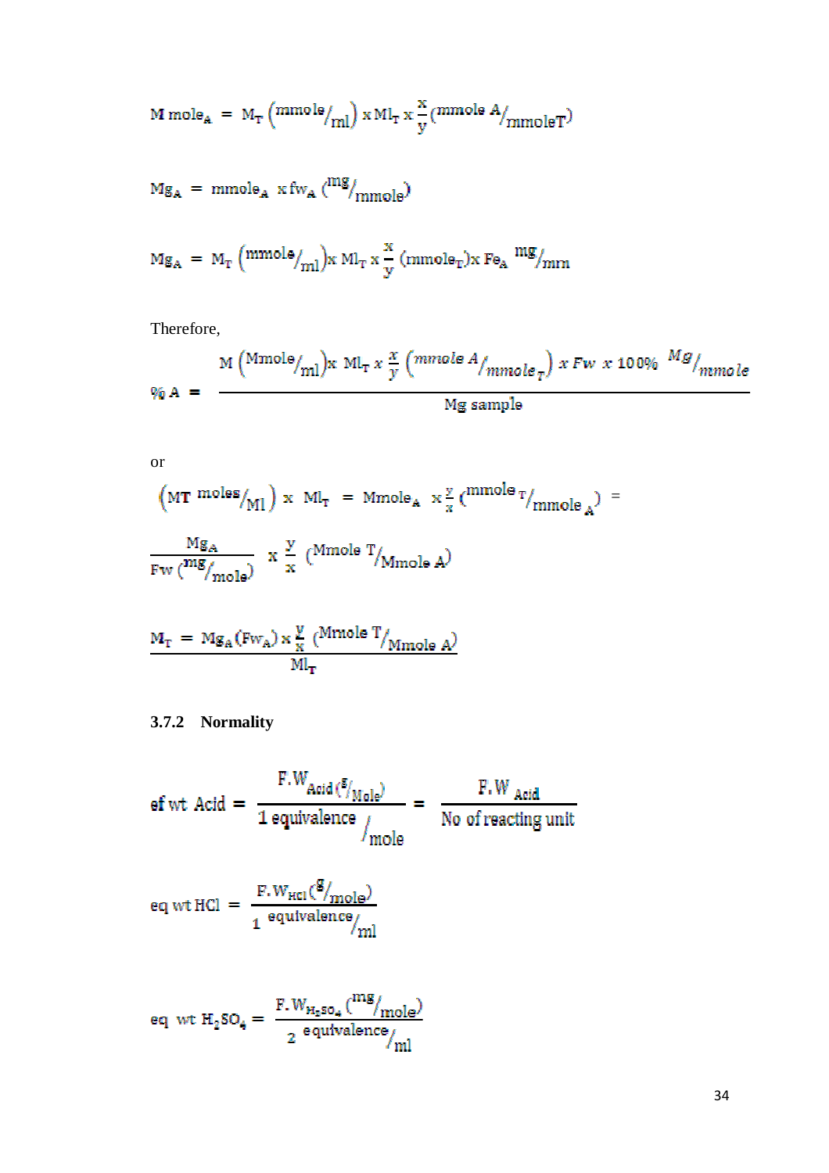$$
M \text{ mole}_{A} = M_{T} \left( \frac{\text{mmole}}{\text{ml}} \right) \times M l_{T} \times \frac{x}{y} \left( \frac{\text{mmole A}}{\text{mmole T}} \right)
$$

$$
Mg_A = \text{mmole}_A \times f_{W_A} \left(\frac{mg}{mmg}\right)
$$

$$
Mg_A = M_T \left( mmole /_{ml} \right) x Ml_T x \frac{x}{y} \left( mmole_T \right) x Fe_A \frac{mg}{mm}
$$

Therefore,

$$
\% A = \frac{M \left( M \text{mole}/_{\text{ml}} \right) x M L_T x \frac{x}{y} \left( m \text{mole } A /_{\text{mmole } T} \right) x F w x 100\% \frac{M g}{m \text{mole}}
$$
\n
$$
M g \text{ sample}
$$

or

$$
(MT \space moles/_{MI}) \times M_{T} = Mmole_{A} \times \frac{y}{x} (mmole_{T/mmole_{A}}) =
$$
  

$$
\frac{Mg_{A}}{Fw \cdot (mg/mole)} \times \frac{y}{x} (Mmole_{T/mmole_{A}})
$$

$$
M_{\rm T} = Mg_{\rm A}(Fw_{\rm A}) \times \frac{y}{x} \frac{(Mmole T)}{Ml_{\rm T}}
$$

# **3.7.2 Normality**

$$
ef wt \text{ Actd} = \frac{F.W_{\text{Acid}}(\frac{g}{N_{\text{hole}}})}{1 \text{ equivalence}} = \frac{F.W_{\text{Acid}}}{\text{No of reacting unit}}
$$

$$
eq wt HCl = \frac{F.W_{HCl}(g)_{\text{mole}}}{1 \text{ equivalence}_{\text{mll}}}
$$

$$
\texttt{eq} \text{ wt } H_2\texttt{SO}_4 = \frac{\text{F.}W_{H_2\texttt{SO}_4}\left(^{mg}\hspace{-0.5mm}/_{\text{mole}}\right)}{2 \text{ equivalence}\hspace{-0.5mm}}\hspace{0.5mm}/_{\text{ml}}
$$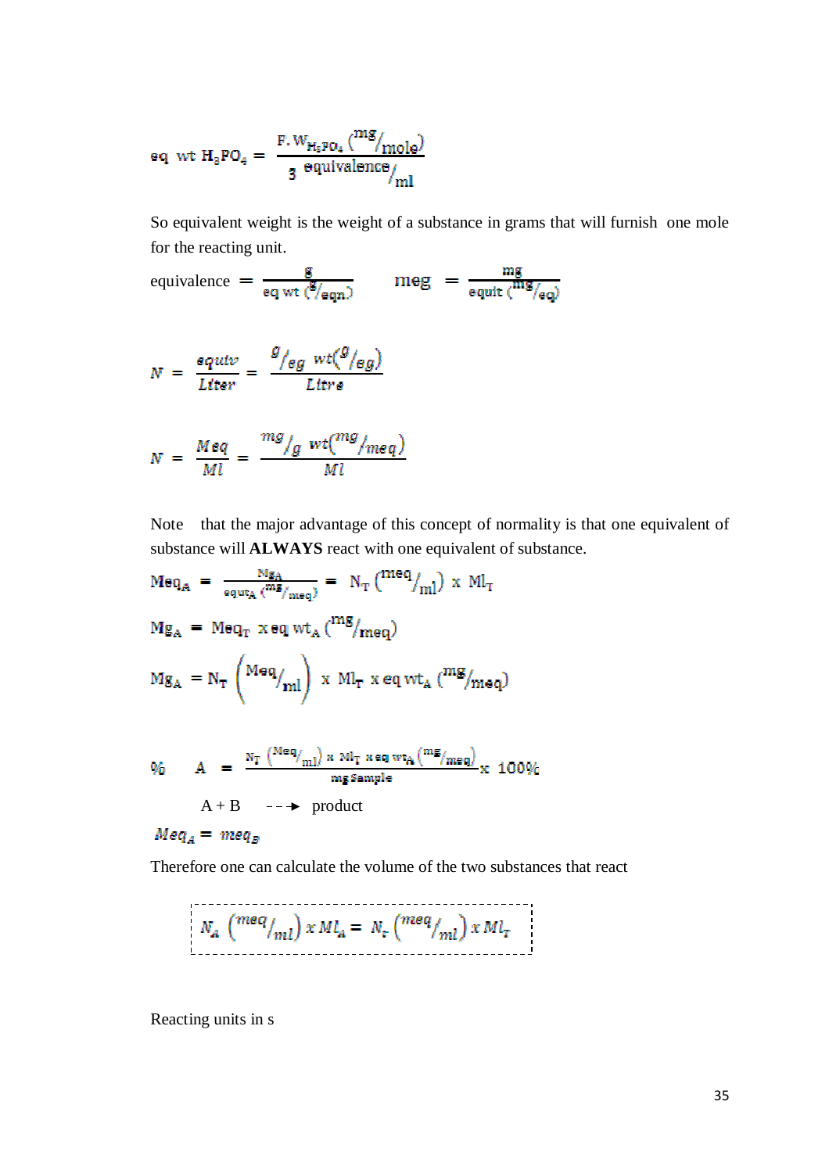$$
\texttt{eq\_wt}~H_3\texttt{PO}_4 = \left.\frac{\texttt{F.W}_{H_5\texttt{PO}_4}\left(^{mg}\hspace{-0.5mm}/_{\text{mole}}\right)}{3\text{ equivalence}\hspace{-0.5mm}/_{\text{ml}}\right.
$$

So equivalent weight is the weight of a substance in grams that will furnish one mole for the reacting unit.

equivalence = 
$$
\frac{g}{eq wt \space (g_{eqn})}
$$
 meg =  $\frac{mg}{eq ut \space (mg_{eq})}$   
\n
$$
N = \frac{equiv}{Liter} = \frac{g_{leg wt}(g_{leg})}{Litre}
$$
\n
$$
N = \frac{Meq}{Ml} = \frac{mg_{lg wt}(mg_{deg})}{Ml}
$$

Note that the major advantage of this concept of normality is that one equivalent of substance will **ALWAYS** react with one equivalent of substance.

$$
Meq_A = \frac{Mg_A}{equt_A(^{mg}/meq)} = N_T(^{meq}/m l) \times M l_T
$$
  
\n
$$
Mg_A = Meq_T \times eq \, wt_A(^{mg}/meq)
$$
  
\n
$$
Mg_A = N_T(^{Meq}/m l) \times M l_T \times eq \, wt_A(^{mg}/meq)
$$

$$
\% \quad A = \frac{N_T \left( \frac{Meq}{mI} \right) \times M_T \times eq \text{ wt}_{A} \left( \frac{mg}{mg} \right)}{mg \text{ Sample}} \times 100\%
$$
\n
$$
A + B \quad -- \rightarrow \text{ product}
$$
\n
$$
Meq_A = meq_B
$$

Therefore one can calculate the volume of the two substances that react

$$
N_A \binom{meq}{ml} x M l_A = N_{\varepsilon} \binom{meq}{ml} x M l_{\varepsilon}
$$

Reacting units in s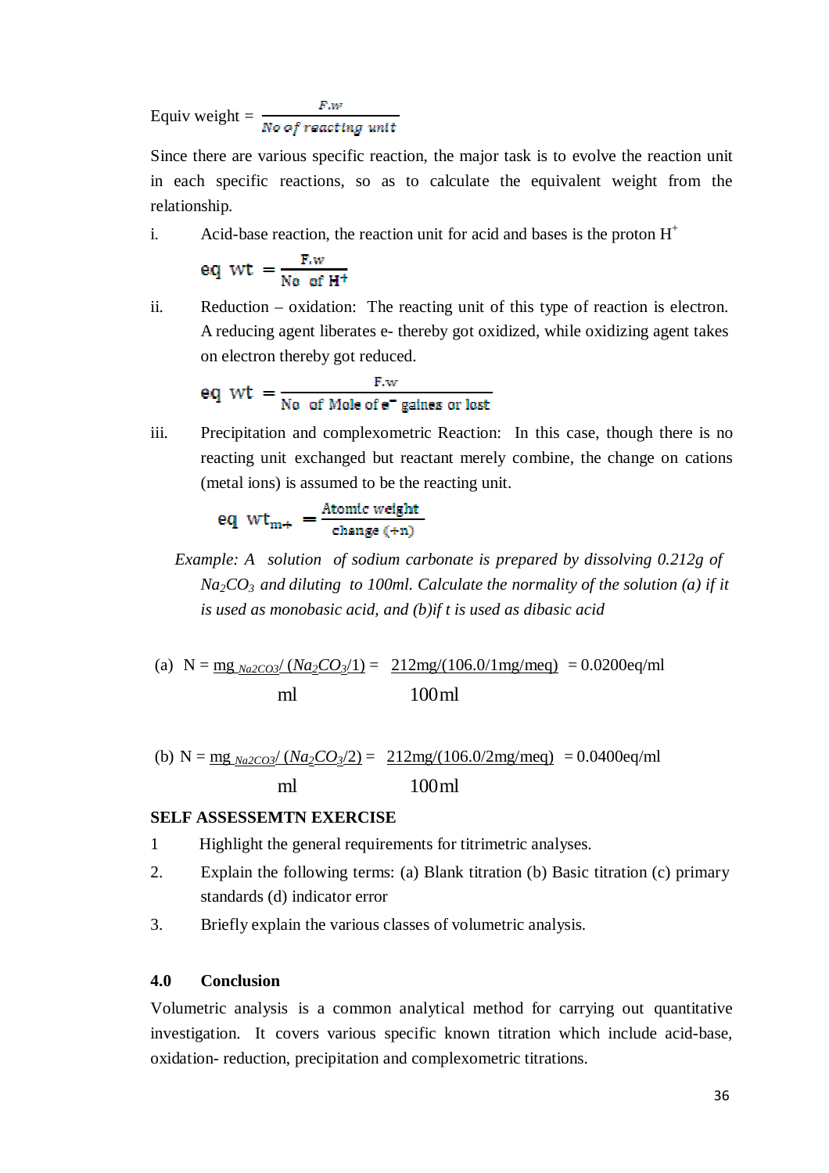Equiv weight =  $\frac{F.w}{No\ of\ reaching\ unit}$ 

Since there are various specific reaction, the major task is to evolve the reaction unit in each specific reactions, so as to calculate the equivalent weight from the relationship.

i. Acid-base reaction, the reaction unit for acid and bases is the proton  $H^+$ 

$$
eq~wt~=\tfrac{F.w}{No~of~H^+}
$$

ii. Reduction – oxidation: The reacting unit of this type of reaction is electron. A reducing agent liberates e- thereby got oxidized, while oxidizing agent takes on electron thereby got reduced.

eq wt = 
$$
\frac{F.w}{\text{No of Mole of } e^- \text{ gains or lost}}
$$

iii. Precipitation and complexometric Reaction: In this case, though there is no reacting unit exchanged but reactant merely combine, the change on cations (metal ions) is assumed to be the reacting unit.

eq 
$$
wt_{m+} = \frac{Atomic weight}{change (+n)}
$$

- *Example: A solution of sodium carbonate is prepared by dissolving 0.212g of*  $Na<sub>2</sub>CO<sub>3</sub>$  *and diluting to 100ml. Calculate the normality of the solution (a) if it is used as monobasic acid, and (b)if t is used as dibasic acid*
- (a)  $N = mg_{Na2CO3}/(Na_2CO_3/1) = 212mg/(106.0/1mg/meq) = 0.0200eq/ml$ ml 100ml

(b)  $N = \frac{mg_{Na2CO3}}{(Na_2CO_3/2)} = \frac{212mg}{(106.0/2mg/meg)} = 0.0400eq/ml$ ml 100ml

### **SELF ASSESSEMTN EXERCISE**

- 1 Highlight the general requirements for titrimetric analyses.
- 2. Explain the following terms: (a) Blank titration (b) Basic titration (c) primary standards (d) indicator error
- 3. Briefly explain the various classes of volumetric analysis.

### **4.0 Conclusion**

Volumetric analysis is a common analytical method for carrying out quantitative investigation. It covers various specific known titration which include acid-base, oxidation- reduction, precipitation and complexometric titrations.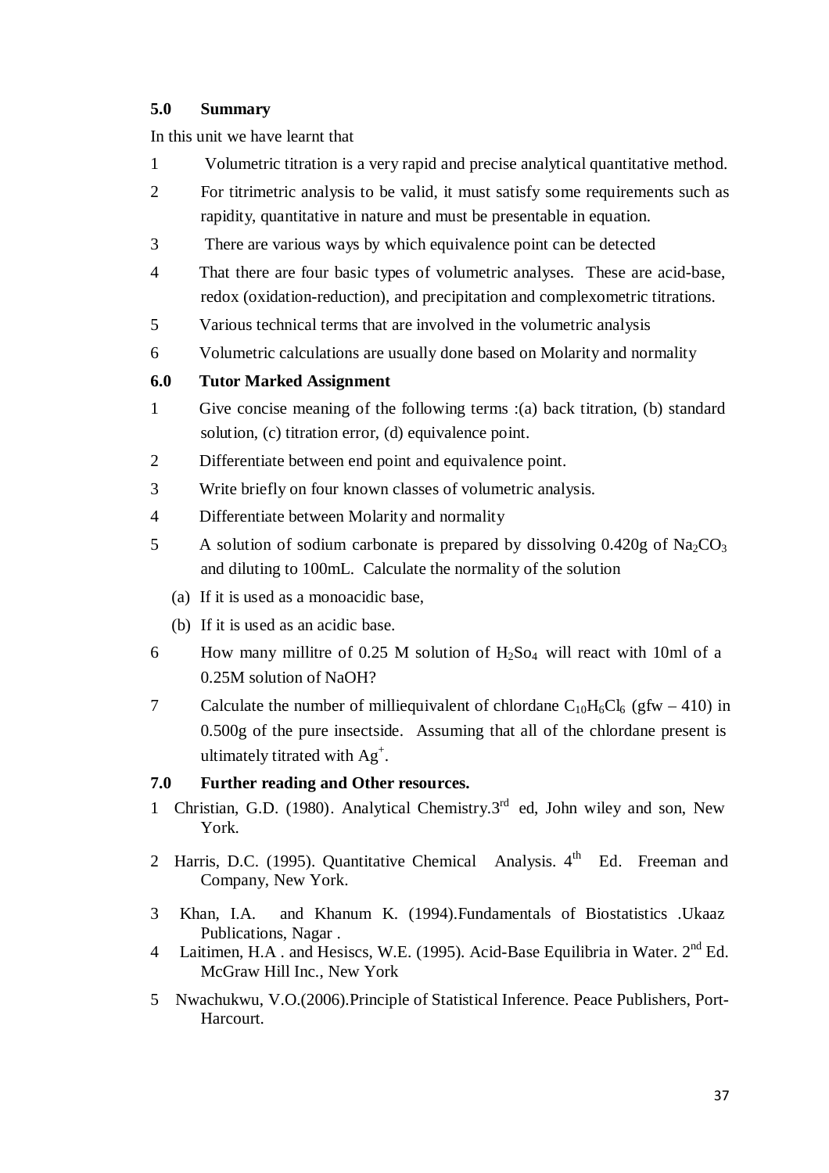## **5.0 Summary**

In this unit we have learnt that

- 1 Volumetric titration is a very rapid and precise analytical quantitative method.
- 2 For titrimetric analysis to be valid, it must satisfy some requirements such as rapidity, quantitative in nature and must be presentable in equation.
- 3 There are various ways by which equivalence point can be detected
- 4 That there are four basic types of volumetric analyses. These are acid-base, redox (oxidation-reduction), and precipitation and complexometric titrations.
- 5 Various technical terms that are involved in the volumetric analysis
- 6 Volumetric calculations are usually done based on Molarity and normality

# **6.0 Tutor Marked Assignment**

- 1 Give concise meaning of the following terms :(a) back titration, (b) standard solution, (c) titration error, (d) equivalence point.
- 2 Differentiate between end point and equivalence point.
- 3 Write briefly on four known classes of volumetric analysis.
- 4 Differentiate between Molarity and normality
- 5 A solution of sodium carbonate is prepared by dissolving  $0.420g$  of Na<sub>2</sub>CO<sub>3</sub> and diluting to 100mL. Calculate the normality of the solution
	- (a) If it is used as a monoacidic base,
	- (b) If it is used as an acidic base.
- 6 How many millitre of 0.25 M solution of  $H_2$ So<sub>4</sub> will react with 10ml of a 0.25M solution of NaOH?
- 7 Calculate the number of milliequivalent of chlordane  $C_{10}H_6Cl_6$  (gfw 410) in 0.500g of the pure insectside. Assuming that all of the chlordane present is ultimately titrated with  $Ag^+$ .

# **7.0 Further reading and Other resources.**

- 1 Christian, G.D. (1980). Analytical Chemistry. $3<sup>rd</sup>$  ed, John wiley and son, New York.
- 2 Harris, D.C. (1995). Quantitative Chemical Analysis.  $4<sup>th</sup>$  Ed. Freeman and Company, New York.
- 3 Khan, I.A. and Khanum K. (1994).Fundamentals of Biostatistics .Ukaaz Publications, Nagar .
- 4 Laitimen, H.A. and Hesiscs, W.E. (1995). Acid-Base Equilibria in Water. 2<sup>nd</sup> Ed. McGraw Hill Inc., New York
- 5 Nwachukwu, V.O.(2006).Principle of Statistical Inference. Peace Publishers, Port-Harcourt.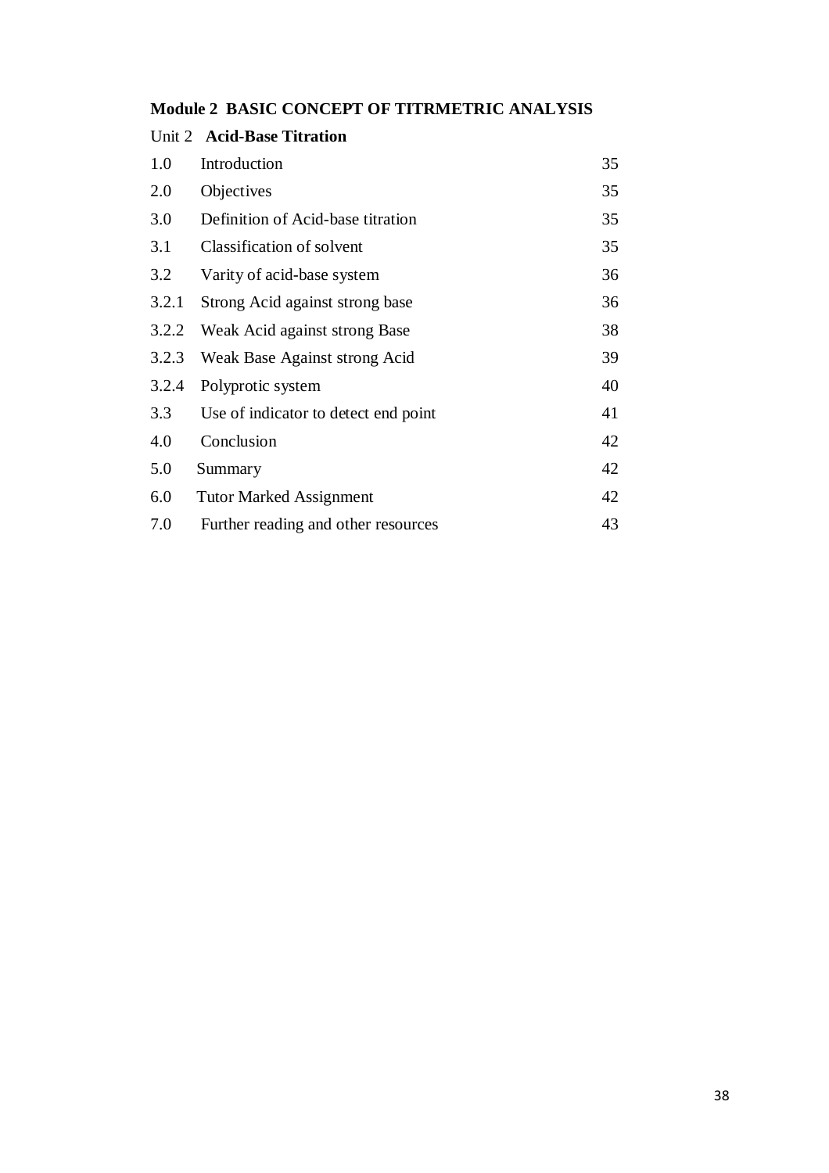# **Module 2 BASIC CONCEPT OF TITRMETRIC ANALYSIS**

|       | Unit 2 Acid-Base Titration           |    |
|-------|--------------------------------------|----|
| 1.0   | Introduction                         | 35 |
| 2.0   | Objectives                           | 35 |
| 3.0   | Definition of Acid-base titration    | 35 |
| 3.1   | Classification of solvent            | 35 |
| 3.2   | Varity of acid-base system           | 36 |
| 3.2.1 | Strong Acid against strong base      | 36 |
| 3.2.2 | Weak Acid against strong Base        | 38 |
| 3.2.3 | Weak Base Against strong Acid        | 39 |
| 3.2.4 | Polyprotic system                    | 40 |
| 3.3   | Use of indicator to detect end point | 41 |
| 4.0   | Conclusion                           | 42 |
| 5.0   | Summary                              | 42 |
| 6.0   | <b>Tutor Marked Assignment</b>       | 42 |
| 7.0   | Further reading and other resources  | 43 |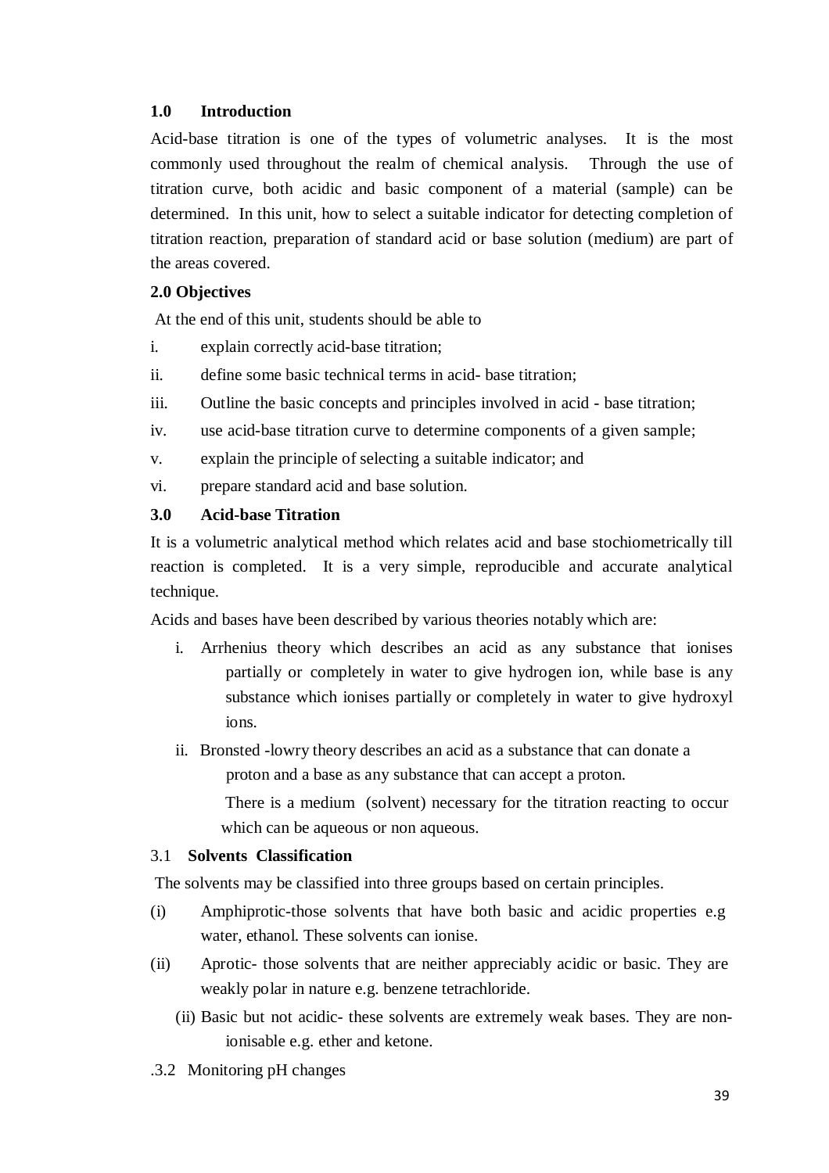# **1.0 Introduction**

Acid-base titration is one of the types of volumetric analyses. It is the most commonly used throughout the realm of chemical analysis. Through the use of titration curve, both acidic and basic component of a material (sample) can be determined. In this unit, how to select a suitable indicator for detecting completion of titration reaction, preparation of standard acid or base solution (medium) are part of the areas covered.

# **2.0 Objectives**

At the end of this unit, students should be able to

- i. explain correctly acid-base titration;
- ii. define some basic technical terms in acid- base titration;
- iii. Outline the basic concepts and principles involved in acid base titration;
- iv. use acid-base titration curve to determine components of a given sample;
- v. explain the principle of selecting a suitable indicator; and
- vi. prepare standard acid and base solution.

## **3.0 Acid-base Titration**

It is a volumetric analytical method which relates acid and base stochiometrically till reaction is completed. It is a very simple, reproducible and accurate analytical technique.

Acids and bases have been described by various theories notably which are:

- i. Arrhenius theory which describes an acid as any substance that ionises partially or completely in water to give hydrogen ion, while base is any substance which ionises partially or completely in water to give hydroxyl ions.
- ii. Bronsted -lowry theory describes an acid as a substance that can donate a proton and a base as any substance that can accept a proton.

There is a medium (solvent) necessary for the titration reacting to occur which can be aqueous or non aqueous.

#### 3.1 **Solvents Classification**

The solvents may be classified into three groups based on certain principles.

- (i) Amphiprotic-those solvents that have both basic and acidic properties e.g water, ethanol. These solvents can ionise.
- (ii) Aprotic- those solvents that are neither appreciably acidic or basic. They are weakly po lar in nature e.g. benzene tetrachloride.
	- (ii) Basic but not acidic- these solvents are extremely weak bases. They are nonionisable e.g. ether and ketone.
- .3.2 Monitoring pH changes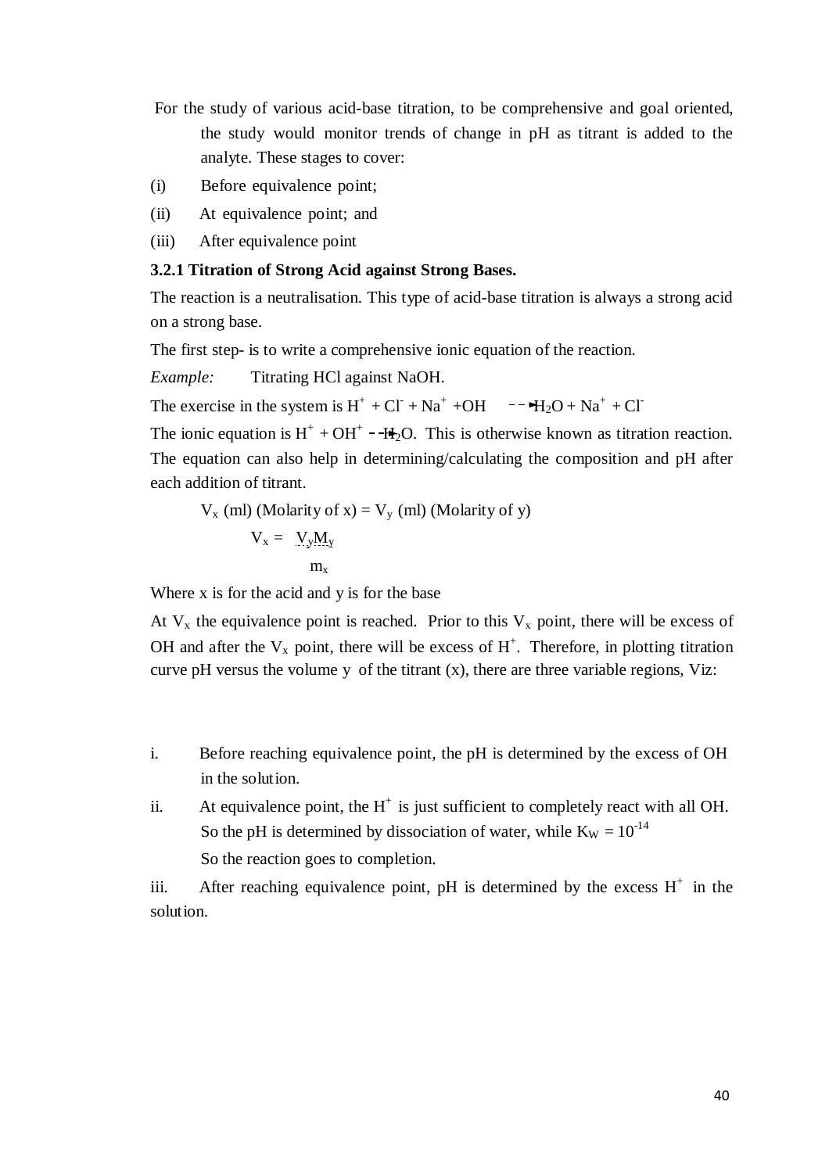- For the study of various acid-base titration, to be comprehensive and goal oriented, the study would monitor trends of change in pH as titrant is added to the analyte. These stages to cover:
- (i) Before equivalence point;
- (ii) At equivalence point; and
- (iii) After equivalence point

#### **3.2.1 Titration of Strong Acid against Strong Bases.**

The reaction is a neutralisation. This type of acid-base titration is always a strong acid on a strong base.

The first step- is to write a comprehensive ionic equation of the reaction.

*Example:* Titrating HCl against NaOH.

The exercise in the system is  $H^+ + CI + Na^+ + OH \rightarrow H_2O + Na^+ + CI$ 

The ionic equation is  $H^+ + OH^+ - H_2O$ . This is otherwise known as titration reaction. The equation can also help in determining/calculating the composition and pH after each addition of titrant.

$$
V_x \text{ (ml) (Molarity of x)} = V_y \text{ (ml) (Molarity of y)}
$$
  

$$
V_x = V_y M_y
$$
  

$$
m_x
$$

Where x is for the acid and y is for the base

At  $V_x$  the equivalence point is reached. Prior to this  $V_x$  point, there will be excess of OH and after the  $V_x$  point, there will be excess of  $H^+$ . Therefore, in plotting titration curve pH versus the volume y of the titrant  $(x)$ , there are three variable regions, Viz:

- i. Before reaching equivalence point, the pH is determined by the excess of OH in the solution.
- ii. At equivalence point, the  $H^+$  is just sufficient to completely react with all OH. So the pH is determined by dissociation of water, while  $K_W = 10^{-14}$ So the reaction goes to completion.

iii. After reaching equivalence point, pH is determined by the excess  $H^+$  in the solut ion.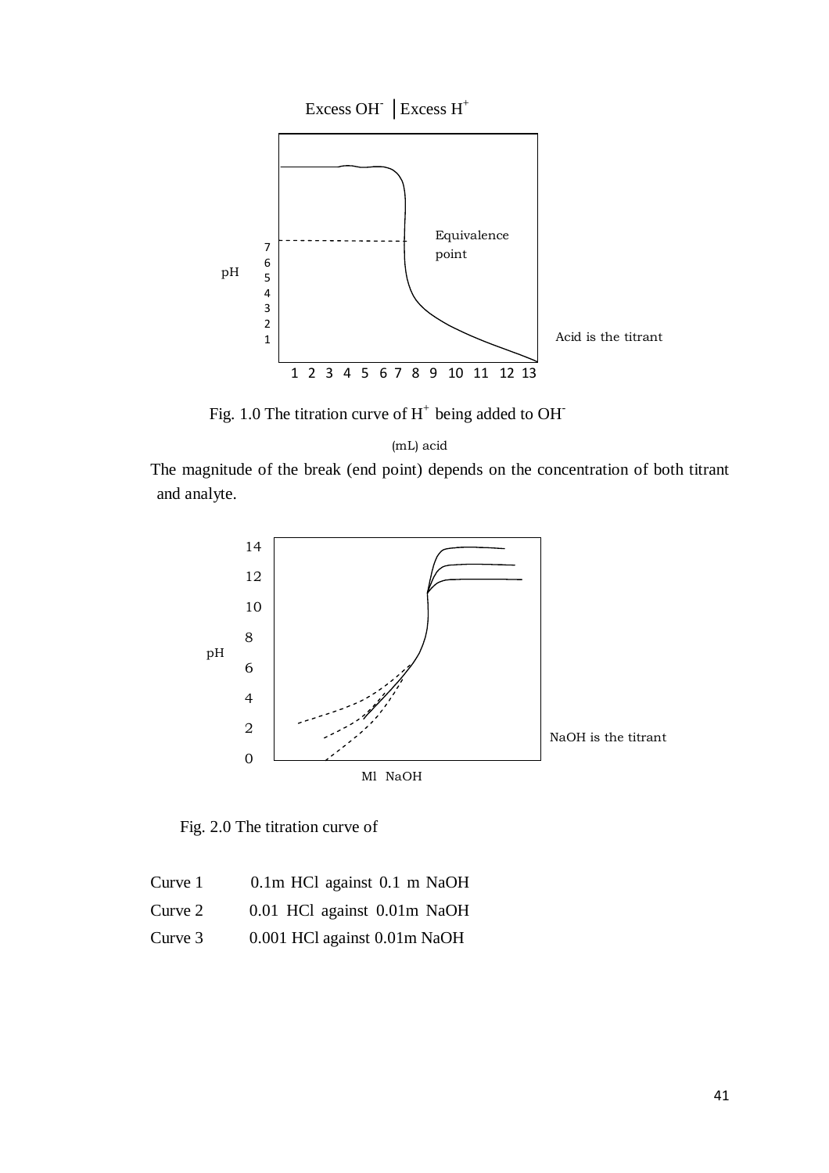

Fig. 1.0 The titration curve of  $H^+$  being added to OH $^-$ 

(mL) acid

The magnitude of the break (end point) depends on the concentration of both titrant and analyte.



Fig. 2.0 The titration curve of

| Curve 1 |  | 0.1m HCl against 0.1 m NaOH |  |  |
|---------|--|-----------------------------|--|--|
| Curve 2 |  | 0.01 HCl against 0.01m NaOH |  |  |

Curve 3 0.001 HCl against 0.01m NaOH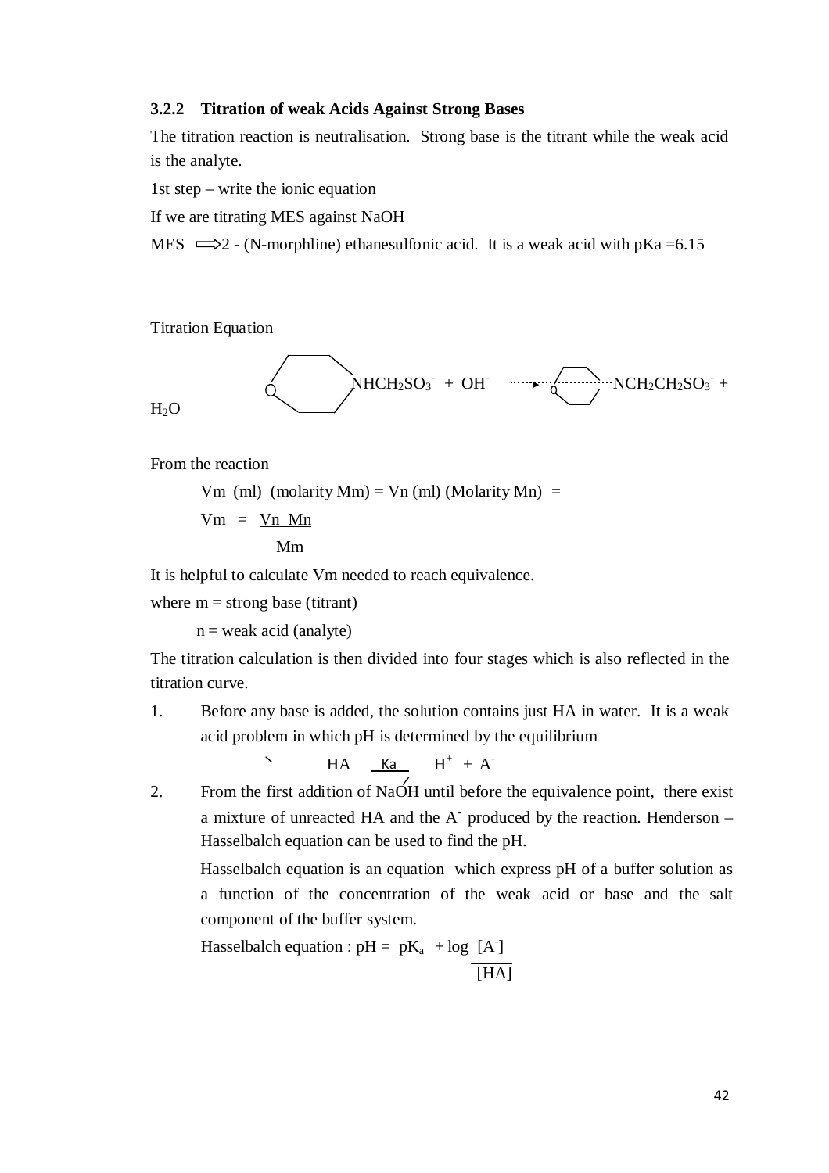#### **3.2.2 Titration of weak Acids Against Strong Bases**

The titration reaction is neutralisation. Strong base is the titrant while the weak acid is the analyte.

1st step – write the ionic equation

If we are titrating MES against NaOH

MES  $\implies$  2 - (N-morphline) ethanesulfonic acid. It is a weak acid with pKa =6.15

**Titration Equation** 

$$
H_2O
$$

From the reaction

Vm (ml) (molarity Mm) = Vn (ml) (Molarity Mn) =

 $Vm = Vn$  Mn

Mm

It is helpful to calculate Vm needed to reach equivalence.

where  $m =$  strong base (titrant)

 $n =$  weak acid (analyte)

The titration calculation is then divided into four stages which is also reflected in the titration curve.

1. Before any base is added, the solution contains just HA in water. It is a weak acid problem in which pH is determined by the equilibrium

$$
\begin{array}{c}\nHA \quad \underline{\underline{Ka}} \quad H^+ \ + A^-\n\end{array}
$$

2. From the first addition of NaOH until before the equivalence point, there exist a mixture of unreacted HA and the A- produced by the reaction. Henderson – Hasselbalch equation can be used to find the pH.

Hasselbalch equation is an equation which express pH of a buffer solution as a function of the concentration of the weak acid or base and the salt component of the buffer system.

Hasselbalch equation :  $pH = pK_a + log [A]$  $\overline{[HA]}$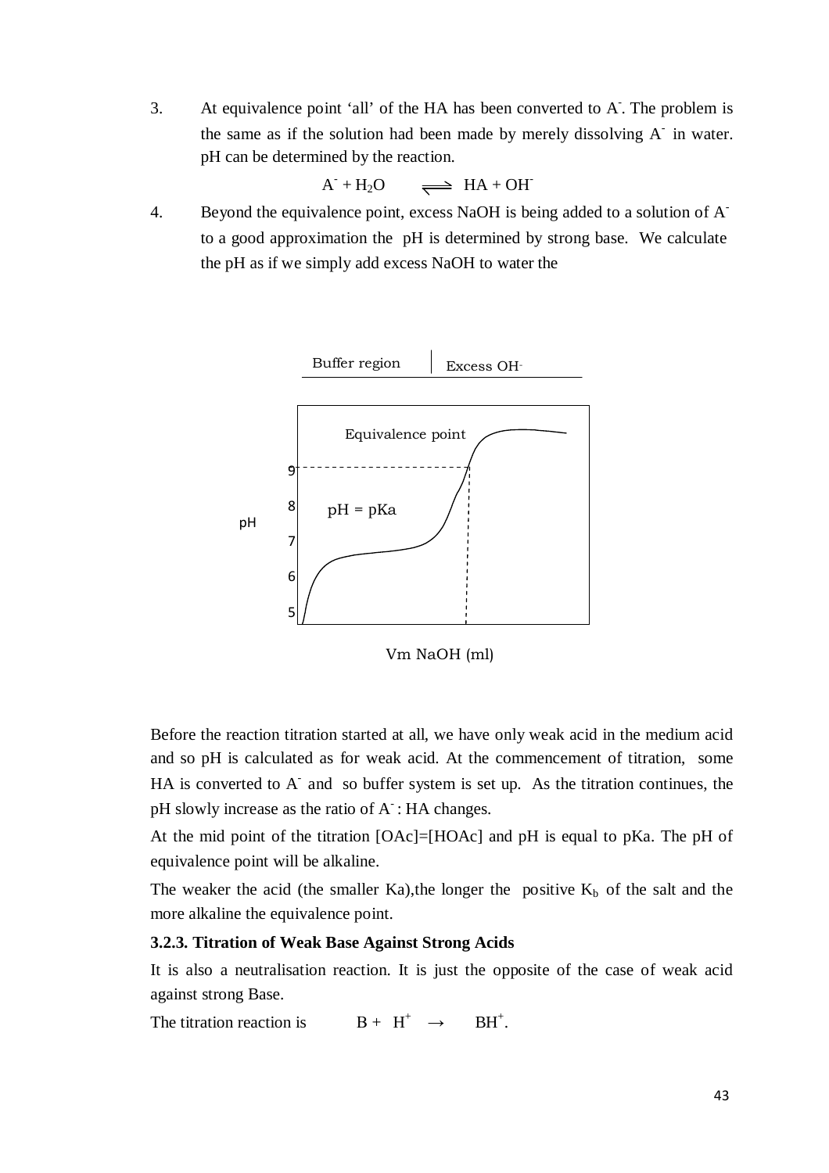3. At equivalence point 'all' of the HA has been converted to A. The problem is the same as if the solution had been made by merely dissolving  $A^-$  in water. pH can be determined by the reaction.

$$
A^{\cdot} + H_2O \qquad \Longrightarrow \text{HA} + OH^{\cdot}
$$

4. Beyond the equivalence point, excess NaOH is being added to a solution of Ato a good approximation the pH is determined by strong base. We calculate the pH as if we simply add excess NaOH to water the



Vm NaOH (ml)

Before the reaction titration started at all, we have only weak acid in the medium acid and so pH is calculated as for weak acid. At the commencement of titration, some  $HA$  is converted to  $A^-$  and so buffer system is set up. As the titration continues, the pH slowly increase as the ratio of  $A^-$ : HA changes.

At the mid point of the titration [OAc]=[HOAc] and pH is equal to pKa. The pH of equivalence point will be alkaline.

The weaker the acid (the smaller Ka), the longer the positive  $K_b$  of the salt and the more alkaline the equivalence point.

#### **3.2.3. Titration of Weak Base Against Strong Acids**

It is also a neutralisation reaction. It is just the opposite of the case of weak acid against strong Base.

The titration reaction is  $B + H^+ \rightarrow$  $RH^+$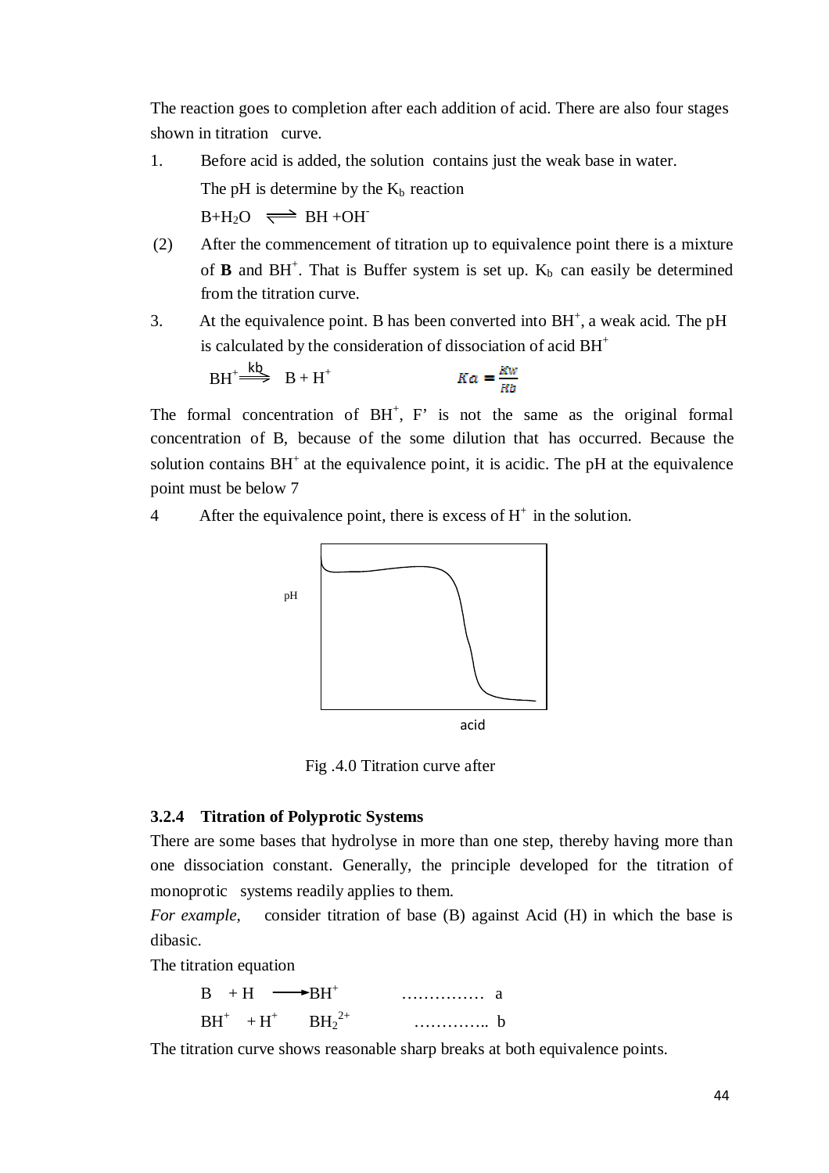The reaction goes to completion after each addition of acid. There are also four stages shown in titration curve.

- 1. Before acid is added, the solution contains just the weak base in water. The pH is determine by the  $K_b$  reaction  $B+H_2O \implies BH+OH^-$
- (2) After the commencement of titration up to equivalence point there is a mixture of **B** and  $BH^+$ . That is Buffer system is set up.  $K_b$  can easily be determined from the titration curve.
- 3. At the equivalence point. B has been converted into  $BH<sup>+</sup>$ , a weak acid. The pH is calculated by the consideration of dissociation of acid  $BH<sup>+</sup>$

$$
BH^+ \stackrel{k\&}{\Longrightarrow} B + H^+ \qquad Ka = \frac{Kw}{Kh}
$$

The formal concentration of  $BH^+$ ,  $F'$  is not the same as the original formal concentration of B, because of the some dilution that has occurred. Because the solution contains  $BH<sup>+</sup>$  at the equivalence point, it is acidic. The pH at the equivalence point must be below 7

4 After the equivalence point, there is excess of  $H^+$  in the solution.



Fig .4.0 Titration curve after

#### **3.2.4 Titration of Polyprotic Systems**

There are some bases that hydrolyse in more than one step, thereby having more than one dissociation constant. Generally, the principle developed for the titration of monoprotic systems readily applies to them.

*For example*, consider titration of base (B) against Acid (H) in which the base is dibasic.

The titration equation

|       | . | - a |
|-------|---|-----|
| D LI. | . |     |

The titration curve shows reasonable sharp breaks at both equivalence points.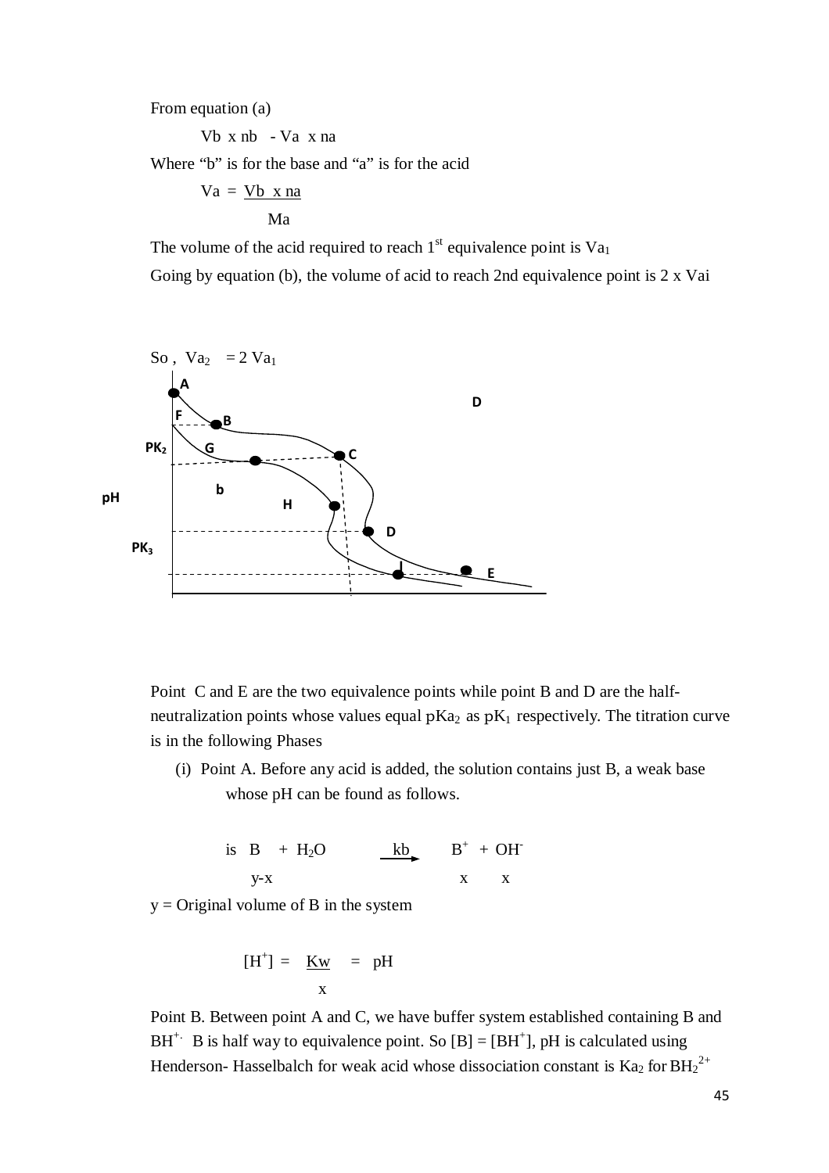From equation (a)

Vb x nb - Va x na

Where "b" is for the base and "a" is for the acid

$$
Va = \frac{Vb \times na}{Ma}
$$

The volume of the acid required to reach  $1<sup>st</sup>$  equivalence point is  $Va<sub>1</sub>$ 

Going by equation (b), the volume of acid to reach 2nd equivalence point is 2 x Vai



Point C and E are the two equivalence points while point B and D are the halfneutralization points whose values equal  $pKa_2$  as  $pK_1$  respectively. The titration curve is in the following Phases

(i) Point A. Before any acid is added, the solution contains just B, a weak base whose pH can be found as follows.

is  $B + H<sub>2</sub>O$  kb  $B<sup>+</sup> + OH$  $y-x$  x x x

 $y =$ Original volume of B in the system

$$
[H^+] = \underline{Kw} = pH
$$
  

$$
x
$$

Point B. Between point A and C, we have buffer system established containing B and BH<sup>+.</sup> B is half way to equivalence point. So  $[B] = [BH^+]$ , pH is calculated using Henderson- Hasselbalch for weak acid whose dissociation constant is  $Ka_2$  for  $BH_2^{2+}$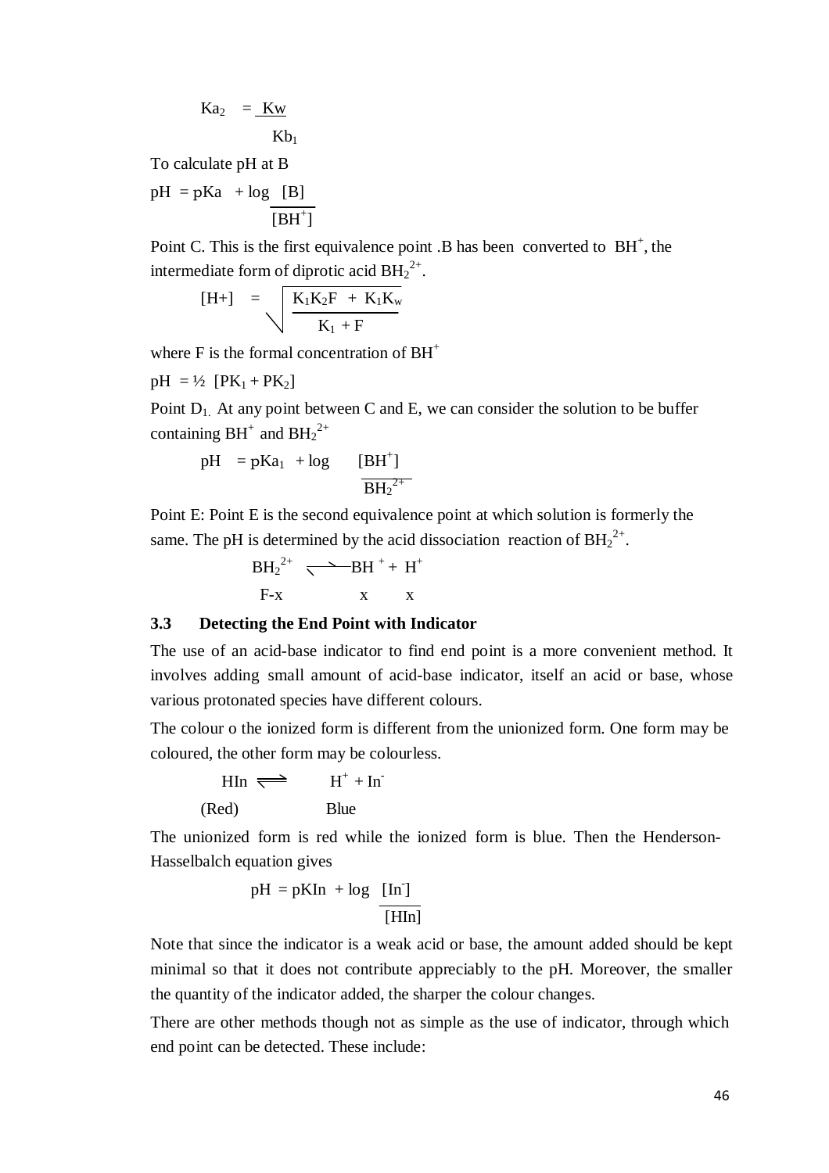$$
Ka_2 = \underline{Kw} \nKb_1
$$

To calculate pH at B

 $pH = pKa + log [B]$  $[BH^+]$ 

Point C. This is the first equivalence point  $B$  has been converted to  $BH<sup>+</sup>$ , the intermediate form of diprotic acid  $BH<sub>2</sub><sup>2+</sup>$ .

$$
[H+]\quad =\quad \sqrt{\frac{K_1K_2F\;+\;K_1K_w}{K_1\;+\;F}}
$$

where  $F$  is the formal concentration of  $BH<sup>+</sup>$ 

 $pH = \frac{1}{2} [PK_1 + PK_2]$ 

Point  $D_1$ . At any point between C and E, we can consider the solution to be buffer containing  $BH^+$  and  $BH_2^{2+}$ 

$$
pH = pKa_1 + log \t[BH^+] \over \overline{BH_2^{2+}}
$$

Point E: Point E is the second equivalence point at which solution is formerly the same. The pH is determined by the acid dissociation reaction of  $BH<sub>2</sub><sup>2+</sup>$ .

> $BH_2^{2+} \rightarrow BH^+ + H^+$  $F-x$   $x$   $x$

# **3.3 Detecting the End Point with Indicator**

The use of an acid-base indicator to find end point is a more convenient method. It involves adding small amount of acid-base indicator, itself an acid or base, whose various protonated species have different colours.

The colour o the ionized form is different from the unionized form. One form may be coloured, the other form may be colourless.

$$
HIn \iff H^+ + In^-
$$
  
(Red) Blue

The unionized form is red while the ionized form is blue. Then the Henderson-Hasselbalch equation gives

$$
pH = pKIn + log \frac{[In]}{[HIn]}
$$

Note that since the indicator is a weak acid or base, the amount added should be kept minimal so that it does not contribute appreciably to the pH. Moreover, the smaller the quantity of the indicator added, the sharper the colour changes.

There are other methods though not as simple as the use of indicator, through which end point can be detected. These include: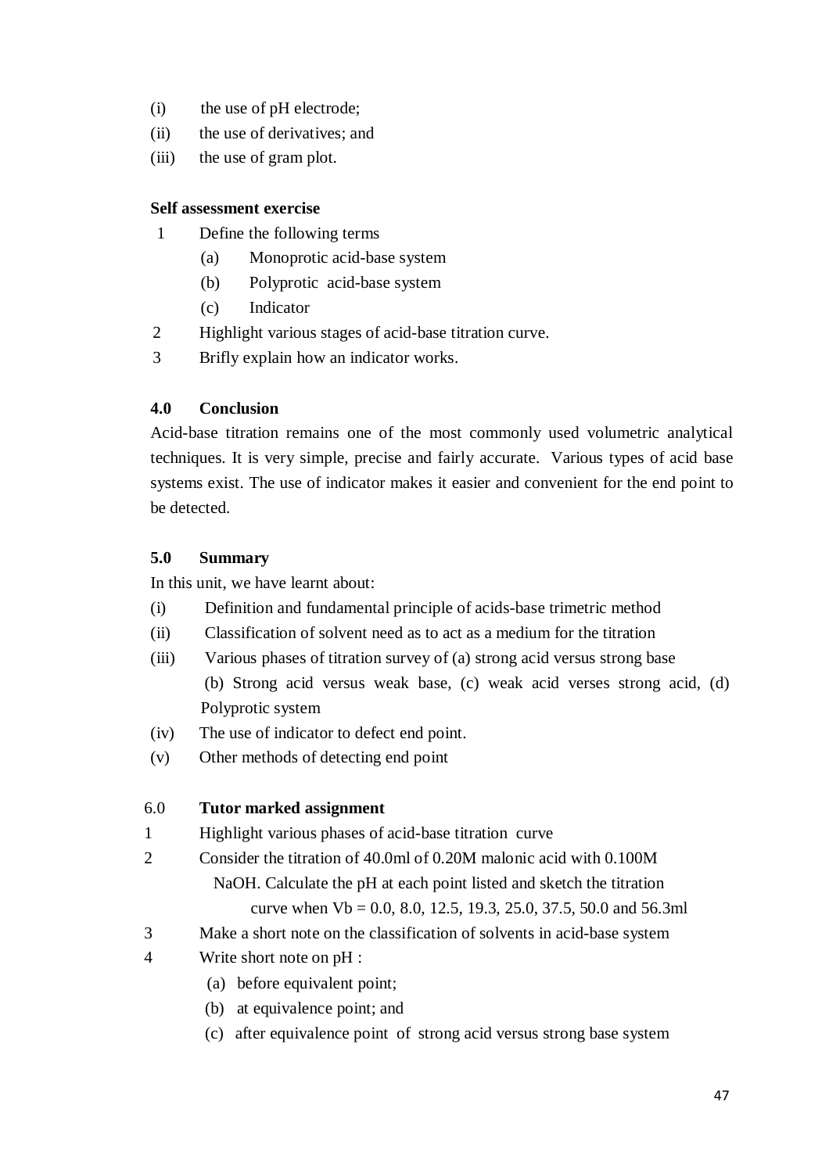- (i) the use of pH electrode;
- (ii) the use of derivatives; and
- (iii) the use of gram plot.

## **Self assessment exercise**

- 1 Define the following terms
	- (a) Monoprotic acid-base system
	- (b) Polyprotic acid-base system
	- (c) Indicator
- 2 Highlight various stages of acid-base titration curve.
- 3 Brifly explain how an indicator works.

# **4.0 Conclusion**

Acid-base titration remains one of the most commonly used volumetric analytical techniques. It is very simple, precise and fairly accurate. Various types of acid base systems exist. The use of indicator makes it easier and convenient for the end point to be detected.

# **5.0 Summary**

In this unit, we have learnt about:

- (i) Definition and fundamental principle of acids-base trimetric method
- (ii) Classification of solvent need as to act as a medium for the titration
- (iii) Various phases of titration survey of (a) strong acid versus strong base (b) Strong acid versus weak base, (c) weak acid verses strong acid, (d) Polyprotic system
- (iv) The use of indicator to defect end point.
- (v) Other methods of detecting end point

# 6.0 **Tutor marked assignment**

- 1 Highlight various phases of acid-base titration curve
- 2 Consider the titration of 40.0ml of 0.20M malonic acid with 0.100M NaOH. Calculate the pH at each point listed and sketch the titration curve when Vb = 0.0, 8.0, 12.5, 19.3, 25.0, 37.5, 50.0 and 56.3ml
- 3 Make a short note on the classification of solvents in acid-base system
- 4 Write short note on pH :
	- (a) before equivalent point;
	- (b) at equivalence point; and
	- (c) after equivalence point of strong acid versus strong base system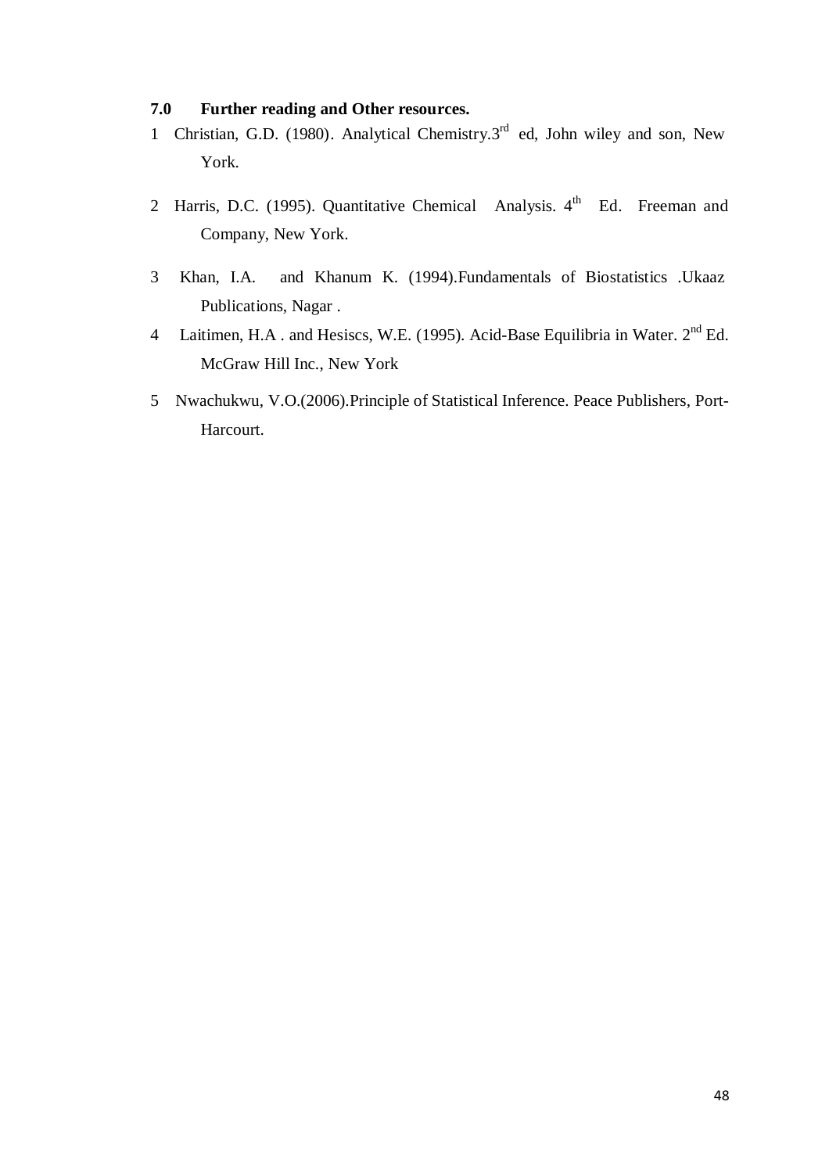## **7.0 Further reading and Other resources.**

- 1 Christian, G.D. (1980). Analytical Chemistry.3<sup>rd</sup> ed, John wiley and son, New York.
- 2 Harris, D.C. (1995). Quantitative Chemical Analysis.  $4<sup>th</sup>$  Ed. Freeman and Company, New York.
- 3 Khan, I.A. and Khanum K. (1994).Fundamentals of Biostatistics .Ukaaz Publications, Nagar .
- 4 Laitimen, H.A. and Hesiscs, W.E. (1995). Acid-Base Equilibria in Water. 2<sup>nd</sup> Ed. McGraw Hill Inc., New York
- 5 Nwachukwu, V.O.(2006).Principle of Statistical Inference. Peace Publishers, Port-Harcourt.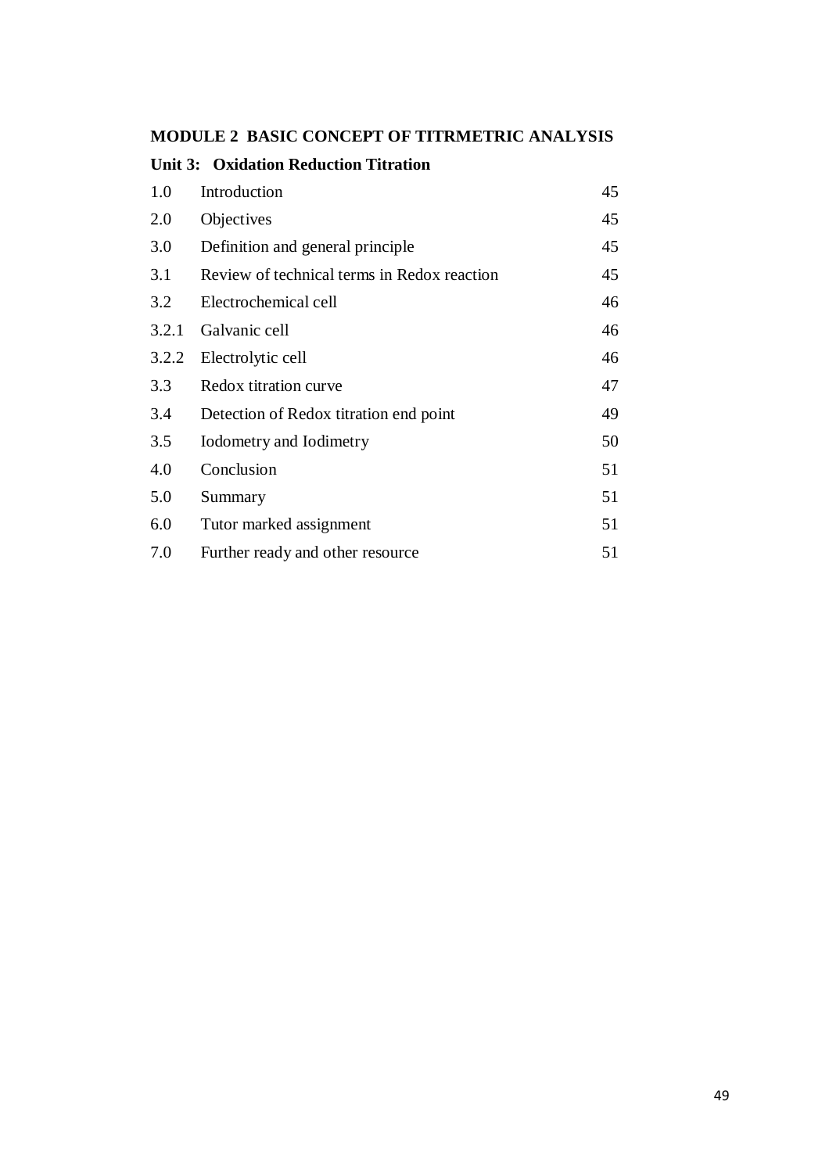# **MODULE 2 BASIC CONCEPT OF TITRMETRIC ANALYSIS**

| <b>Unit 3: Oxidation Reduction Titration</b> |                                             |    |  |
|----------------------------------------------|---------------------------------------------|----|--|
| 1.0                                          | Introduction                                | 45 |  |
| 2.0                                          | Objectives                                  | 45 |  |
| 3.0                                          | Definition and general principle            | 45 |  |
| 3.1                                          | Review of technical terms in Redox reaction | 45 |  |
| 3.2                                          | Electrochemical cell                        | 46 |  |
| 3.2.1                                        | Galvanic cell                               | 46 |  |
| 3.2.2                                        | Electrolytic cell                           | 46 |  |
| 3.3                                          | Redox titration curve                       | 47 |  |
| 3.4                                          | Detection of Redox titration end point      | 49 |  |
| 3.5                                          | Iodometry and Iodimetry                     | 50 |  |
| 4.0                                          | Conclusion                                  | 51 |  |
| 5.0                                          | Summary                                     | 51 |  |
| 6.0                                          | Tutor marked assignment                     | 51 |  |
| 7.0                                          | Further ready and other resource            | 51 |  |
|                                              |                                             |    |  |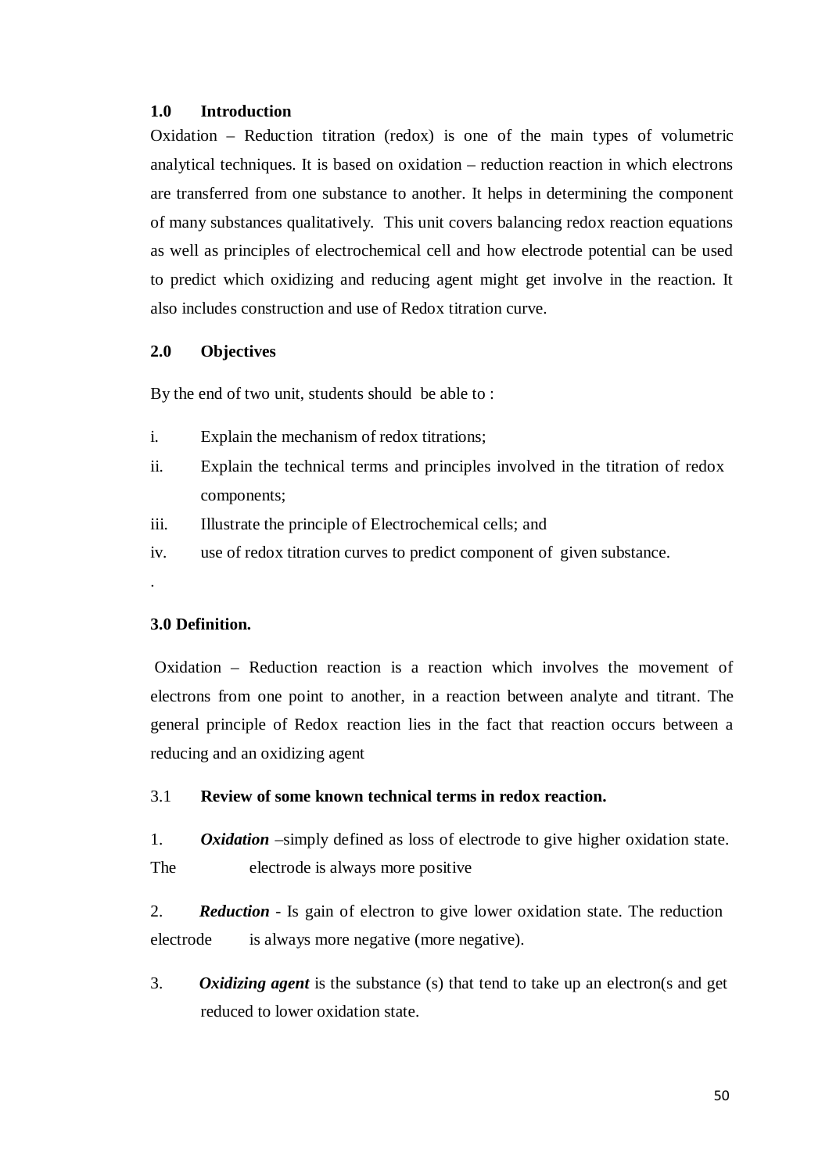#### **1.0 Introduction**

Oxidation – Reduction titration (redox) is one of the main types of volumetric analytical techniques. It is based on oxidation – reduction reaction in which electrons are transferred from one substance to another. It helps in determining the component of many substances qualitatively. This unit covers balancing redox reaction equations as well as principles of electrochemical cell and how electrode potential can be used to predict which oxidizing and reducing agent might get involve in the reaction. It also includes construction and use of Redox titration curve.

## **2.0 Objectives**

By the end of two unit, students should be able to :

- i. Explain the mechanism of redox titrations;
- ii. Explain the technical terms and principles involved in the titration of redox components;
- iii. Illustrate the principle of Electrochemical cells; and
- iv. use of redox titration curves to predict component of given substance.

# **3.0 Definition.**

.

Oxidation – Reduction reaction is a reaction which involves the movement of electrons from one point to another, in a reaction between analyte and titrant. The general principle of Redox reaction lies in the fact that reaction occurs between a reducing and an oxidizing agent

#### 3.1 **Review of some known technical terms in redox reaction.**

1. *Oxidation –*simply defined as loss of electrode to give higher oxidation state. The electrode is always more positive

2. *Reduction* - Is gain of electron to give lower oxidation state. The reduction electrode is always more negative (more negative).

3. *Oxidizing agent* is the substance (s) that tend to take up an electron(s and get reduced to lower oxidation state.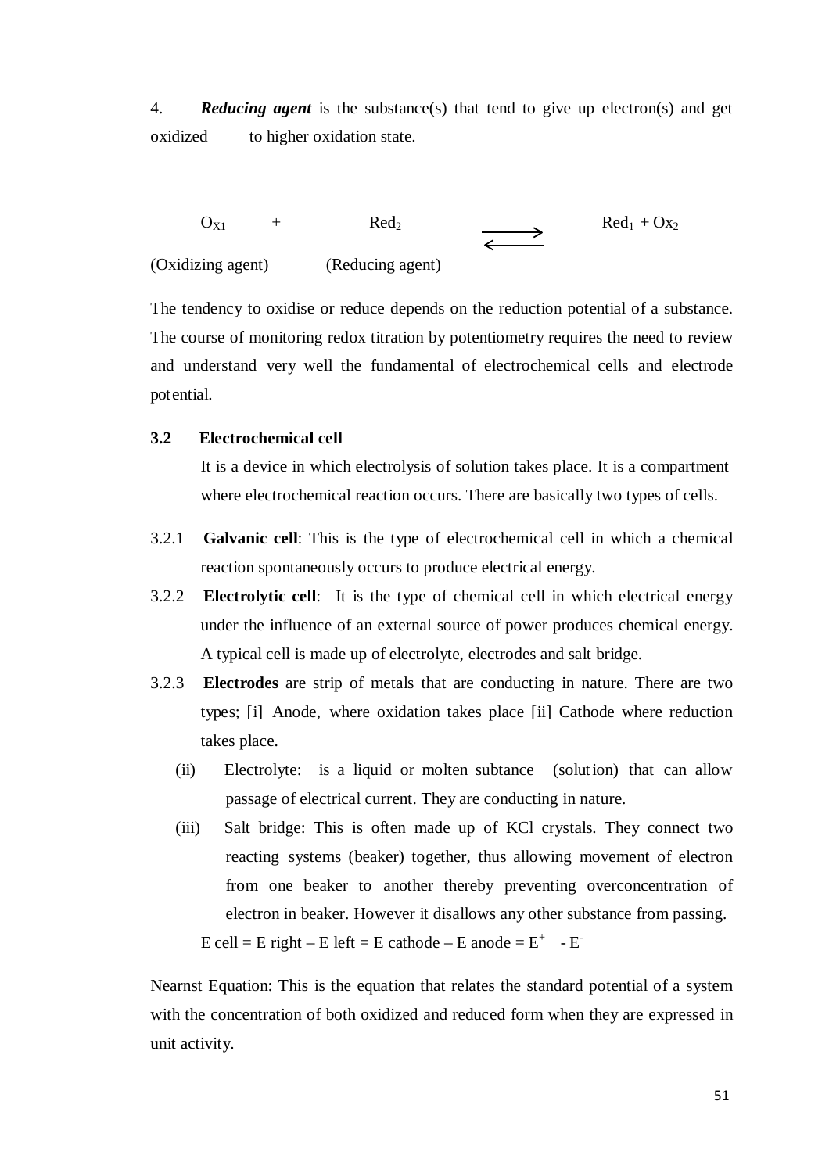4. *Reducing agent* is the substance(s) that tend to give up electron(s) and get oxidized to higher oxidation state.

 $O_{X1}$  + Red<sub>2</sub>  $\longrightarrow$  Red<sub>1</sub> + Ox<sub>2</sub> (Oxidizing agent) (Reducing agent)

The tendency to oxidise or reduce depends on the reduction potential of a substance. The course of monitoring redox titration by potentiometry requires the need to review and understand very well the fundamental of electrochemical cells and electrode pot ential.

#### **3.2 Electrochemical cell**

It is a device in which electrolysis of solution takes place. It is a compartment where electrochemical reaction occurs. There are basically two types of cells.

- 3.2.1 **Galvanic cell**: This is the type of electrochemical cell in which a chemical reaction spontaneously occurs to produce electrical energy.
- 3.2.2 **Electrolytic cell**: It is the type of chemical cell in which electrical energy under the influence of an external source of power produces chemical energy. A typical cell is made up of electrolyte, electrodes and salt bridge.
- 3.2.3 **Electrodes** are strip of metals that are conducting in nature. There are two types; [i] Anode, where oxidation takes place [ii] Cathode where reduction takes place.
	- (ii) Electrolyte: is a liquid or molten subtance (solution) that can allow passage of electrical current. They are conducting in nature.
	- (iii) Salt bridge: This is often made up of KCl crystals. They connect two reacting systems (beaker) together, thus allowing movement of electron from one beaker to another thereby preventing overconcentration of electron in beaker. However it disallows any other substance from passing.

 $E$  cell = E right – E left = E cathode – E anode =  $E^+$  - E<sup>-</sup>

Nearnst Equation: This is the equation that relates the standard potential of a system with the concentration of both oxidized and reduced form when they are expressed in unit activity.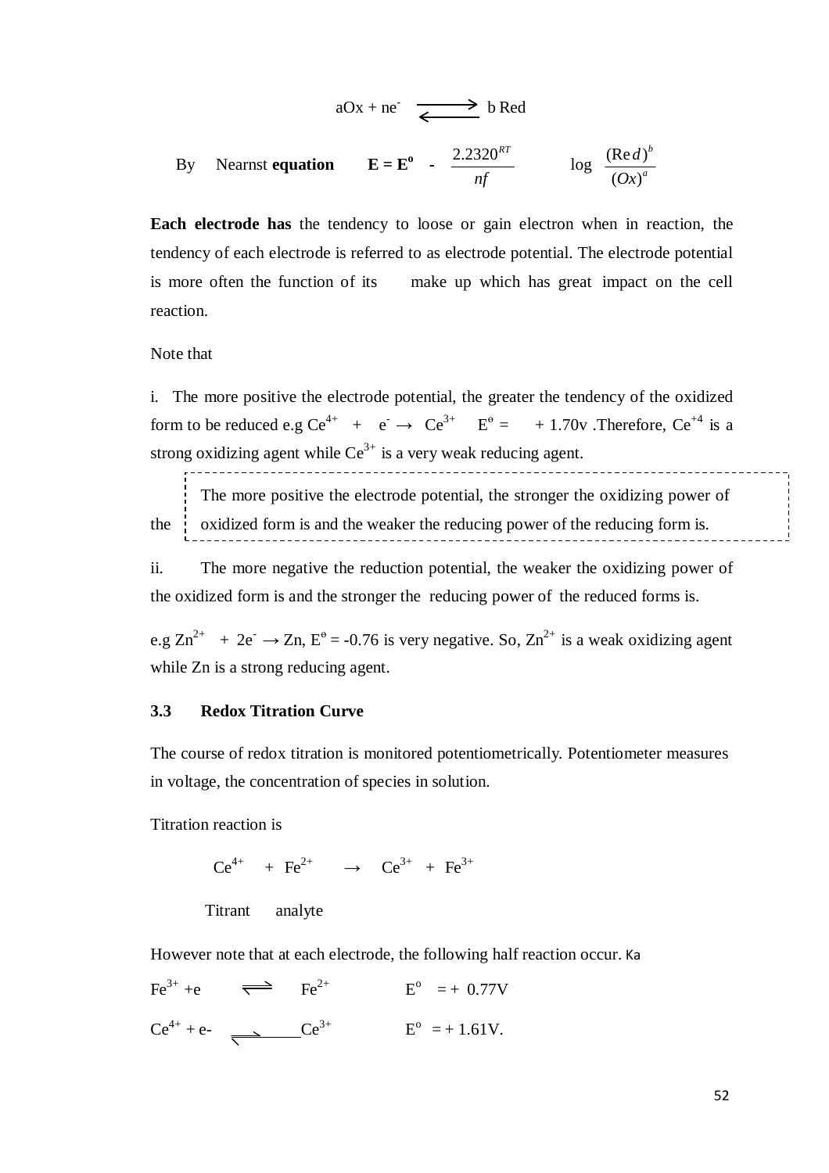$$
aOx + ne^- \xrightarrow{\longleftarrow} bRed
$$

By Nearnst **equation**  $\frac{2.2320^{RT}}{4.25}$ *nf*  $\log \frac{(\text{Re } d)^b}{\left(\text{Im } d\right)^b}$  $(Ox)^a$ 

**Each electrode has** the tendency to loose or gain electron when in reaction, the tendency of each electrode is referred to as electrode potential. The electrode potential is more often the function of its make up which has great impact on the cell reaction.

Note that

i. The more positive the electrode potential, the greater the tendency of the oxidized form to be reduced e.g Ce<sup>4+</sup> + e<sup>-</sup>  $\rightarrow$  Ce<sup>3+</sup> E<sup>o</sup> = + 1.70v . Therefore, Ce<sup>+4</sup> is a strong oxidizing agent while  $Ce^{3+}$  is a very weak reducing agent.

The more positive the electrode potential, the stronger the oxidizing power of the  $\frac{1}{x}$  oxidized form is and the weaker the reducing power of the reducing form is.

ii. The more negative the reduction potential, the weaker the oxidizing power of the oxidized form is and the stronger the reducing power of the reduced forms is.

e.g  $\text{Zn}^{2+}$  + 2e<sup>-</sup>  $\rightarrow$  Zn, E<sup>o</sup> = -0.76 is very negative. So, Zn<sup>2+</sup> is a weak oxidizing agent while Zn is a strong reducing agent.

#### **3.3 Redox Titration Curve**

The course of redox titration is monitored potentiometrically. Potentiometer measures in voltage, the concentration of species in solution.

Titration reaction is

 $Ce^{4+}$  + Fe<sup>2+</sup> →  $Ce^{3+}$  + Fe<sup>3+</sup>

Titrant analyte

However note that at each electrode, the following half reaction occur. Ka

 $\text{Fe}^{3+}$  +e  $\implies$   $\text{Fe}^{2+}$  $E^{\rm o} = + 0.77V$  $Ce^{4+} + e^ \longrightarrow$   $Ce^{3+}$   $E^{\circ} = +1.61V$ .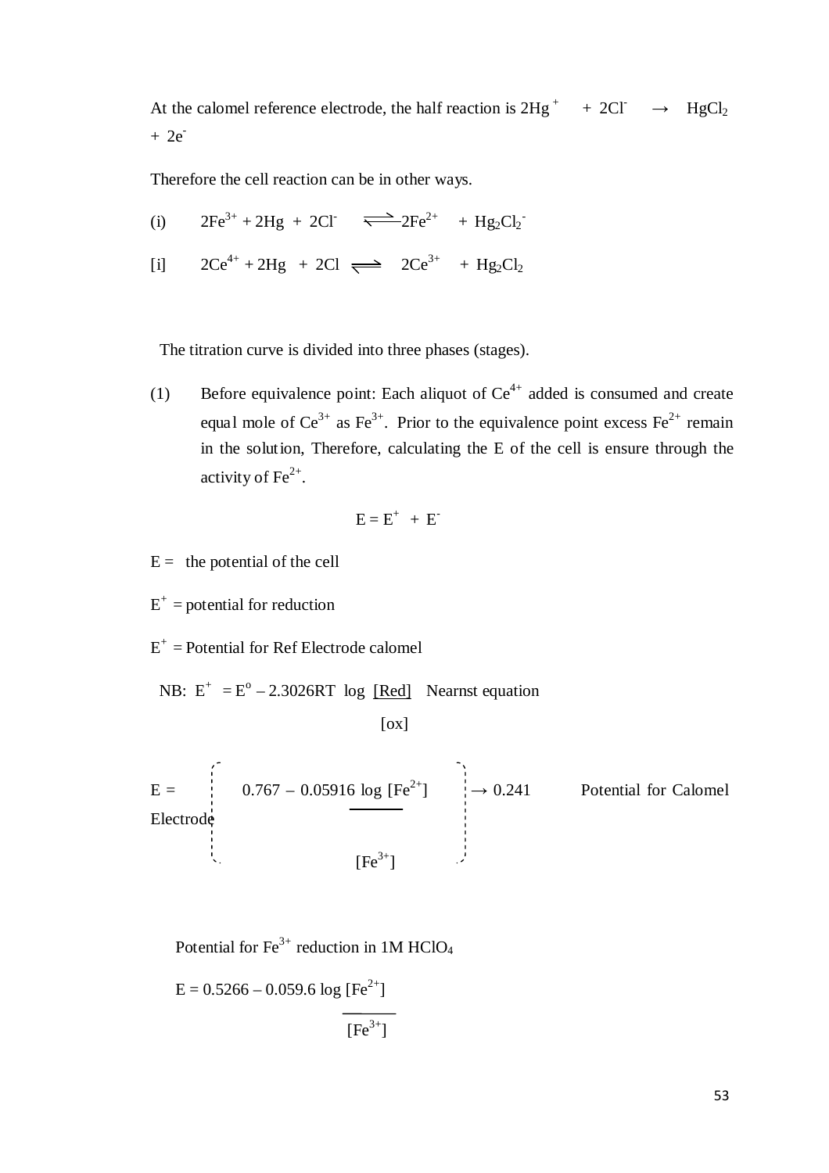At the calomel reference electrode, the half reaction is  $2Hg^+ + 2CI^- \rightarrow HgCl_2$  $+ 2e^-$ 

Therefore the cell reaction can be in other ways.

(i)  $2Fe^{3+} + 2Hg + 2CI \implies 2Fe^{2+} + Hg_2Cl_2$ [i]  $2Ce^{4+} + 2Hg + 2Cl \implies 2Ce^{3+} + Hg_2Cl_2$ 

The titration curve is divided into three phases (stages).

(1) Before equivalence point: Each aliquot of  $Ce^{4+}$  added is consumed and create equal mole of  $Ce^{3+}$  as Fe<sup>3+</sup>. Prior to the equivalence point excess Fe<sup>2+</sup> remain in the solut ion, Therefore, calculating the E of the cell is ensure through the activity of  $\text{Fe}^{2+}$ .

$$
E = E^+ + E^-
$$

 $E =$  the potential of the cell

 $E^+$  = potential for reduction

 $E^+$  = Potential for Ref Electrode calomel

NB:  $E^+ = E^0 - 2.3026RT$  log [Red] Nearnst equation

 $[ox]$ 

 $E =$  : 0.767 – 0.05916 log [Fe<sup>2+</sup>]  $\rightarrow$  0.241 Potential for Calomel Electrode  $[Fe^{3+}]$ 

Potential for  $Fe^{3+}$  reduction in 1M HClO<sub>4</sub>

$$
E = 0.5266 - 0.059.6 \log [Fe^{2+}]
$$
  
[Fe<sup>3+</sup>]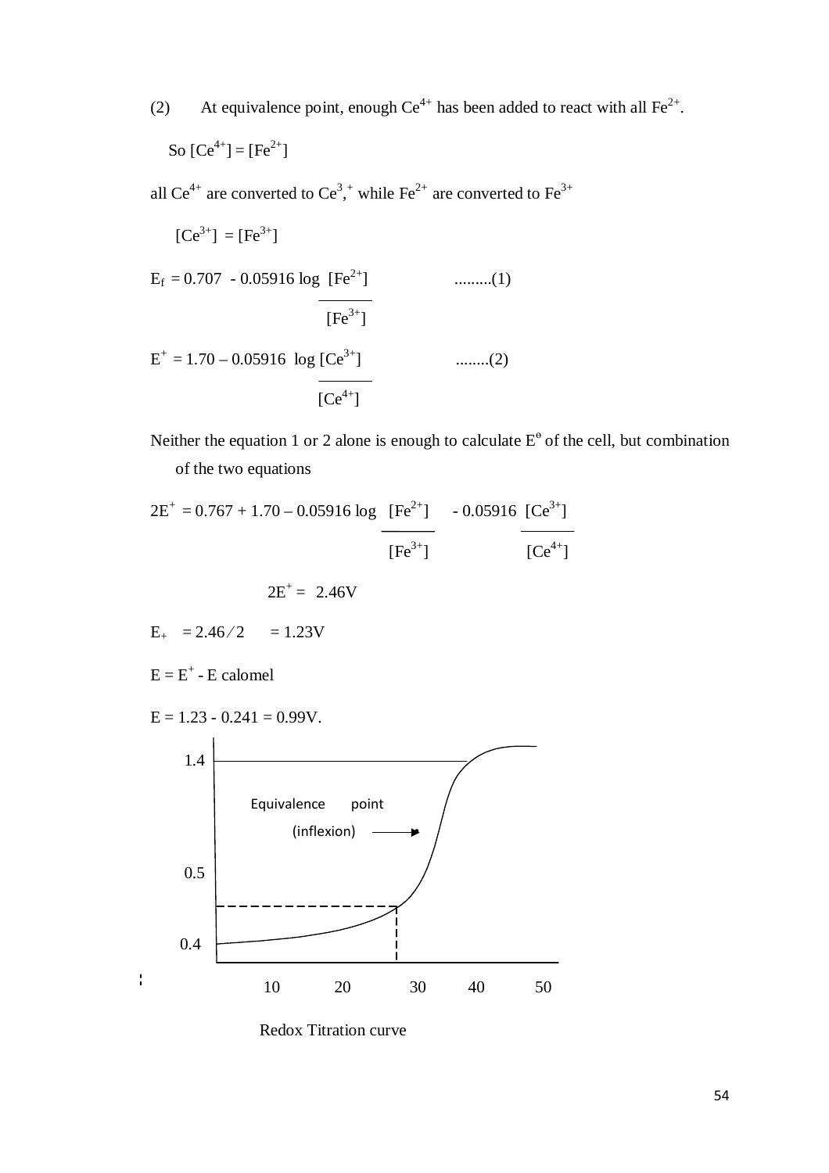(2) At equivalence point, enough  $Ce^{4+}$  has been added to react with all  $Fe^{2+}$ .

So 
$$
[Ce^{4+}] = [Fe^{2+}]
$$

all Ce<sup>4+</sup> are converted to Ce<sup>3</sup>,<sup>+</sup> while Fe<sup>2+</sup> are converted to Fe<sup>3+</sup>

$$
[Ce3+] = [Fe3+]
$$
  
\nE<sub>f</sub> = 0.707 - 0.05916 log [Fe<sup>2+</sup>]  
\n
$$
\frac{[Fe3+]}{[Fe3+]}}
$$
........(1)  
\nE<sup>+</sup> = 1.70 - 0.05916 log [Ce<sup>3+</sup>]  
\n[Ce<sup>4+</sup>]  
\n........(2)

Neither the equation 1 or 2 alone is enough to calculate  $E^{\theta}$  of the cell, but combination of the two equations

$$
2E^{+} = 0.767 + 1.70 - 0.05916 \log \frac{[Fe^{2+}]}{[Fe^{3+}]}
$$
 - 0.05916 [Ce<sup>3+</sup>]  
 
$$
[Fe^{3+}]
$$

$$
E_{+} = 2.46/2 = 1.23V
$$

 $E = E^+ - E$  calomel

 $\frac{1}{4}$ 

$$
E = 1.23 - 0.241 = 0.99V.
$$



Redox Titration curve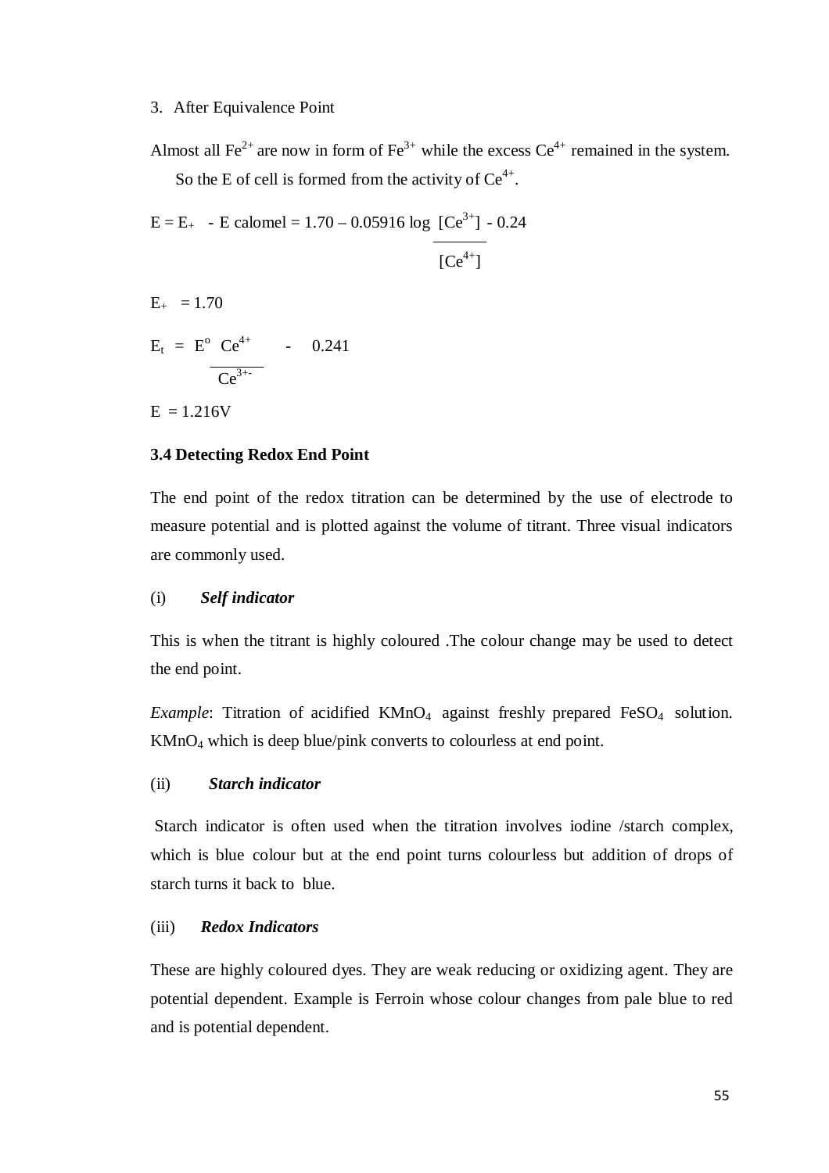#### 3. After Equivalence Point

Almost all Fe<sup>2+</sup> are now in form of Fe<sup>3+</sup> while the excess  $Ce^{4+}$  remained in the system. So the E of cell is formed from the activity of  $Ce^{4+}$ .

 $E = E_{+}$  - E calomel = 1.70 – 0.05916 log [Ce<sup>3+</sup>] - 0.24

$$
[Ce^{4+}]
$$

- $E_{+}$  = 1.70
- $E_t = E^{\circ} Ce^{4+}$  0.241  $\frac{Ce^{3+1}}{1}$

 $E = 1.216V$ 

## **3.4 Detecting Redox End Point**

The end point of the redox titration can be determined by the use of electrode to measure potential and is plotted against the volume of titrant. Three visual indicators are commonly used.

#### (i) *Self indicator*

This is when the titrant is highly coloured .The colour change may be used to detect the end point.

*Example*: Titration of acidified KMnO<sub>4</sub> against freshly prepared FeSO<sub>4</sub> solution. KMnO4 which is deep blue/pink converts to colourless at end point.

#### (ii) *Starch indicator*

Starch indicator is often used when the titration involves iodine /starch complex, which is blue colour but at the end point turns colour less but addition of drops of starch turns it back to blue.

#### (iii) *Redox Indicators*

These are highly coloured dyes. They are weak reducing or oxidizing agent. They are potential dependent. Example is Ferroin whose colour changes from pale blue to red and is potential dependent.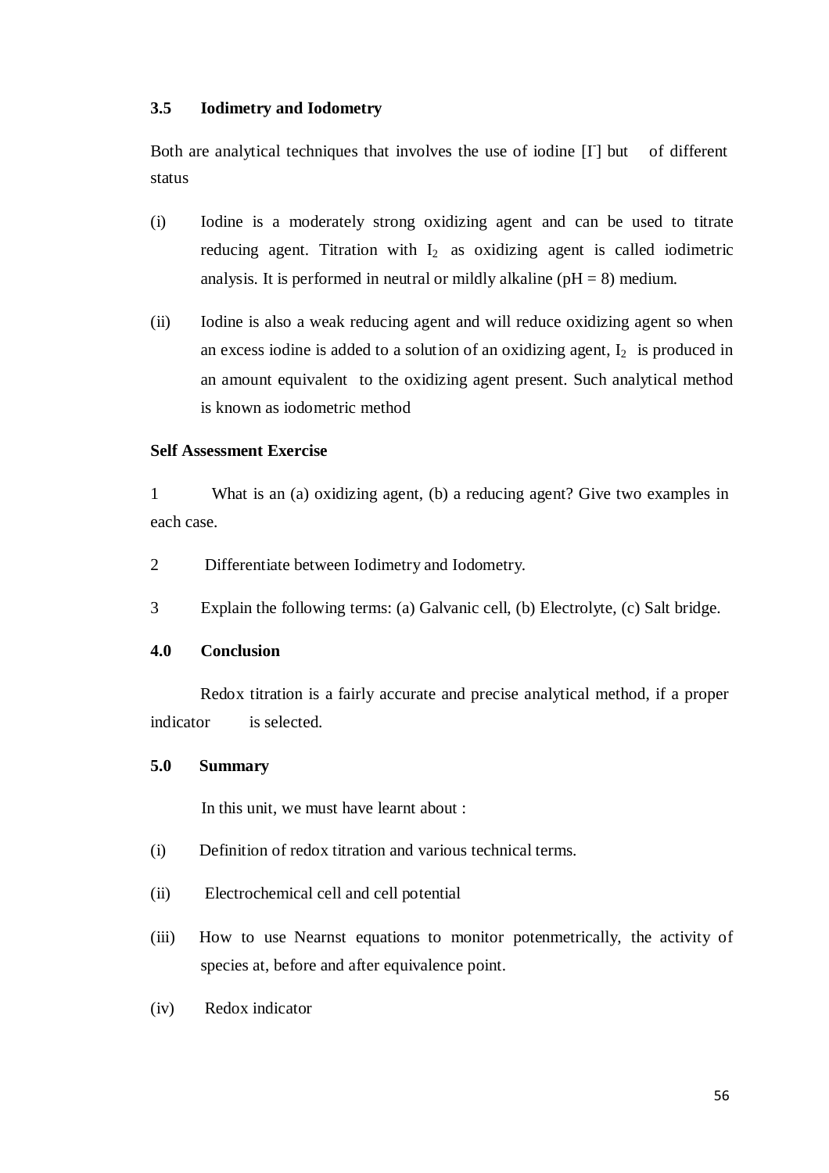#### **3.5 Iodimetry and Iodometry**

Both are analytical techniques that involves the use of iodine  $[I]$  but of different status

- (i) Iodine is a moderately strong oxidizing agent and can be used to titrate reducing agent. Titration with  $I_2$  as oxidizing agent is called iodimetric analysis. It is performed in neutral or mildly alkaline ( $pH = 8$ ) medium.
- (ii) Iodine is also a weak reducing agent and will reduce oxidizing agent so when an excess iodine is added to a solution of an oxidizing agent,  $I_2$  is produced in an amount equivalent to the oxidizing agent present. Such analytical method is known as iodometric method

#### **Self Assessment Exercise**

1 What is an (a) oxidizing agent, (b) a reducing agent? Give two examples in each case.

- 2 Differentiate between Iodimetry and Iodometry.
- 3 Explain the following terms: (a) Galvanic cell, (b) Electrolyte, (c) Salt bridge.

#### **4.0 Conclusion**

Redox titration is a fairly accurate and precise analytical method, if a proper indicator is selected.

#### **5.0 Summary**

In this unit, we must have learnt about :

- (i) Definition of redox titration and various technical terms.
- (ii) Electrochemical cell and cell potential
- (iii) How to use Nearnst equations to monitor potenmetrically, the activity of species at, before and after equivalence point.
- (iv) Redox indicator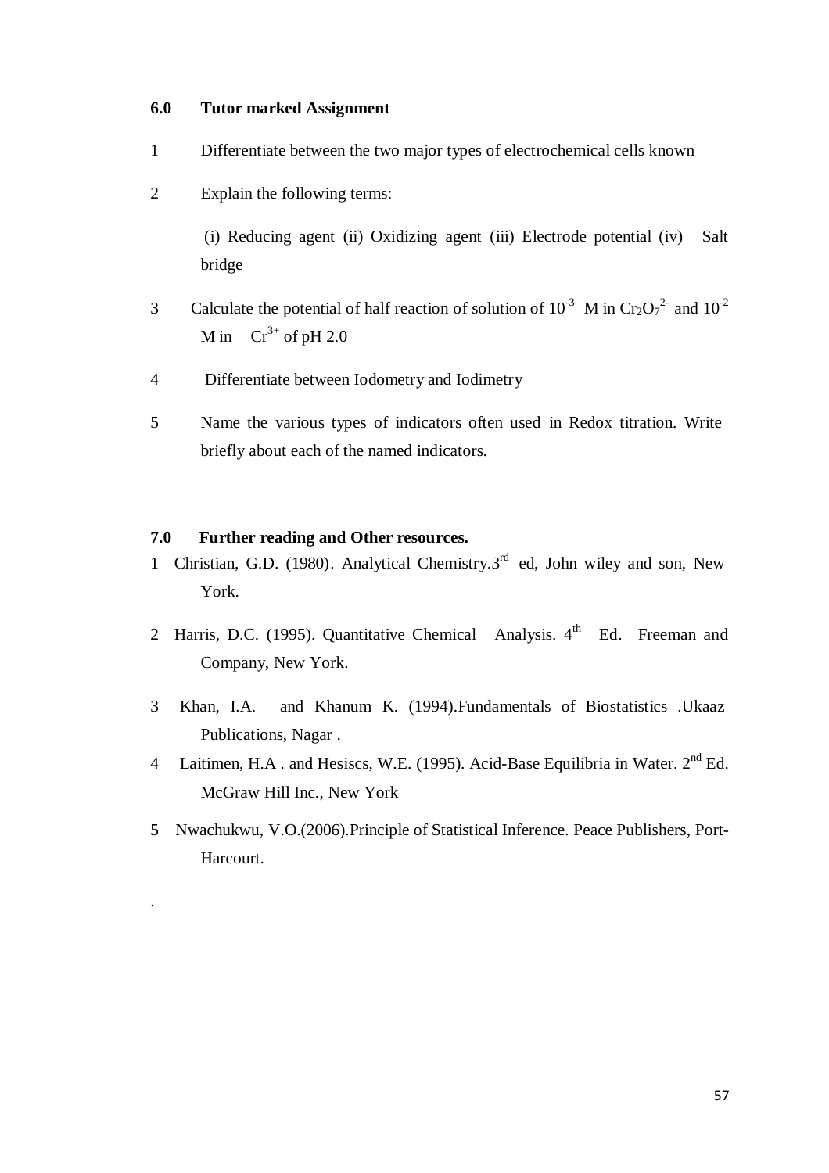#### **6.0 Tutor marked Assignment**

- 1 Differentiate between the two major types of electrochemical cells known
- 2 Explain the following terms:

(i) Reducing agent (ii) Oxidizing agent (iii) Electrode potential (iv) Salt bridge

- 3 Calculate the potential of half reaction of solution of  $10^{-3}$  M in Cr<sub>2</sub>O<sub>7</sub><sup>2</sup> and  $10^{-2}$ M in  $Cr^{3+}$  of pH 2.0
- 4 Differentiate between Iodometry and Iodimetry
- 5 Name the various types of indicators often used in Redox titration. Write briefly about each of the named indicators.

## **7.0 Further reading and Other resources.**

.

- 1 Christian, G.D. (1980). Analytical Chemistry.3<sup>rd</sup> ed, John wiley and son, New York.
- 2 Harris, D.C. (1995). Quantitative Chemical Analysis. 4<sup>th</sup> Ed. Freeman and Company, New York.
- 3 Khan, I.A. and Khanum K. (1994).Fundamentals of Biostatistics .Ukaaz Publications, Nagar .
- 4 Laitimen, H.A. and Hesiscs, W.E. (1995). Acid-Base Equilibria in Water. 2<sup>nd</sup> Ed. McGraw Hill Inc., New York
- 5 Nwachukwu, V.O.(2006).Principle of Statistical Inference. Peace Publishers, Port-Harcourt.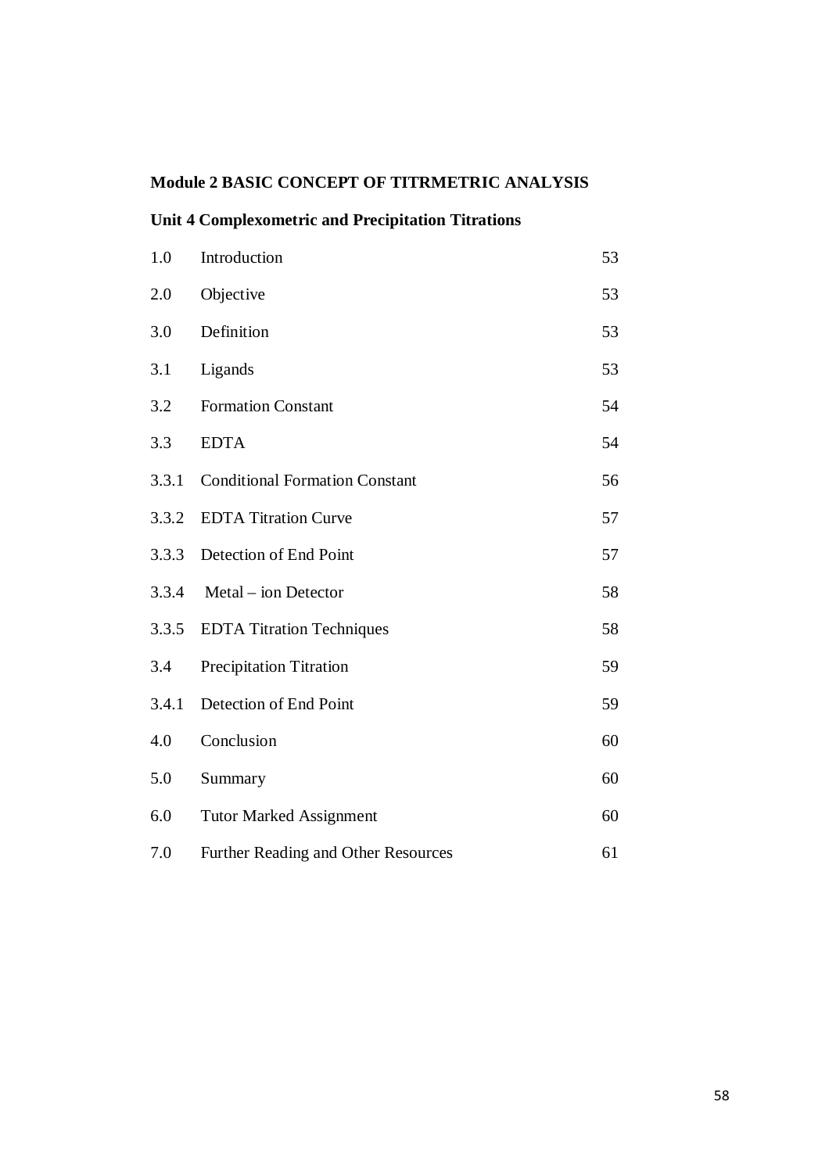# **Module 2 BASIC CONCEPT OF TITRMETRIC ANALYSIS**

# **Unit 4 Complexometric and Precipitation Titrations**

| 1.0   | Introduction                          | 53 |
|-------|---------------------------------------|----|
| 2.0   | Objective                             | 53 |
| 3.0   | Definition                            | 53 |
| 3.1   | Ligands                               | 53 |
| 3.2   | <b>Formation Constant</b>             | 54 |
| 3.3   | <b>EDTA</b>                           | 54 |
| 3.3.1 | <b>Conditional Formation Constant</b> | 56 |
| 3.3.2 | <b>EDTA Titration Curve</b>           | 57 |
| 3.3.3 | Detection of End Point                | 57 |
| 3.3.4 | Metal – ion Detector                  | 58 |
| 3.3.5 | <b>EDTA Titration Techniques</b>      | 58 |
| 3.4   | <b>Precipitation Titration</b>        | 59 |
| 3.4.1 | Detection of End Point                | 59 |
| 4.0   | Conclusion                            | 60 |
| 5.0   | Summary                               | 60 |
| 6.0   | <b>Tutor Marked Assignment</b>        | 60 |
| 7.0   | Further Reading and Other Resources   | 61 |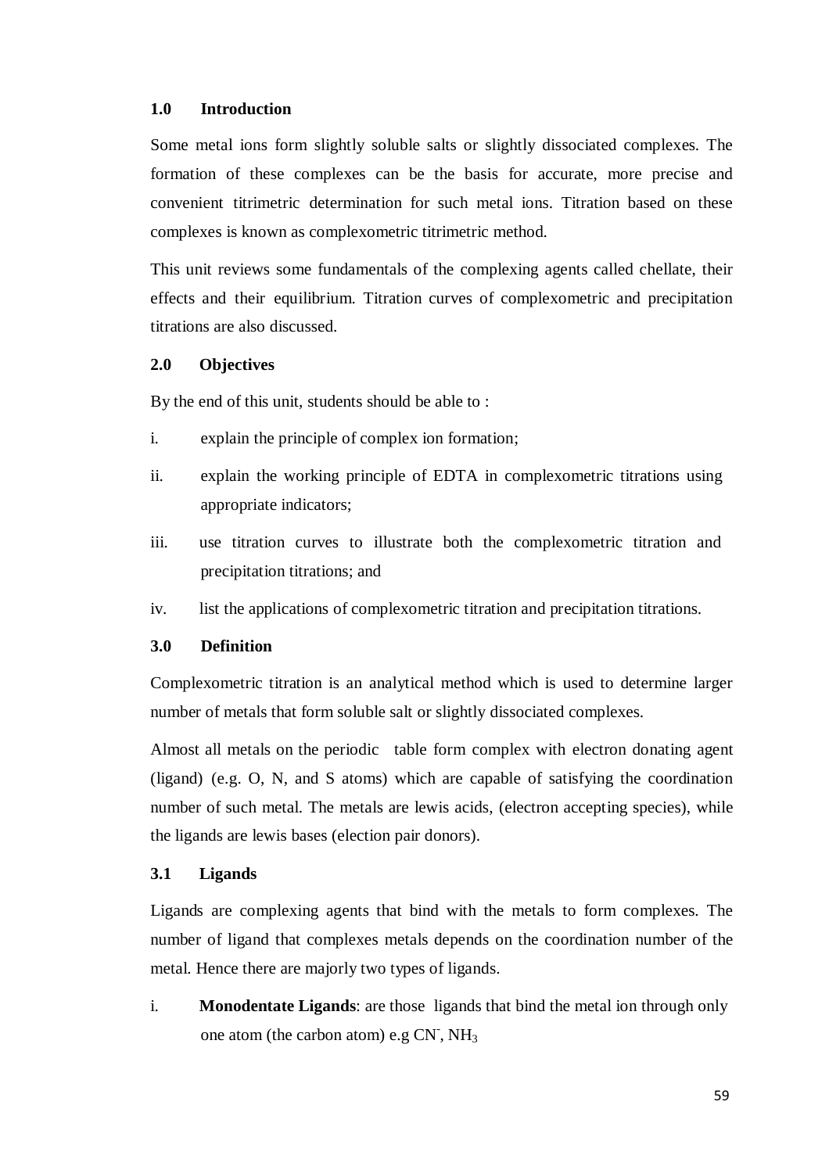#### **1.0 Introduction**

Some metal ions form slightly soluble salts or slightly dissociated complexes. The formation of these complexes can be the basis for accurate, more precise and convenient titrimetric determination for such metal ions. Titration based on these complexes is known as complexometric titrimetric method.

This unit reviews some fundamentals of the complexing agents called chellate, their effects and their equilibrium. Titration curves of complexometric and precipitation titrations are also discussed.

## **2.0 Objectives**

By the end of this unit, students should be able to :

- i. explain the principle of complex ion formation;
- ii. explain the working principle of EDTA in complexometric titrations using appropriate indicators;
- iii. use titration curves to illustrate both the complexometric titration and precipitation titrations; and
- iv. list the applications of complexometric titration and precipitation titrations.

#### **3.0 Definition**

Complexometric titration is an analytical method which is used to determine larger number of metals that form soluble salt or slightly dissociated complexes.

Almost all metals on the periodic table form complex with electron donating agent (ligand) (e.g. O, N, and S atoms) which are capable of satisfying the coordination number of such metal. The metals are lewis acids, (electron accepting species), while the ligands are lewis bases (election pair donors).

#### **3.1 Ligands**

Ligands are complexing agents that bind with the metals to form complexes. The number of ligand that complexes metals depends on the coordination number of the metal. Hence there are majorly two types of ligands.

i. **Monodentate Ligands**: are those ligands that bind the metal ion through only one atom (the carbon atom) e.g  $CN$ ,  $NH<sub>3</sub>$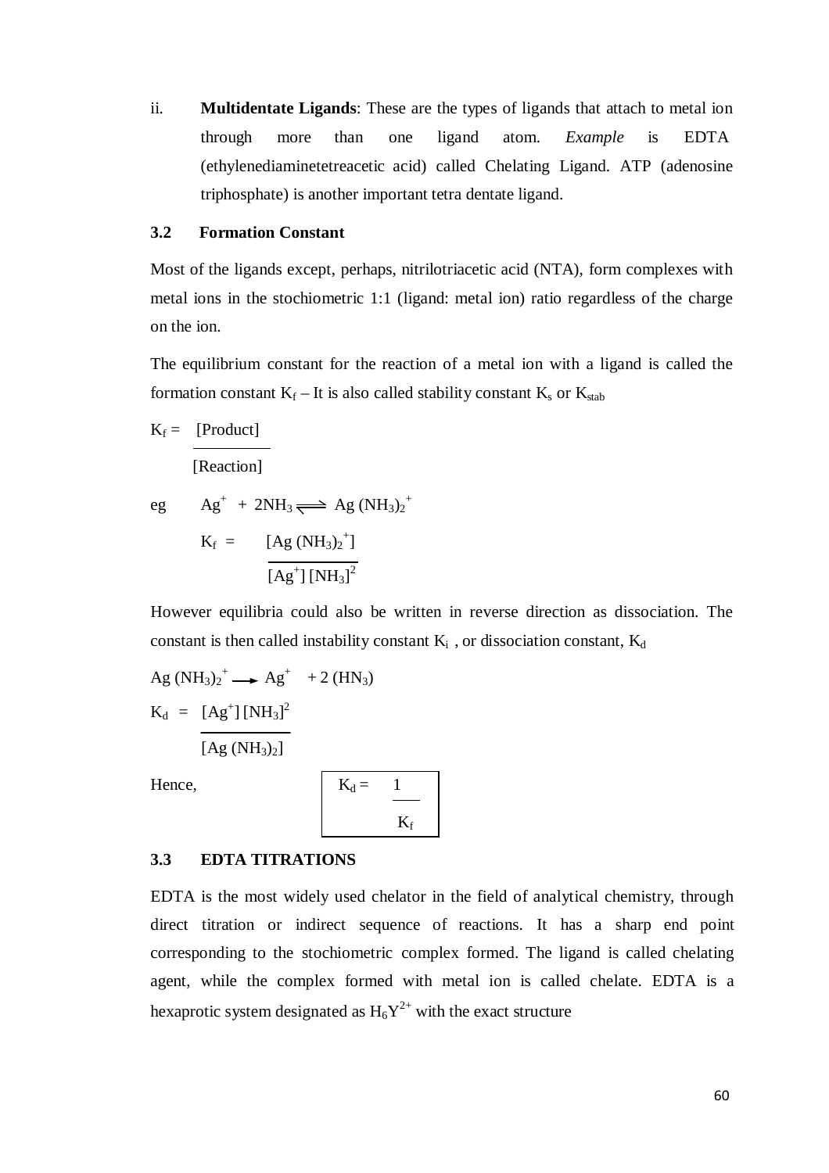ii. **Multidentate Ligands**: These are the types of ligands that attach to metal ion through more than one ligand atom. *Example* is EDTA (ethylenediaminetetreacetic acid) called Chelating Ligand. ATP (adenosine triphosphate) is another important tetra dentate ligand.

#### **3.2 Formation Constant**

Most of the ligands except, perhaps, nitrilotriacetic acid (NTA), form complexes with metal ions in the stochiometric 1:1 (ligand: metal ion) ratio regardless of the charge on the ion.

The equilibrium constant for the reaction of a metal ion with a ligand is called the formation constant  $K_f$  – It is also called stability constant  $K_s$  or  $K_{stab}$ 

 $K_f = [Product]$ 

[Reaction]

eg  $Ag^+ + 2NH_3 \rightleftharpoons Ag (NH_3)_2^+$  $K_f = [Ag (NH_3)_2^+]$  $[Ag^{\dagger}][NH_3]^2$ 

However equilibria could also be written in reverse direction as dissociation. The constant is then called instability constant  $K_i$ , or dissociation constant,  $K_d$ 

Ag (NH<sub>3</sub>)<sub>2</sub><sup>+</sup> 
$$
\longrightarrow
$$
 Ag<sup>+</sup> + 2 (HN<sub>3</sub>)  
\nK<sub>d</sub> = [Ag<sup>+</sup>] [NH<sub>3</sub>]<sup>2</sup>  
\n[Ag (NH<sub>3</sub>)<sub>2</sub>]

Hence,

$$
K_d = \frac{1}{K_f}
$$

#### **3.3 EDTA TITRATIONS**

EDTA is the most widely used chelator in the field of analytical chemistry, through direct titration or indirect sequence of reactions. It has a sharp end point corresponding to the stochiometric complex formed. The ligand is called chelating agent, while the complex formed with metal ion is called chelate. EDTA is a hexaprotic system designated as  $H_6Y^{2+}$  with the exact structure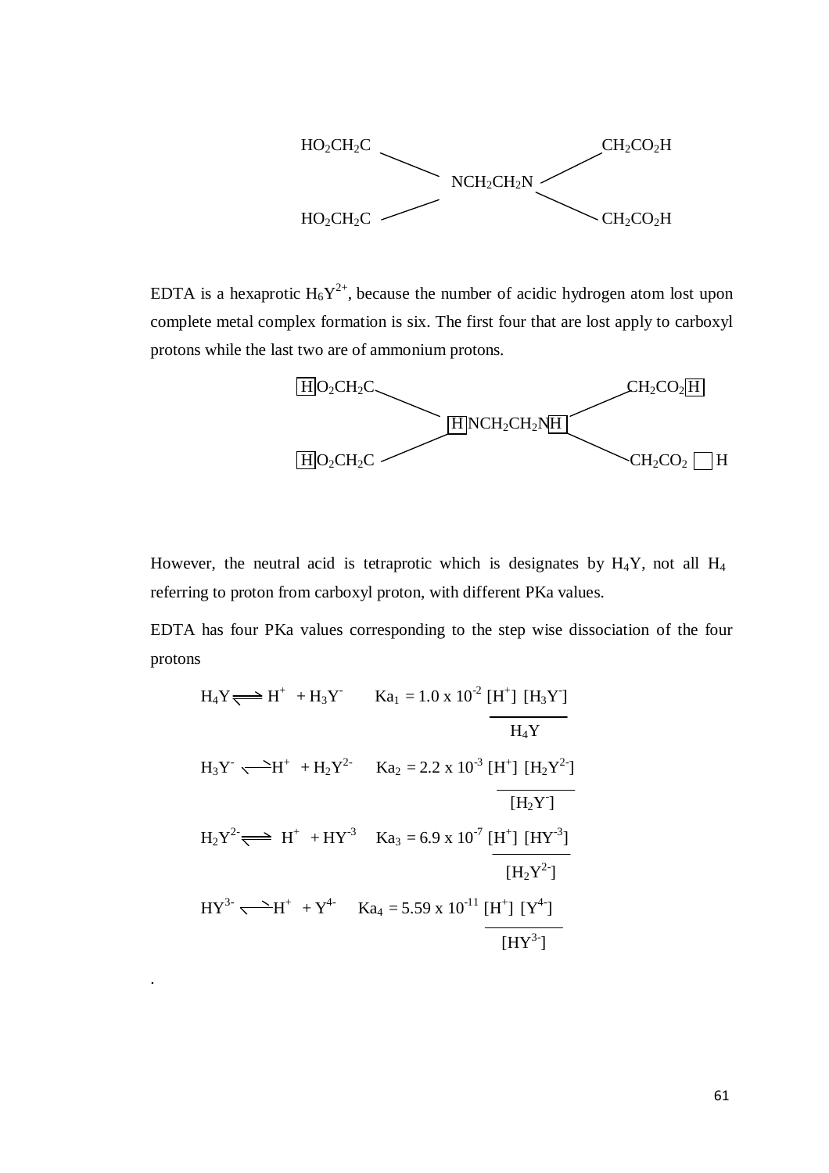

EDTA is a hexaprotic  $H_6Y^{2+}$ , because the number of acidic hydrogen atom lost upon complete metal complex formation is six. The first four that are lost apply to carboxyl protons while the last two are of ammonium protons.



However, the neutral acid is tetraprotic which is designates by  $H_4Y$ , not all  $H_4$ referring to proton from carboxyl proton, with different PKa values.

EDTA has four PKa values corresponding to the step wise dissociation of the four protons

$$
H_{4}Y \rightleftharpoons H^{+} + H_{3}Y \qquad Ka_{1} = 1.0 \times 10^{2} [H^{+}] [H_{3}Y]
$$
\n
$$
H_{3}Y \longrightarrow H^{+} + H_{2}Y^{2} \qquad Ka_{2} = 2.2 \times 10^{3} [H^{+}] [H_{2}Y^{2}]
$$
\n
$$
H_{2}Y^{2} \rightleftharpoons H^{+} + HY^{3} \qquad Ka_{3} = 6.9 \times 10^{7} [H^{+}] [HY^{3}]
$$
\n
$$
[H_{2}Y^{2}]
$$
\n
$$
HY^{3-} \longrightarrow H^{+} + Y^{4} \qquad Ka_{4} = 5.59 \times 10^{-11} [H^{+}] [Y^{4}]
$$
\n
$$
[HY^{3-}]
$$

.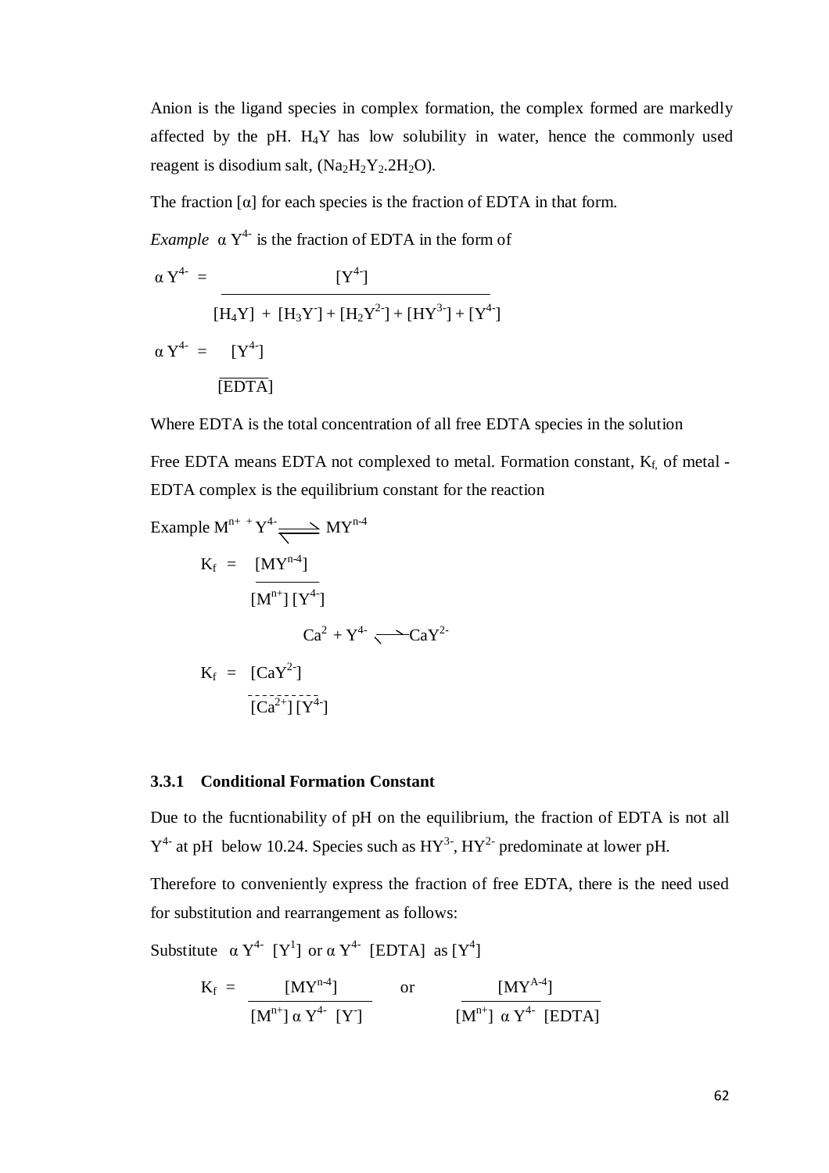Anion is the ligand species in complex formation, the complex formed are markedly affected by the pH.  $H_4Y$  has low solubility in water, hence the commonly used reagent is disodium salt,  $(Na<sub>2</sub>H<sub>2</sub>Y<sub>2</sub>.2H<sub>2</sub>O)$ .

The fraction  $\lceil \alpha \rceil$  for each species is the fraction of EDTA in that form.

*Example*  $\alpha Y^{4}$  is the fraction of EDTA in the form of

$$
\alpha Y^{4-} = \frac{[Y^{4}]}{[H_4Y] + [H_3Y] + [H_2Y^{2}] + [HY^{3}] + [Y^{4}]}
$$
  

$$
\alpha Y^{4-} = [Y^{4}]
$$
  
[EDTA]

Where EDTA is the total concentration of all free EDTA species in the solution

Free EDTA means EDTA not complexed to metal. Formation constant,  $K_f$ , of metal -EDTA complex is the equilibrium constant for the reaction

Example M<sup>n++</sup> Y<sup>4-</sup> 
$$
\longrightarrow
$$
 MY<sup>n-4</sup>  
\nK<sub>f</sub> =  $\frac{[MY^{n-4}]}{[M^{n+1}][Y^{4}]}$   
\n $Ca^2 + Y^{4-} \longrightarrow CaY^{2-}$   
\nK<sub>f</sub> =  $[CaY^2]$   
\n $\frac{[Ca^2^+][Y^{4-}]}{[Ca^2^+][Y^{4-}]}$ 

#### **3.3.1 Conditional Formation Constant**

Due to the fucntionability of pH on the equilibrium, the fraction of EDTA is not all  $Y^4$  at pH below 10.24. Species such as  $HY^3$ ,  $HY^2$  predominate at lower pH.

Therefore to conveniently express the fraction of free EDTA, there is the need used for substitution and rearrangement as follows:

Substitute  $\alpha Y^{4}$  [Y<sup>1</sup>] or  $\alpha Y^{4}$  [EDTA] as [Y<sup>4</sup>]

$$
K_{f} = \frac{[MY^{n-4}]}{[M^{n+}] \alpha Y^{4-} [Y]} \quad \text{or} \quad \frac{[MY^{A-4}]}{[M^{n+}] \alpha Y^{4-} [EDTA]}
$$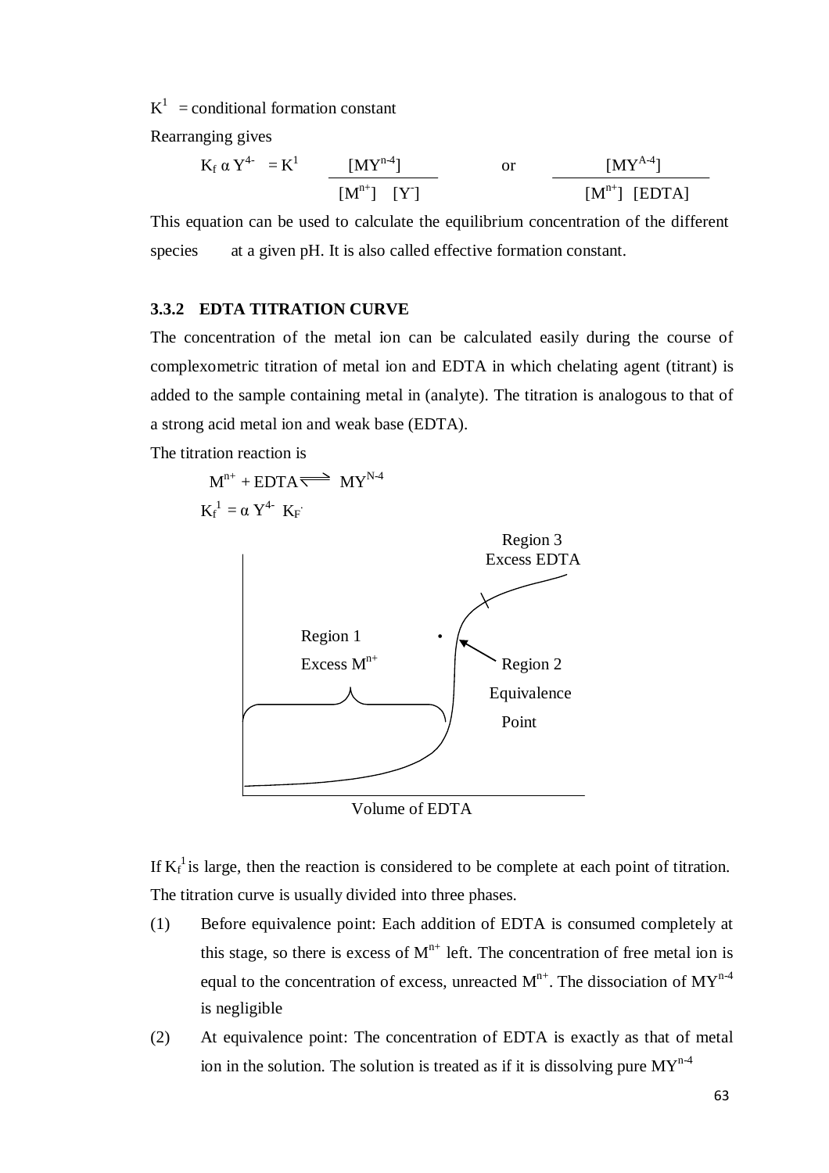$K^1$  = conditional formation constant

Rearranging gives

$$
K_f \alpha Y^{4-} = K^1
$$
  $\frac{[MY^{n4}]}{[M^{n+}] [Y]}$  or  $\frac{[MY^{A-4}]}{[M^{n+}] [EDTA]}$ 

This equation can be used to calculate the equilibrium concentration of the different species at a given pH. It is also called effective formation constant.

#### **3.3.2 EDTA TITRATION CURVE**

The concentration of the metal ion can be calculated easily during the course of complexometric titration of metal ion and EDTA in which chelating agent (titrant) is added to the sample containing metal in (analyte). The titration is analogous to that of a strong acid metal ion and weak base (EDTA).

The titration reaction is





Volume of EDTA

If  $K_f^1$  is large, then the reaction is considered to be complete at each point of titration. The titration curve is usually divided into three phases.

- (1) Before equivalence point: Each addition of EDTA is consumed completely at this stage, so there is excess of  $M^{n+}$  left. The concentration of free metal ion is equal to the concentration of excess, unreacted  $M^{n+}$ . The dissociation of  $MY^{n-4}$ is negligible
- (2) At equivalence point: The concentration of EDTA is exactly as that of metal ion in the solution. The solution is treated as if it is dissolving pure  $MY^{n-4}$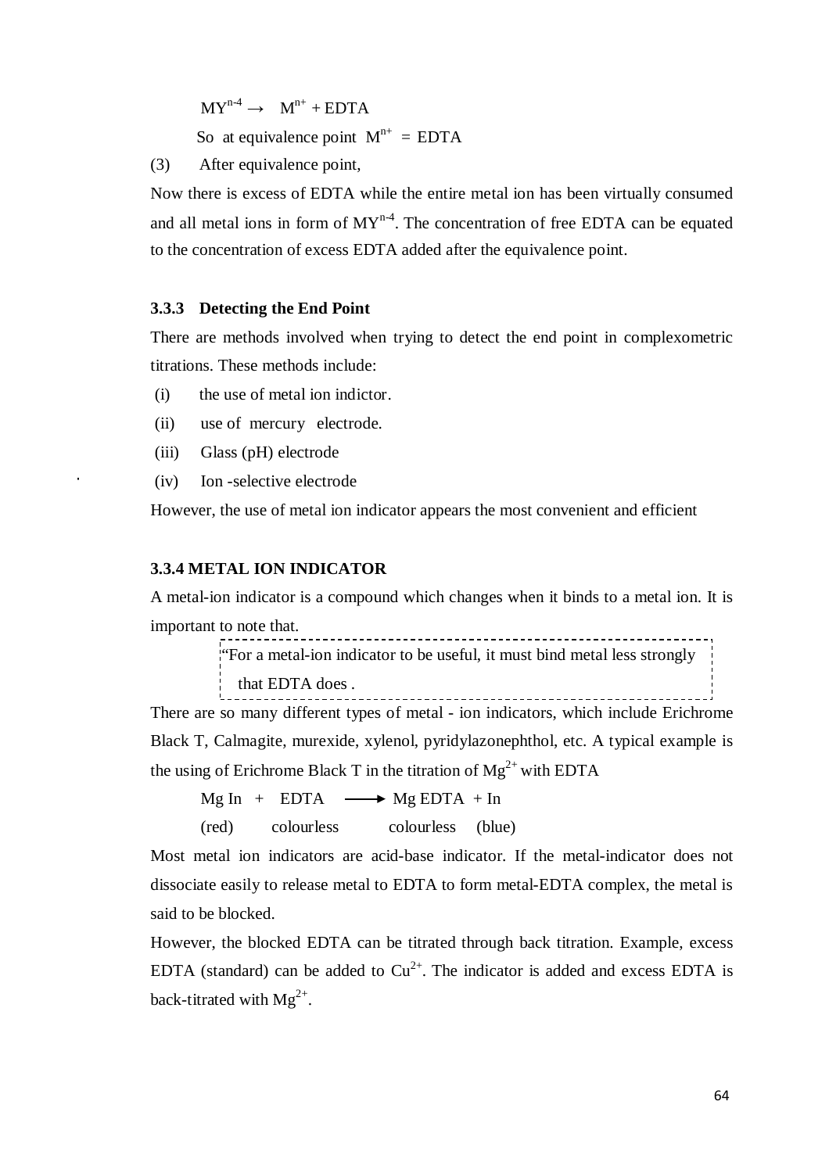$MY^{n-4} \rightarrow M^{n+} + EDTA$ So at equivalence point  $M^{n+} = EDTA$ 

(3) After equivalence point,

Now there is excess of EDTA while the entire metal ion has been virtually consumed and all metal ions in form of  $MY<sup>n-4</sup>$ . The concentration of free EDTA can be equated to the concentration of excess EDTA added after the equivalence point.

#### **3.3.3 Detecting the End Point**

There are methods involved when trying to detect the end point in complexometric titrations. These methods include:

- (i) the use of metal ion indictor.
- (ii) use of mercury electrode.
- (iii) Glass (pH) electrode
- (iv) Ion -selective electrode

However, the use of metal ion indicator appears the most convenient and efficient

#### **3.3.4 METAL ION INDICATOR**

A metal-ion indicator is a compound which changes when it binds to a metal ion. It is important to note that. \_\_\_\_\_\_\_\_\_\_\_\_\_\_\_\_\_\_\_\_

```
"For a metal-ion indicator to be useful, it must bind metal less strongly
that EDTA does .
```
There are so many different types of metal - ion indicators, which include Erichrome Black T, Calmagite, murexide, xylenol, pyridylazonephthol, etc. A typical example is the using of Erichrome Black T in the titration of  $Mg^{2+}$  with EDTA

 $Mg In + EDTA \longrightarrow MgEDTA + In$ 

(red) colourless colourless (blue)

Most metal ion indicators are acid-base indicator. If the metal-indicator does not dissociate easily to release metal to EDTA to form metal-EDTA complex, the metal is said to be blocked.

However, the blocked EDTA can be titrated through back titration. Example, excess EDTA (standard) can be added to  $Cu^{2+}$ . The indicator is added and excess EDTA is back-titrated with  $Mg^{2+}$ .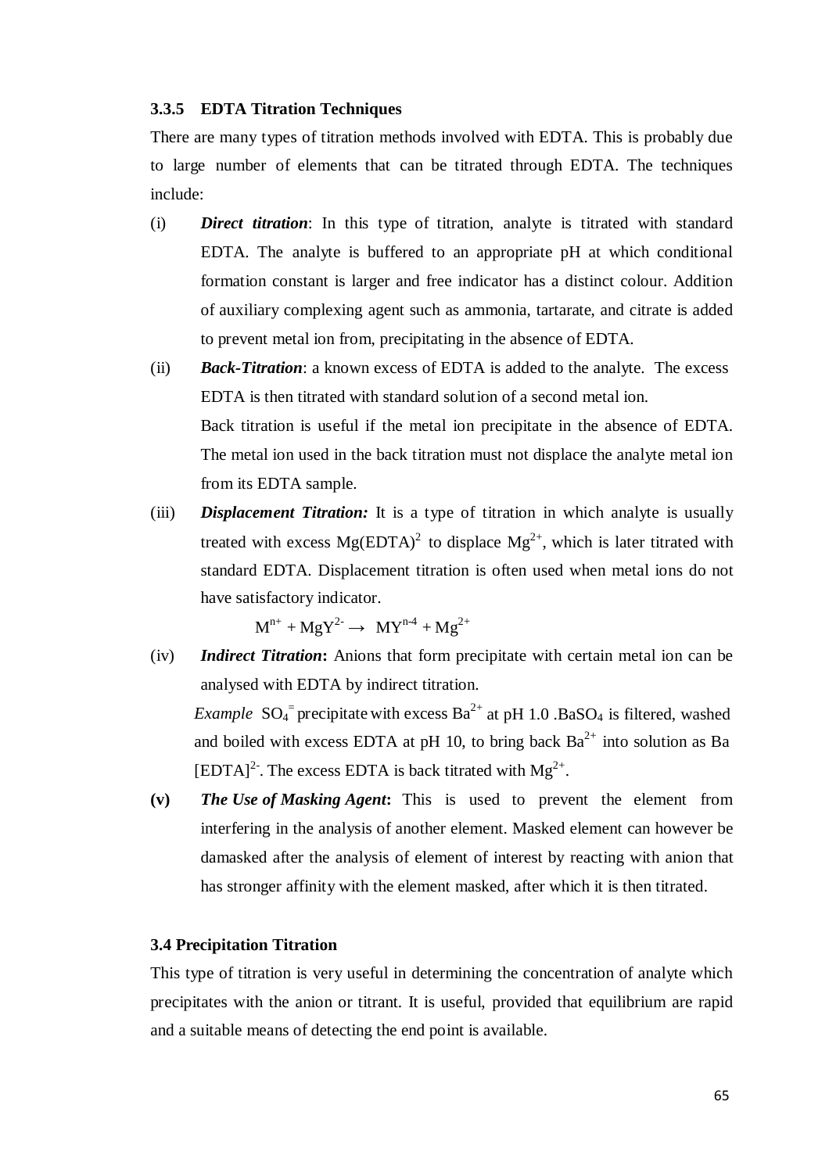#### **3.3.5 EDTA Titration Techniques**

There are many types of titration methods involved with EDTA. This is probably due to large number of elements that can be titrated through EDTA. The techniques include:

- (i) *Direct titration*: In this type of titration, analyte is titrated with standard EDTA. The analyte is buffered to an appropriate pH at which conditional formation constant is larger and free indicator has a distinct colour. Addition of auxiliary complexing agent such as ammonia, tartarate, and citrate is added to prevent metal ion from, precipitating in the absence of EDTA.
- (ii) *Back-Titration*: a known excess of EDTA is added to the analyte. The excess EDTA is then titrated with standard solution of a second metal ion. Back titration is useful if the metal ion precipitate in the absence of EDTA. The metal ion used in the back titration must not displace the analyte metal ion from its EDTA sample.
- (iii) *Displacement Titration:* It is a type of titration in which analyte is usually treated with excess  $Mg(EDTA)^2$  to displace  $Mg^{2+}$ , which is later titrated with standard EDTA. Displacement titration is often used when metal ions do not have satisfactory indicator.

 $M^{n+} + MgY^{2-} \rightarrow MY^{n-4} + Mg^{2+}$ 

(iv) *Indirect Titration***:** Anions that form precipitate with certain metal ion can be analysed with EDTA by indirect titration.

*Example*  $SO_4$ <sup>=</sup> precipitate with excess  $Ba^{2+}$  at pH 1.0 .BaSO<sub>4</sub> is filtered, washed and boiled with excess EDTA at pH 10, to bring back  $Ba^{2+}$  into solution as Ba  $[EDTA]<sup>2</sup>$ . The excess EDTA is back titrated with  $Mg^{2+}$ .

**(v)** *The Use of Masking Agent***:** This is used to prevent the element from interfering in the analysis of another element. Masked element can however be damasked after the analysis of element of interest by reacting with anion that has stronger affinity with the element masked, after which it is then titrated.

#### **3.4 Precipitation Titration**

This type of titration is very useful in determining the concentration of analyte which precipitates with the anion or titrant. It is useful, provided that equilibrium are rapid and a suitable means of detecting the end point is available.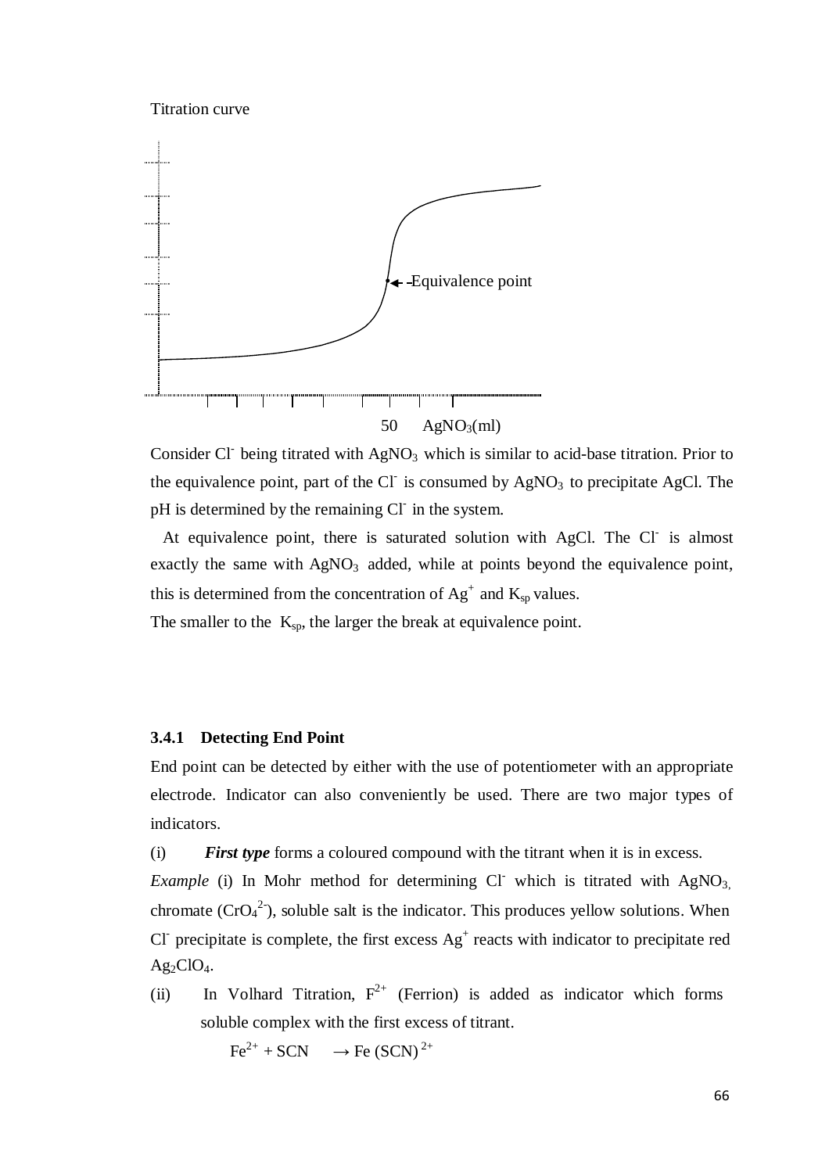Titration curve



Consider Cl- being titrated with  $AgNO<sub>3</sub>$  which is similar to acid-base titration. Prior to the equivalence point, part of the Cl<sup>-</sup> is consumed by  $AgNO<sub>3</sub>$  to precipitate AgCl. The pH is determined by the remaining Cl<sup>-</sup> in the system.

At equivalence point, there is saturated solution with AgCl. The Cl is almost exactly the same with  $AgNO<sub>3</sub>$  added, while at points beyond the equivalence point, this is determined from the concentration of  $Ag^+$  and  $K_{sp}$  values.

The smaller to the  $K_{sp}$ , the larger the break at equivalence point.

#### **3.4.1 Detecting End Point**

End point can be detected by either with the use of potentiometer with an appropriate electrode. Indicator can also conveniently be used. There are two major types of indicators.

(i) *First type* forms a coloured compound with the titrant when it is in excess.

*Example* (i) In Mohr method for determining Cl which is titrated with AgNO<sub>3</sub>, chromate  $(CrO_4^2)$ , soluble salt is the indicator. This produces yellow solutions. When Cl<sup>-</sup> precipitate is complete, the first excess  $Ag<sup>+</sup>$  reacts with indicator to precipitate red  $Ag_2ClO_4.$ 

(ii) In Volhard Titration,  $F^{2+}$  (Ferrion) is added as indicator which forms soluble complex with the first excess of titrant.

 $Fe^{2+} + SCN \rightarrow Fe (SCN)^{2+}$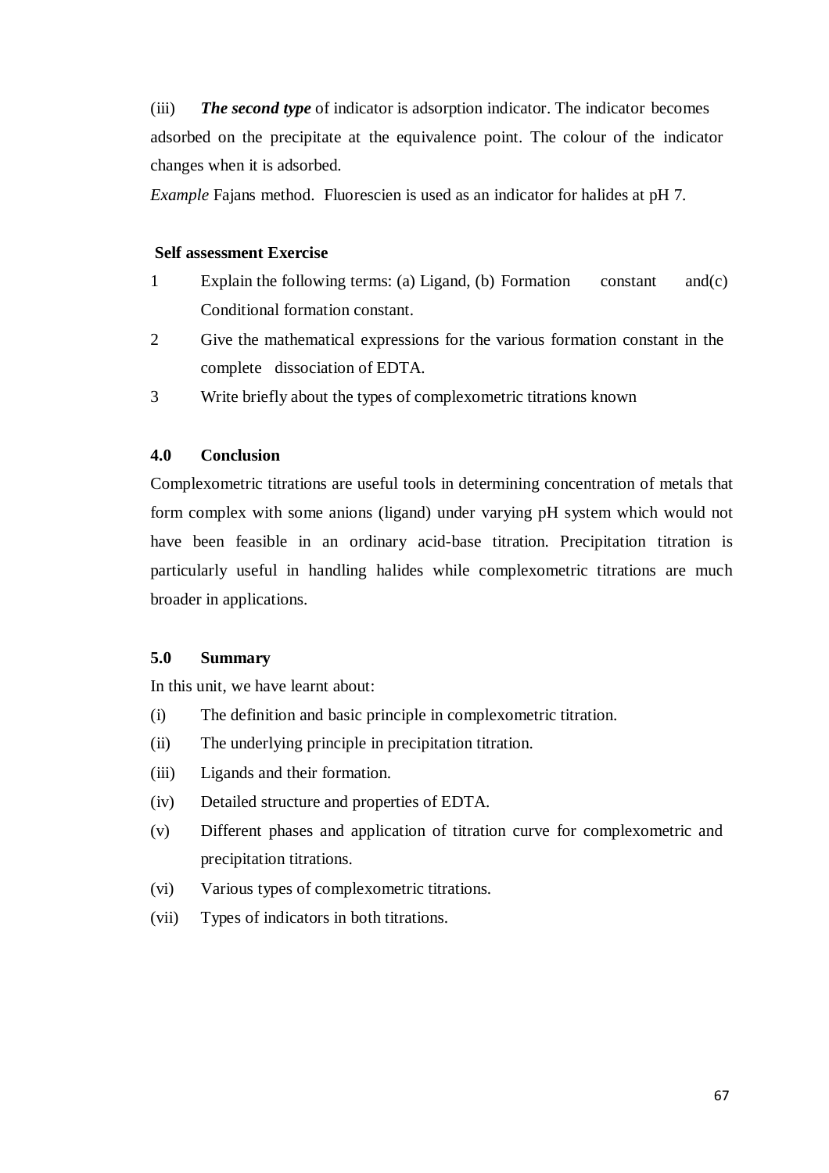(iii) *The second type* of indicator is adsorption indicator. The indicator becomes adsorbed on the precipitate at the equivalence point. The colour of the indicator changes when it is adsorbed.

*Example* Fajans method. Fluorescien is used as an indicator for halides at pH 7.

#### **Self assessment Exercise**

- 1 Explain the following terms: (a) Ligand, (b) Formation constant and(c) Conditional formation constant.
- 2 Give the mathematical expressions for the various formation constant in the complete dissociation of EDTA.
- 3 Write briefly about the types of complexometric titrations known

## **4.0 Conclusion**

Complexometric titrations are useful tools in determining concentration of metals that form complex with some anions (ligand) under varying pH system which would not have been feasible in an ordinary acid-base titration. Precipitation titration is particularly useful in handling halides while complexometric titrations are much broader in applications.

#### **5.0 Summary**

In this unit, we have learnt about:

- (i) The definition and basic principle in complexometric titration.
- (ii) The underlying principle in precipitation titration.
- (iii) Ligands and their formation.
- (iv) Detailed structure and properties of EDTA.
- (v) Different phases and application of titration curve for complexometric and precipitation titrations.
- (vi) Various types of complexometric titrations.
- (vii) Types of indicators in both titrations.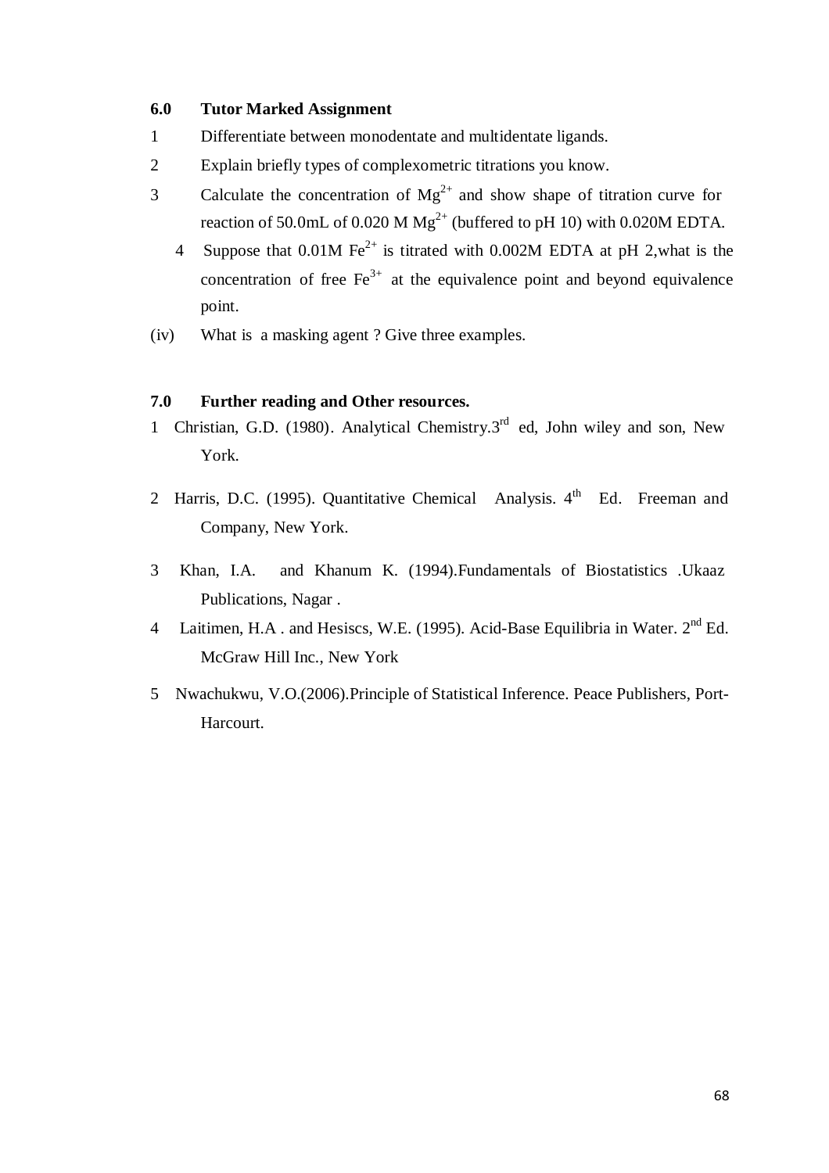#### **6.0 Tutor Marked Assignment**

- 1 Differentiate between monodentate and multidentate ligands.
- 2 Explain briefly types of complexometric titrations you know.
- 3 Calculate the concentration of  $Mg^{2+}$  and show shape of titration curve for reaction of 50.0mL of 0.020 M  $Mg^{2+}$  (buffered to pH 10) with 0.020M EDTA.
	- 4 Suppose that  $0.01M \text{Fe}^{2+}$  is titrated with  $0.002M$  EDTA at pH 2, what is the concentration of free  $Fe<sup>3+</sup>$  at the equivalence point and beyond equivalence point.
- (iv) What is a masking agent ? Give three examples.

## **7.0 Further reading and Other resources.**

- 1 Christian, G.D. (1980). Analytical Chemistry.3<sup>rd</sup> ed, John wiley and son, New York.
- 2 Harris, D.C. (1995). Quantitative Chemical Analysis. 4<sup>th</sup> Ed. Freeman and Company, New York.
- 3 Khan, I.A. and Khanum K. (1994).Fundamentals of Biostatistics .Ukaaz Publications, Nagar .
- 4 Laitimen, H.A. and Hesiscs, W.E. (1995). Acid-Base Equilibria in Water. 2<sup>nd</sup> Ed. McGraw Hill Inc., New York
- 5 Nwachukwu, V.O.(2006).Principle of Statistical Inference. Peace Publishers, Port-Harcourt.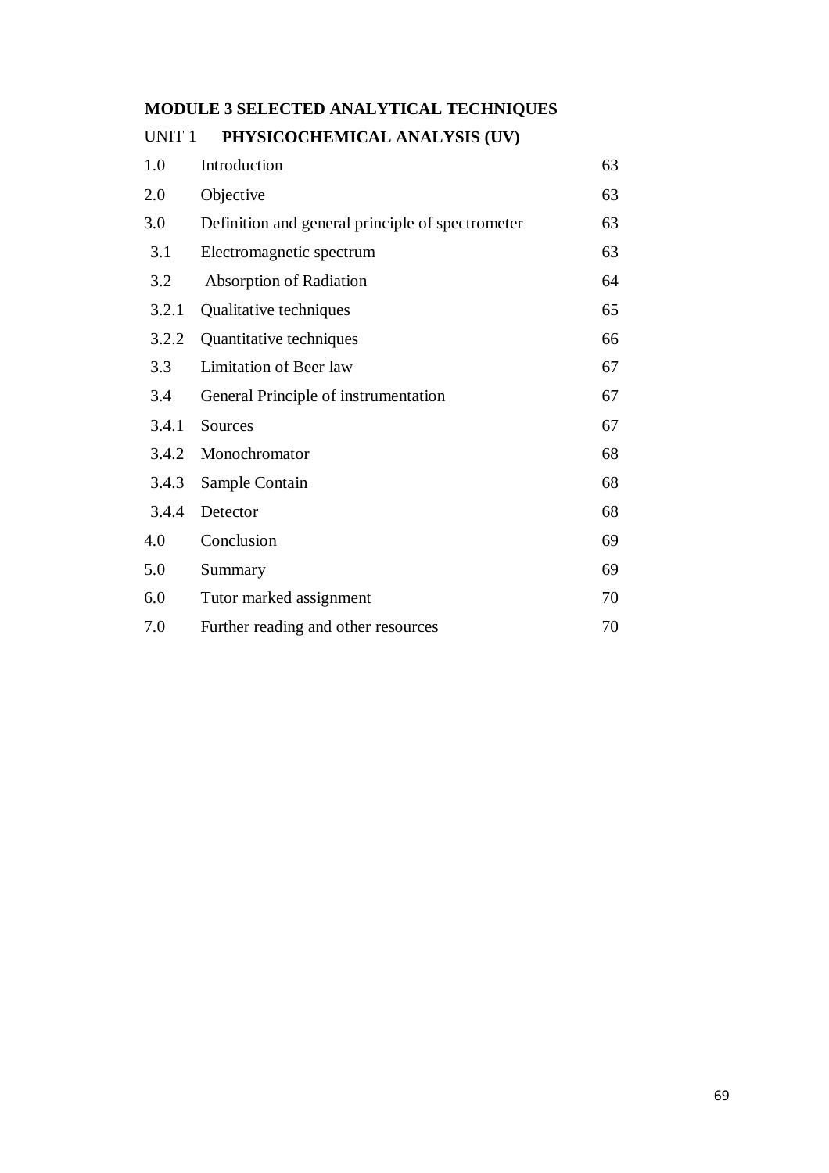# **MODULE 3 SELECTED ANALYTICAL TECHNIQUES**

#### UNIT 1 **PHYSICOCHEMICAL ANALYSIS (UV)**

| 1.0   | Introduction                                     | 63 |
|-------|--------------------------------------------------|----|
| 2.0   | Objective                                        | 63 |
| 3.0   | Definition and general principle of spectrometer | 63 |
| 3.1   | Electromagnetic spectrum                         | 63 |
| 3.2   | <b>Absorption of Radiation</b>                   | 64 |
| 3.2.1 | Qualitative techniques                           | 65 |
| 3.2.2 | Quantitative techniques                          | 66 |
| 3.3   | Limitation of Beer law                           | 67 |
| 3.4   | General Principle of instrumentation             | 67 |
| 3.4.1 | Sources                                          | 67 |
| 3.4.2 | Monochromator                                    | 68 |
| 3.4.3 | Sample Contain                                   | 68 |
| 3.4.4 | Detector                                         | 68 |
| 4.0   | Conclusion                                       | 69 |
| 5.0   | Summary                                          | 69 |
| 6.0   | Tutor marked assignment                          | 70 |
| 7.0   | Further reading and other resources              | 70 |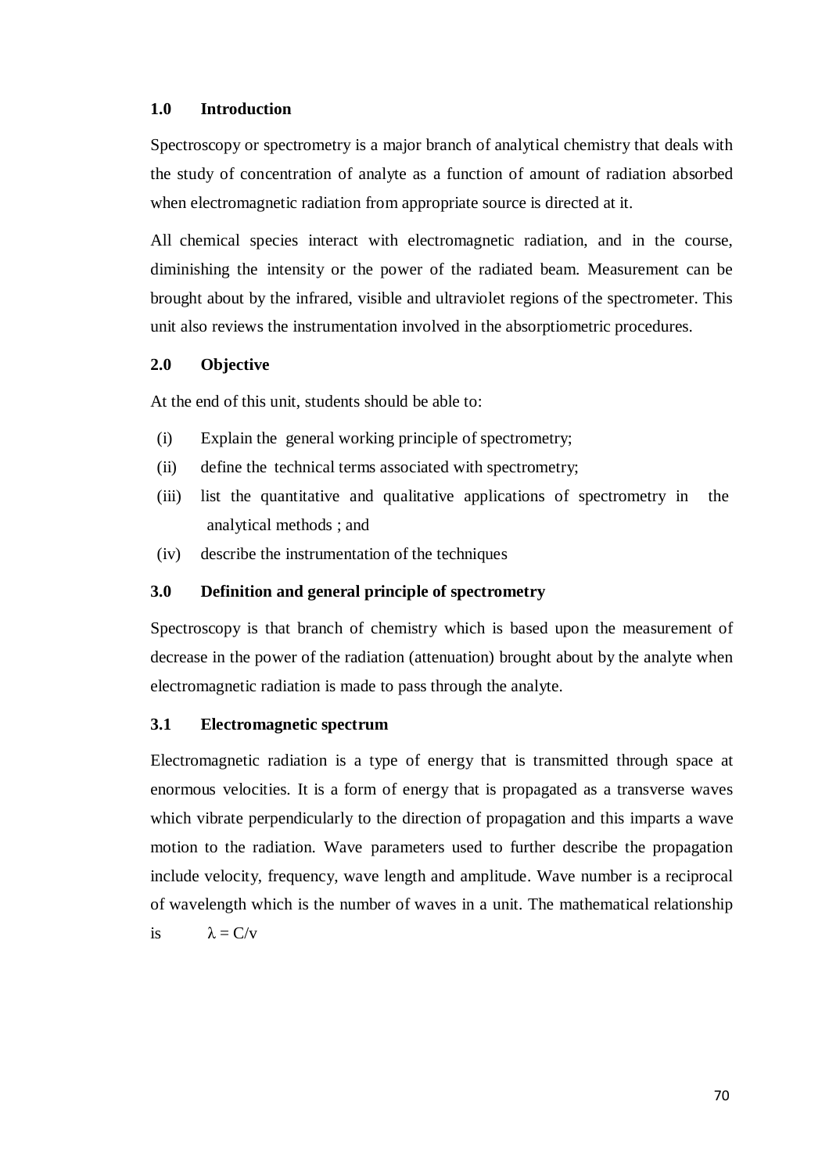#### **1.0 Introduction**

Spectroscopy or spectrometry is a major branch of analytical chemistry that deals with the study of concentration of analyte as a function of amount of radiation absorbed when electromagnetic radiation from appropriate source is directed at it.

All chemical species interact with electromagnetic radiation, and in the course, diminishing the intensity or the power of the radiated beam. Measurement can be brought about by the infrared, visible and ultraviolet regions of the spectrometer. This unit also reviews the instrumentation involved in the absorptiometric procedures.

#### **2.0 Objective**

At the end of this unit, students should be able to:

- (i) Explain the general working principle of spectrometry;
- (ii) define the technical terms associated with spectrometry;
- (iii) list the quantitative and qualitative applications of spectrometry in the analytical methods ; and
- (iv) describe the instrumentation of the techniques

#### **3.0 Definition and general principle of spectrometry**

Spectroscopy is that branch of chemistry which is based upon the measurement of decrease in the power of the radiation (attenuation) brought about by the analyte when electromagnetic radiation is made to pass through the analyte.

#### **3.1 Electromagnetic spectrum**

Electromagnetic radiation is a type of energy that is transmitted through space at enormous velocities. It is a form of energy that is propagated as a transverse waves which vibrate perpendicularly to the direction of propagation and this imparts a wave motion to the radiation. Wave parameters used to further describe the propagation include velocity, frequency, wave length and amplitude. Wave number is a reciprocal of wavelength which is the number of waves in a unit. The mathematical relationship is  $\lambda = C/v$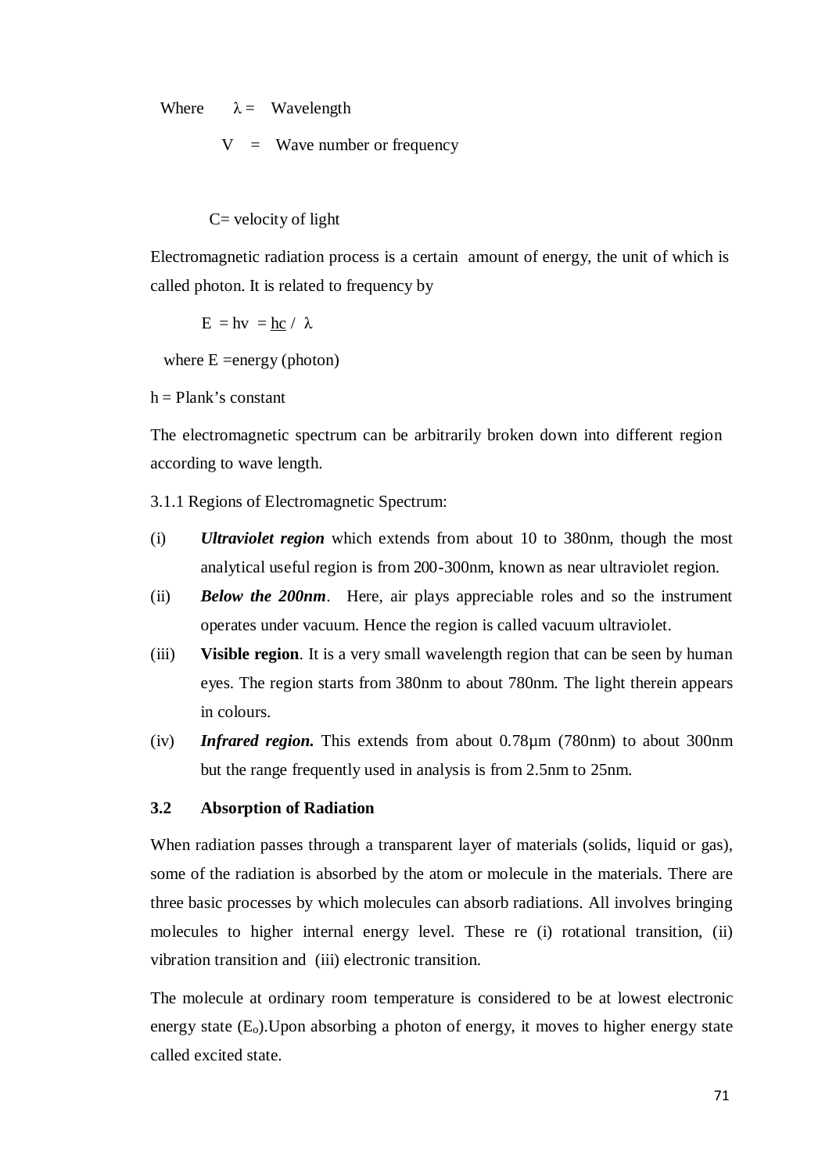Where  $\lambda =$  Wavelength

 $V =$  Wave number or frequency

 $C=$  velocity of light

Electromagnetic radiation process is a certain amount of energy, the unit of which is called photon. It is related to frequency by

 $E = hv = hc / \lambda$ 

where  $E =$  = energy (photon)

 $h =$ Plank's constant

The electromagnetic spectrum can be arbitrarily broken down into different region according to wave length.

3.1.1 Regions of Electromagnetic Spectrum:

- (i) *Ultraviolet region* which extends from about 10 to 380nm, though the most analytical useful region is from 200 -300nm, known as near ultraviolet region.
- (ii) *Below the 200nm*. Here, air plays appreciable roles and so the instrument operates under vacuum. Hence the region is called vacuum ultraviolet.
- (iii) **Visible region**. It is a very small wavelength region that can be seen by human eyes. The region starts from 380nm to about 780nm. The light therein appears in colours.
- (iv) *Infrared region.* This extends from about 0.78µm (780nm) to about 300nm but the range frequently used in analysis is from 2.5nm to 25nm.

#### **3.2 Absorption of Radiation**

When radiation passes through a transparent layer of materials (solids, liquid or gas), some of the radiation is absorbed by the atom or molecule in the materials. There are three basic processes by which molecules can absorb radiations. All involves bringing molecules to higher internal energy level. These re (i) rotational transition, (ii) vibration transition and (iii) electronic transition.

The molecule at ordinary room temperature is considered to be at lowest electronic energy state  $(E_0)$ . Upon absorbing a photon of energy, it moves to higher energy state called excited state.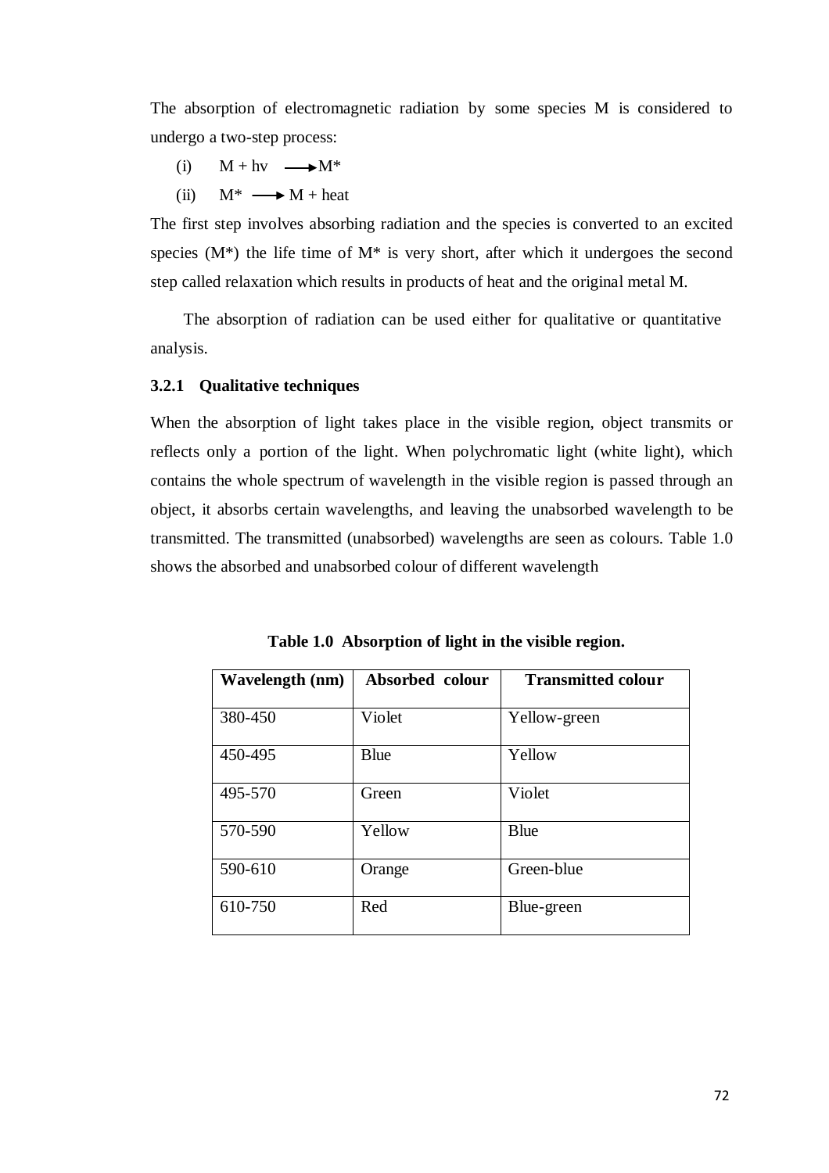The absorption of electromagnetic radiation by some species M is considered to undergo a two-step process:

- (i)  $M + hv \longrightarrow M^*$
- (ii)  $M^* \longrightarrow M + heat$

The first step involves absorbing radiation and the species is converted to an excited species  $(M^*)$  the life time of  $M^*$  is very short, after which it undergoes the second step called relaxation which results in products of heat and the original metal M.

The absorption of radiation can be used either for qualitative or quantitative analysis.

#### **3.2.1 Qualitative techniques**

When the absorption of light takes place in the visible region, object transmits or reflects only a portion of the light. When polychromatic light (white light), which contains the whole spectrum of wavelength in the visible region is passed through an object, it absorbs certain wavelengths, and leaving the unabsorbed wavelength to be transmitted. The transmitted (unabsorbed) wavelengths are seen as colours. Table 1.0 shows the absorbed and unabsorbed colour of different wavelength

| <b>Wavelength (nm)</b> | Absorbed colour | <b>Transmitted colour</b> |
|------------------------|-----------------|---------------------------|
| 380-450                | Violet          | Yellow-green              |
| 450-495                | <b>B</b> lue    | Yellow                    |
| 495-570                | Green           | Violet                    |
| 570-590                | Yellow          | Blue                      |
| 590-610                | Orange          | Green-blue                |
| 610-750                | Red             | Blue-green                |

**Table 1.0 Absorption of light in the visible region.**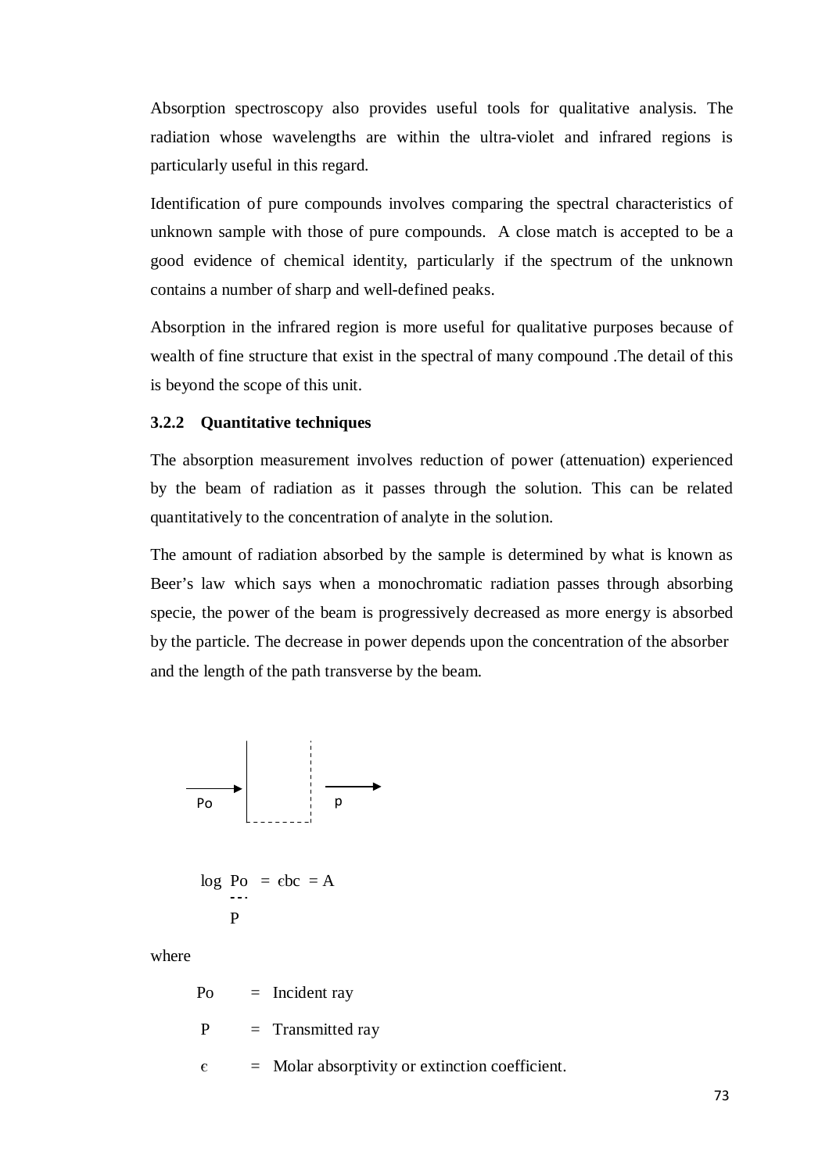Absorption spectroscopy also provides useful tools for qualitative analysis. The radiation whose wavelengths are within the ultra-violet and infrared regions is particularly useful in this regard.

Identification of pure compounds involves comparing the spectral characteristics of unknown sample with those of pure compounds. A close match is accepted to be a good evidence of chemical identity, particularly if the spectrum of the unknown contains a number of sharp and well-defined peaks.

Absorption in the infrared region is more useful for qualitative purposes because of wealth of fine structure that exist in the spectral of many compound .The detail of this is beyond the scope of this unit.

#### **3.2.2 Quantitative techniques**

The absorption measurement involves reduction of power (attenuation) experienced by the beam of radiation as it passes through the solution. This can be related quantitatively to the concentration of analyte in the solution.

The amount of radiation absorbed by the sample is determined by what is known as Beer's law which says when a monochromatic radiation passes through absorbing specie, the power of the beam is progressively decreased as more energy is absorbed by the particle. The decrease in power depends upon the concentration of the absorber and the length of the path transverse by the beam.



$$
\log \text{Po} = \text{ebc} = \text{A}
$$
  
P

where

 $Po = Incident ray$ 

 $P = Transmitted ray$ 

 $\epsilon$  = Molar absorptivity or extinction coefficient.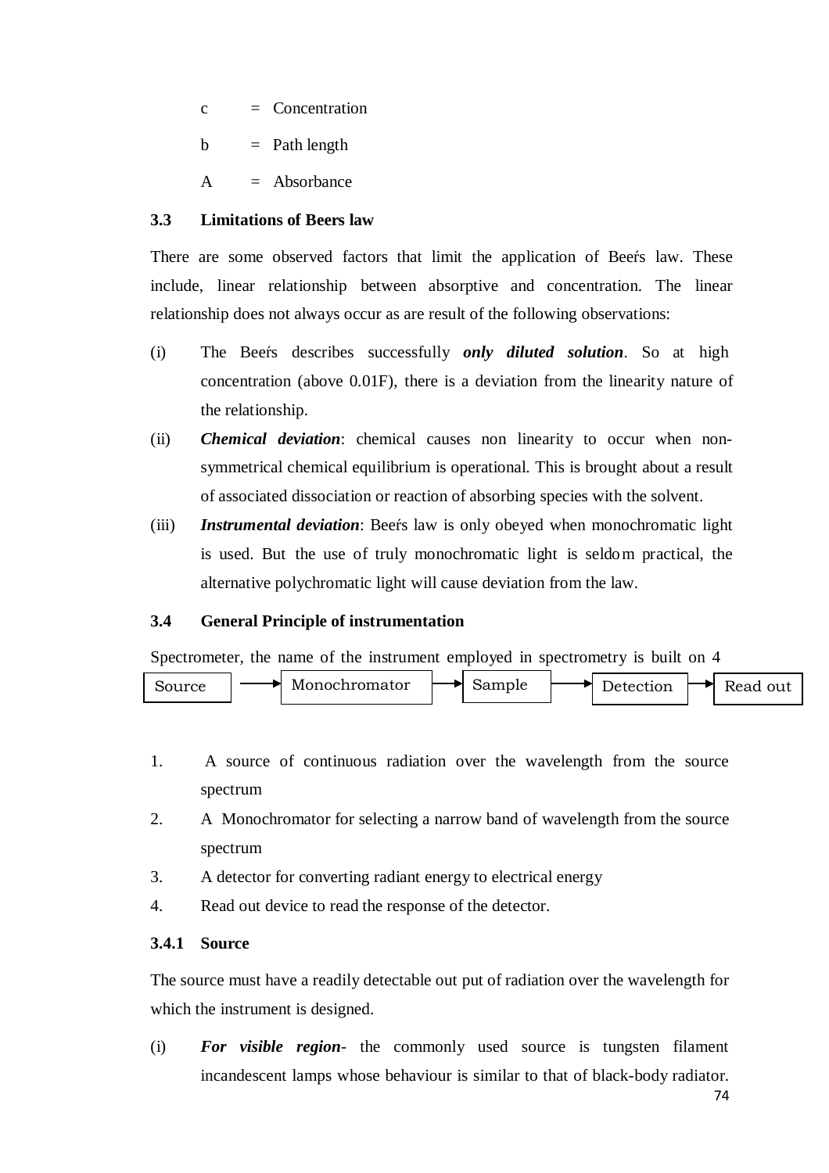$c =$  Concentration

 $b =$  Path length

 $A = Absorbance$ 

#### **3.3 Limitations of Beers law**

There are some observed factors that limit the application of Beers law. These include, linear relationship between absorptive and concentration. The linear relationship does not always occur as are result of the following observations:

- (i) The Beers describes successfully *only diluted solution*. So at high concentration (above 0.01F), there is a deviation from the linearity nature of the relationship.
- (ii) *Chemical deviation*: chemical causes non linearity to occur when nonsymmetrical chemical equilibrium is operational. This is brought about a result of associated dissociation or reaction of absorbing species with the solvent.
- (iii) *Instrumental deviation*: Beers law is only obeyed when monochromatic light is used. But the use of truly monochromatic light is seldom practical, the alternative polychromatic light will cause deviation from the law.

# **3.4 General Principle of instrumentation**

Spectrometer, the name of the instrument employed in spectrometry is built on 4



- 1. A source of continuous radiation over the wavelength from the source spectrum
- 2. A Monochromator for selecting a narrow band of wavelength from the source spectrum
- 3. A detector for converting radiant energy to electrical energy
- 4. Read out device to read the response of the detector.

#### **3.4.1 Source**

The source must have a readily detectable out put of radiation over the wavelength for which the instrument is designed.

(i) *For visible region*- the commonly used source is tungsten filament incandescent lamps whose behaviour is similar to that of black-body radiator.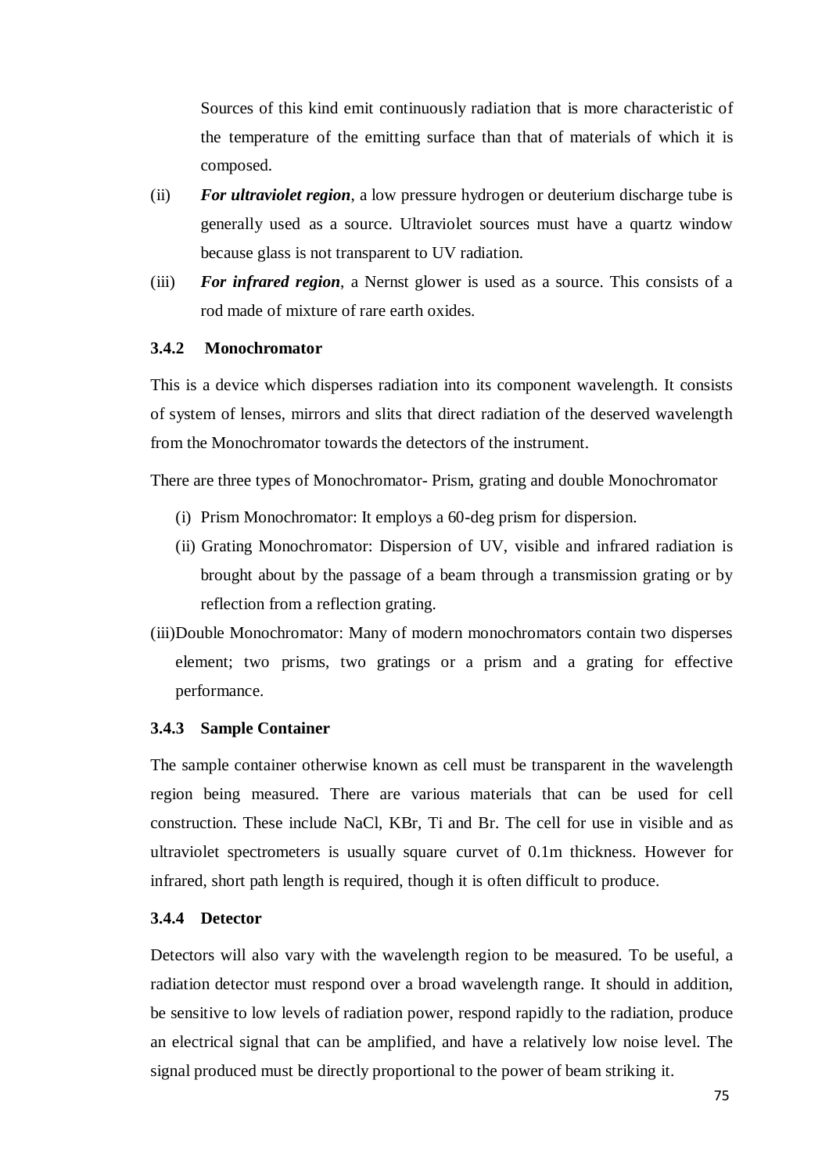Sources of this kind emit continuously radiation that is more characteristic of the temperature of the emitting surface than that of materials of which it is composed.

- (ii) *For ultraviolet region*, a low pressure hydrogen or deuterium discharge tube is generally used as a source. Ultraviolet sources must have a quartz window because glass is not transparent to UV radiation.
- (iii) *For infrared region*, a Nernst glower is used as a source. This consists of a rod made of mixture of rare earth oxides.

#### **3.4.2 Monochromator**

This is a device which disperses radiation into its component wavelength. It consists of system of lenses, mirrors and slits that direct radiation of the deserved wavelength from the Monochromator towards the detectors of the instrument.

There are three types of Monochromator- Prism, grating and double Monochromator

- (i) Prism Monochromator: It employs a 60-deg prism for dispersion.
- (ii) Grating Monochromator: Dispersion of UV, visible and infrared radiation is brought about by the passage of a beam through a transmission grating or by reflection from a reflection grating.
- (iii)Double Monochromator: Many of modern monochromators contain two disperses element; two prisms, two gratings or a prism and a grating for effective performance.

#### **3.4.3 Sample Container**

The sample container otherwise known as cell must be transparent in the wavelength region being measured. There are various materials that can be used for cell construction. These include NaCl, KBr, Ti and Br. The cell for use in visible and as ultraviolet spectrometers is usually square curvet of 0.1m thickness. However for infrared, short path length is required, though it is often difficult to produce.

#### **3.4.4 Detector**

Detectors will also vary with the wavelength region to be measured. To be useful, a radiation detector must respond over a broad wavelength range. It should in addition, be sensitive to low levels of radiation power, respond rapidly to the radiation, produce an electrical signal that can be amplified, and have a relatively low noise level. The signal produced must be directly proportional to the power of beam striking it.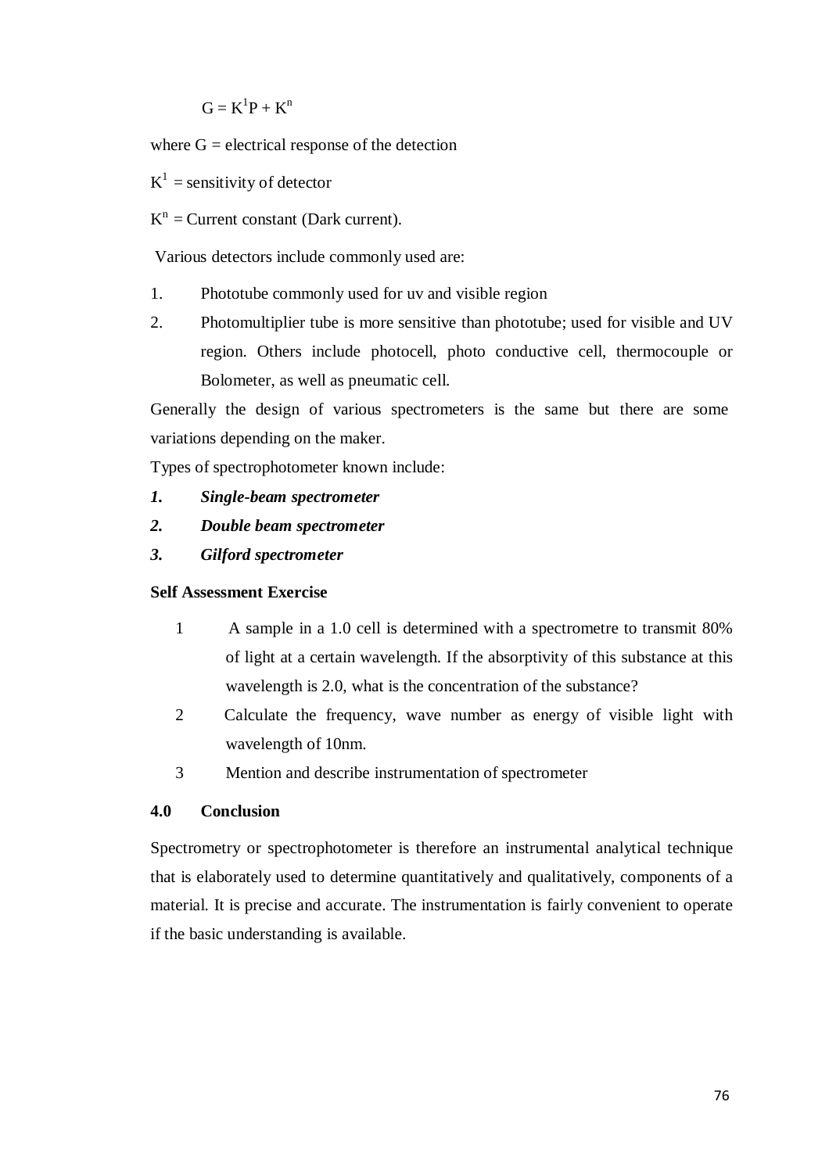$$
G=K^1P+K^n
$$

where  $G =$  electrical response of the detection

 $K^1$  = sensitivity of detector

 $K<sup>n</sup>$  = Current constant (Dark current).

Various detectors include commonly used are:

- 1. Phototube commonly used for uv and visible region
- 2. Photomultiplier tube is more sensitive than phototube; used for visible and UV region. Others include photocell, photo conductive cell, thermocouple or Bolometer, as well as pneumatic cell.

Generally the design of various spectrometers is the same but there are some variations depending on the maker.

Types of spectrophotometer known include:

- *1. Single-beam spectrometer*
- *2. Double beam spectrometer*
- *3. Gilford spectrometer*

#### **Self Assessment Exercise**

- 1 A sample in a 1.0 cell is determined with a spectrometre to transmit 80% of light at a certain wavelength. If the absorptivity of this substance at this wavelength is 2.0, what is the concentration of the substance?
- 2 Calculate the frequency, wave number as energy of visible light with wavelength of 10nm.
- 3 Mention and describe instrumentation of spectrometer

#### **4.0 Conclusion**

Spectrometry or spectrophotometer is therefore an instrumental analytical technique that is elaborately used to determine quantitatively and qualitatively, components of a material. It is precise and accurate. The instrumentation is fairly convenient to operate if the basic understanding is available.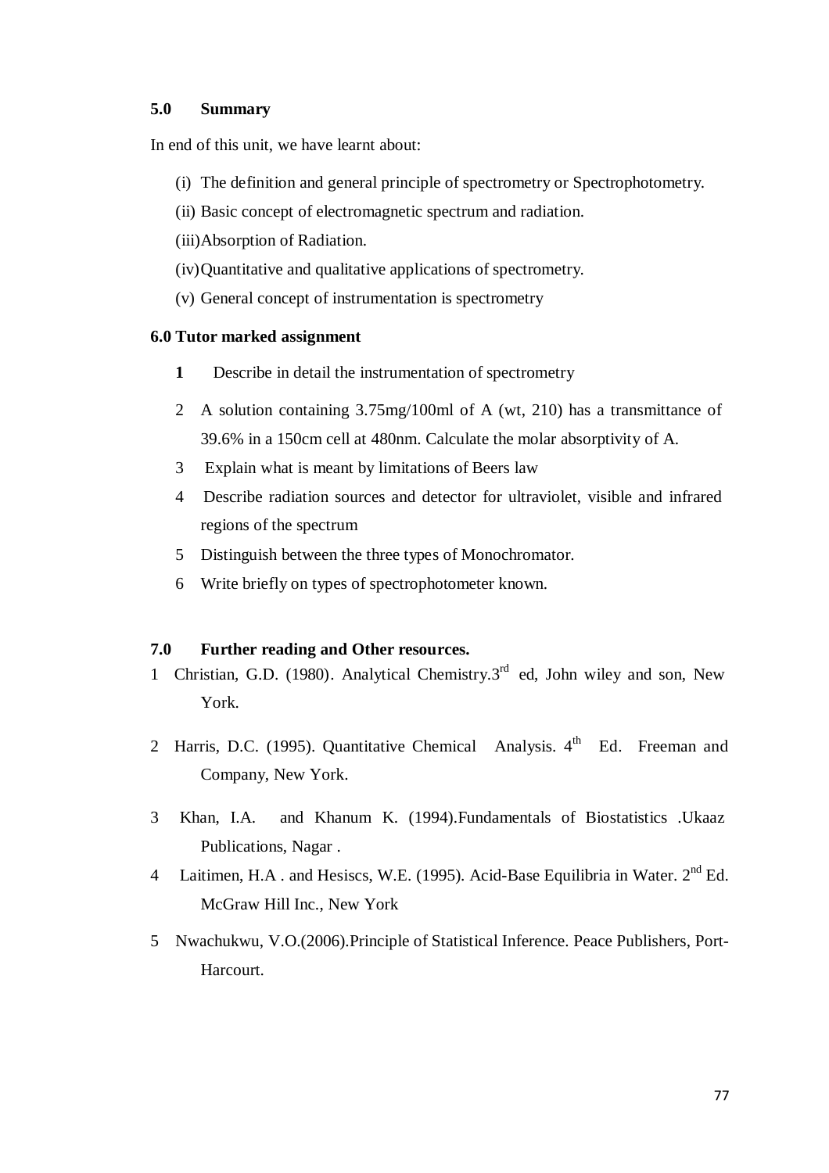#### **5.0 Summary**

In end of this unit, we have learnt about:

- (i) The definition and general principle of spectrometry or Spectrophotometry.
- (ii) Basic concept of electromagnetic spectrum and radiation.
- (iii)Absorption of Radiation.
- (iv) Quantitative and qualitative applications of spectrometry.
- (v) General concept of instrumentation is spectrometry

#### **6.0 Tutor marked assignment**

- **1** Describe in detail the instrumentation of spectrometry
- 2 A solution containing 3.75mg/100ml of A (wt, 210) has a transmittance of 39.6% in a 150cm cell at 480nm. Calculate the molar absorptivity of A.
- 3 Explain what is meant by limitations of Beers law
- 4 Describe radiation sources and detector for ultraviolet, visible and infrared regions of the spectrum
- 5 Distinguish between the three types of Monochromator.
- 6 Write briefly on types of spectrophotometer known.

#### **7.0 Further reading and Other resources.**

- 1 Christian, G.D. (1980). Analytical Chemistry.3<sup>rd</sup> ed, John wiley and son, New York.
- 2 Harris, D.C. (1995). Quantitative Chemical Analysis. 4<sup>th</sup> Ed. Freeman and Company, New York.
- 3 Khan, I.A. and Khanum K. (1994).Fundamentals of Biostatistics .Ukaaz Publications, Nagar .
- 4 Laitimen, H.A. and Hesiscs, W.E. (1995). Acid-Base Equilibria in Water. 2<sup>nd</sup> Ed. McGraw Hill Inc., New York
- 5 Nwachukwu, V.O.(2006).Principle of Statistical Inference. Peace Publishers, Port-Harcourt.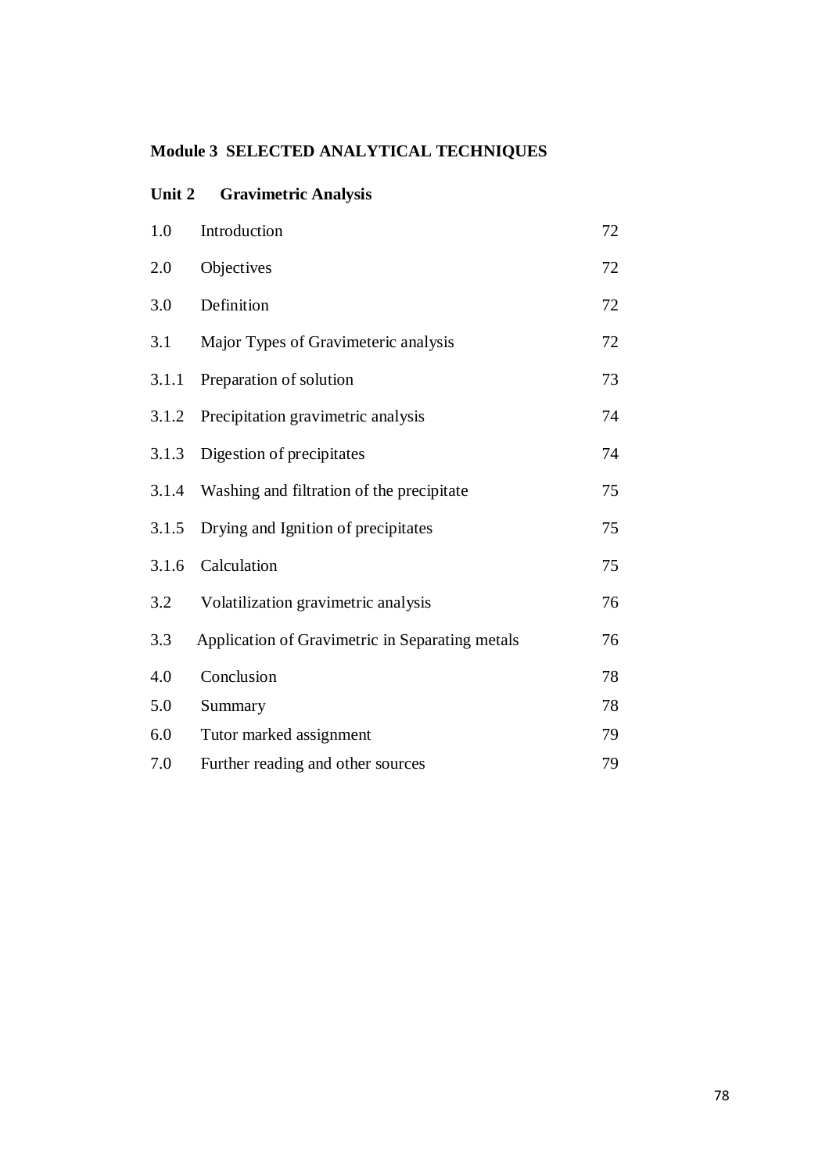# **Module 3 SELECTED ANALYTICAL TECHNIQUES**

| 1.0   | Introduction                                    | 72 |
|-------|-------------------------------------------------|----|
| 2.0   | Objectives                                      | 72 |
| 3.0   | Definition                                      | 72 |
| 3.1   | Major Types of Gravimeteric analysis            | 72 |
| 3.1.1 | Preparation of solution                         | 73 |
| 3.1.2 | Precipitation gravimetric analysis              | 74 |
| 3.1.3 | Digestion of precipitates                       | 74 |
| 3.1.4 | Washing and filtration of the precipitate       | 75 |
| 3.1.5 | Drying and Ignition of precipitates             | 75 |
| 3.1.6 | Calculation                                     | 75 |
| 3.2   | Volatilization gravimetric analysis             | 76 |
| 3.3   | Application of Gravimetric in Separating metals | 76 |
| 4.0   | Conclusion                                      | 78 |
| 5.0   | Summary                                         | 78 |
| 6.0   | Tutor marked assignment                         | 79 |
| 7.0   | Further reading and other sources               | 79 |

#### **Unit 2 Gravimetric Analysis**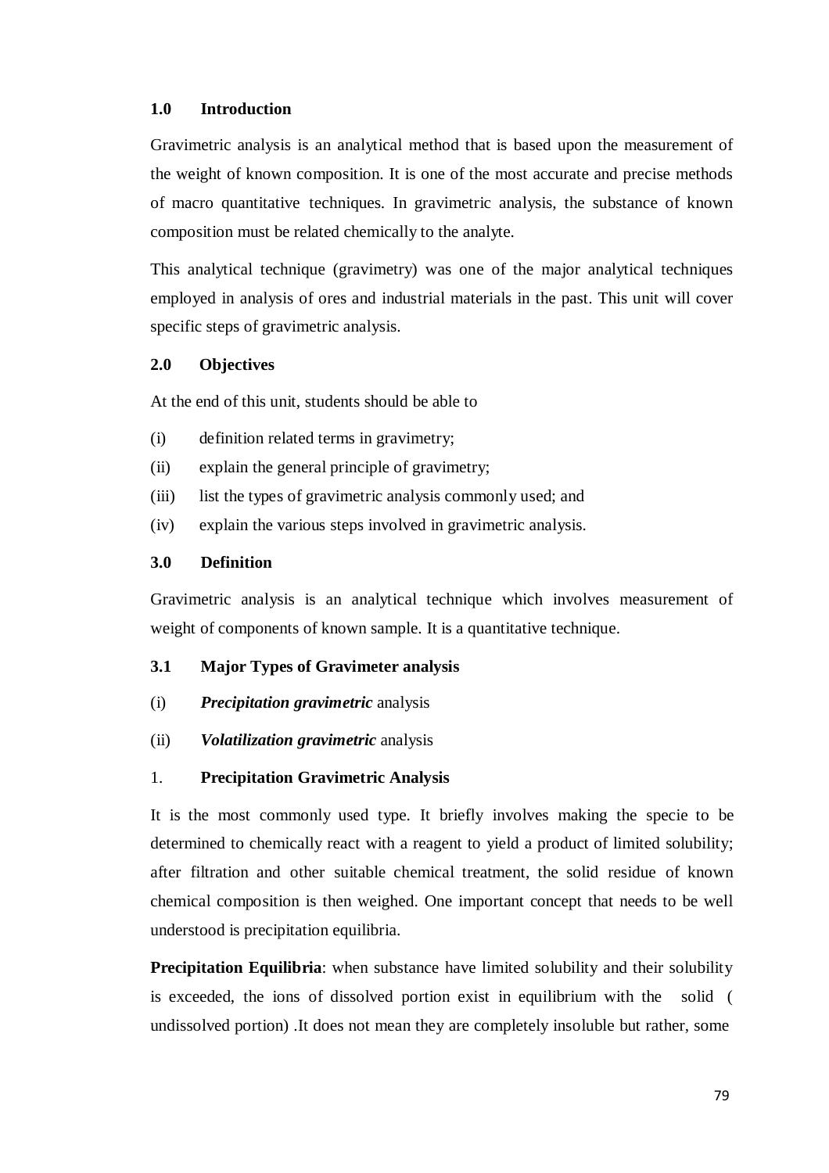#### **1.0 Introduction**

Gravimetric analysis is an analytical method that is based upon the measurement of the weight of known composition. It is one of the most accurate and precise methods of macro quantitative techniques. In gravimetric analysis, the substance of known composition must be related chemically to the analyte.

This analytical technique (gravimetry) was one of the major analytical techniques employed in analysis of ores and industrial materials in the past. This unit will cover specific steps of gravimetric analysis.

#### **2.0 Objectives**

At the end of this unit, students should be able to

- (i) definition related terms in gravimetry;
- (ii) explain the general principle of gravimetry;
- (iii) list the types of gravimetric analysis commonly used; and
- (iv) explain the various steps involved in gravimetric analysis.

#### **3.0 Definition**

Gravimetric analysis is an analytical technique which involves measurement of weight of components of known sample. It is a quantitative technique.

#### **3.1 Major Types of Gravimeter analysis**

- (i) *Precipitation gravimetric* analysis
- (ii) *Volatilization gravimetric* analysis

#### 1. **Precipitation Gravimetric Analysis**

It is the most commonly used type. It briefly involves making the specie to be determined to chemically react with a reagent to yield a product of limited solubility; after filtration and other suitable chemical treatment, the solid residue of known chemical composition is then weighed. One important concept that needs to be well understood is precipitation equilibria.

**Precipitation Equilibria**: when substance have limited solubility and their solubility is exceeded, the ions of dissolved portion exist in equilibrium with the solid ( undissolved portion) .It does not mean they are completely insoluble but rather, some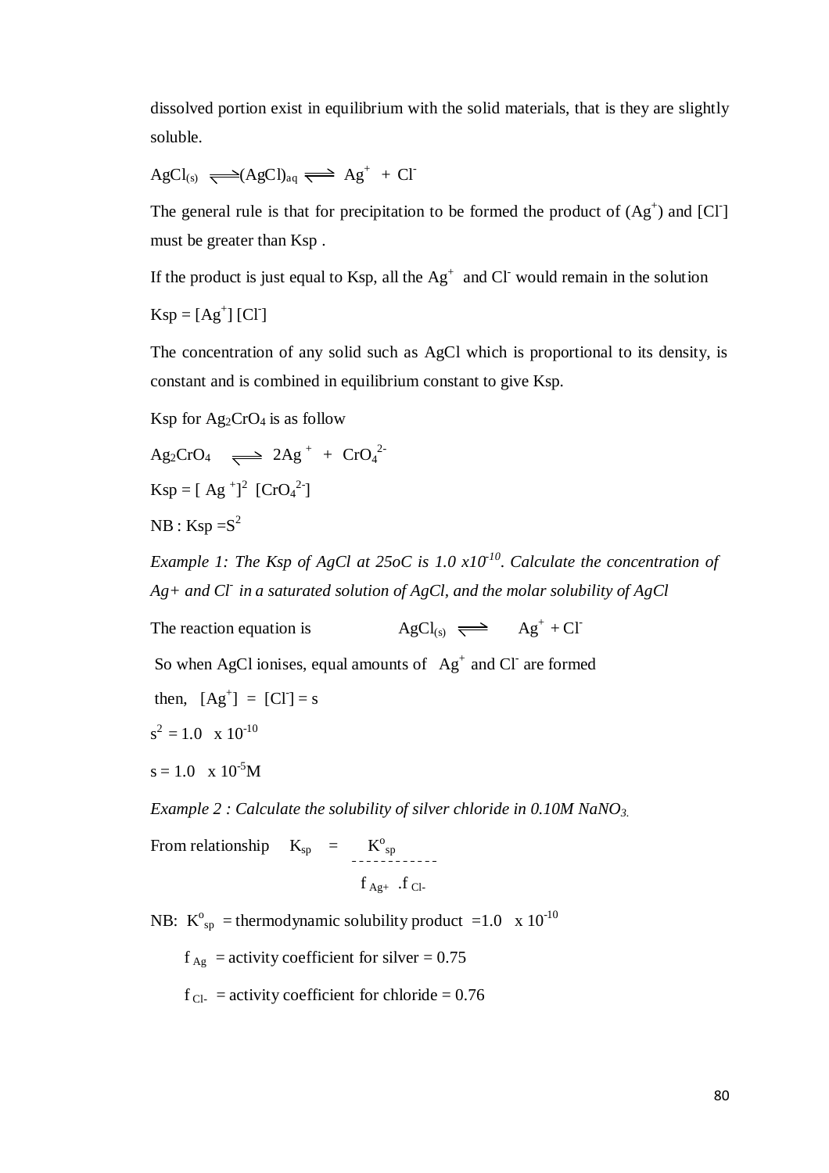dissolved portion exist in equilibrium with the solid materials, that is they are slightly soluble.

$$
AgCl_{(s)} \xrightarrow{\text{}} (AgCl)_{aq} \xleftarrow{\text{}} Ag^+ + Cl^-
$$

The general rule is that for precipitation to be formed the product of  $(Ag^+)$  and  $[CI]$ must be greater than Ksp .

If the product is just equal to Ksp, all the  $Ag^+$  and Cl would remain in the solution

 $Ksp = [Ag^+] [CI]$ 

The concentration of any solid such as AgCl which is proportional to its density, is constant and is combined in equilibrium constant to give Ksp.

Ksp for  $Ag_2CrO_4$  is as follow

$$
Ag_2CrO_4 \implies 2Ag^+ + CrO_4^{2-}
$$
  
\n
$$
Ksp = [Ag^+]^2 [CrO_4^{2-}]
$$
  
\n
$$
NB : Ksp = S^2
$$

*Example 1: The Ksp of AgCl at 25oC is 1.0 x10-10. Calculate the concentration of Ag+ and Cl- in a saturated solution of AgCl, and the molar solubility of AgCl*

The reaction equation is  $AgCl_{(s)} \implies Ag^+ + Cl^-$ 

So when AgCl ionises, equal amounts of  $Ag<sup>+</sup>$  and Cl are formed

then,  $[Ag^+] = [CI] = s$ 

$$
s^2 = 1.0 \times 10^{-10}
$$

$$
s=1.0 \quad x \; 10^{-5}M
$$

*Example 2 : Calculate the solubility of silver chloride in 0.10M NaNO3.*

From relationship  $K_{\text{sp}} = K_{\text{sp}}^{\text{o}}$  $f_{Ag+}$  .f  $_{Cl-}$ 

NB:  $K^{\circ}_{sp}$  = thermodynamic solubility product =1.0 x 10<sup>-10</sup>

 $f_{\text{Ag}}$  = activity coefficient for silver = 0.75

 $f_{\text{Cl-}}$  = activity coefficient for chloride = 0.76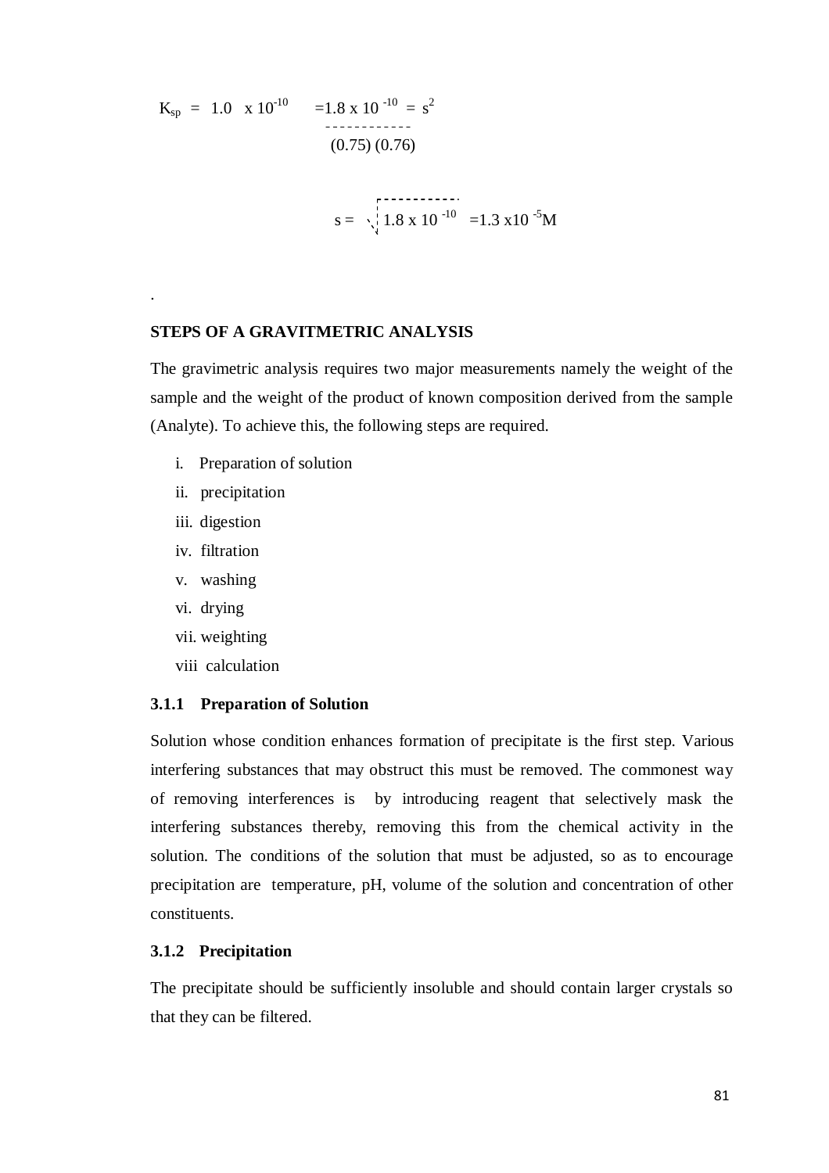$$
K_{sp} = 1.0 \times 10^{-10} = 1.8 \times 10^{-10} = s^{2}
$$
  
\n(0.75) (0.76)  
\n
$$
s = \sqrt{\frac{1.8 \times 10^{-10}}{1.8 \times 10^{-10}}} = 1.3 \times 10^{-5} M
$$

#### **STEPS OF A GRAVITMETRIC ANALYSIS**

The gravimetric analysis requires two major measurements namely the weight of the sample and the weight of the product of known composition derived from the sample (Analyte). To achieve this, the following steps are required.

- i. Preparation of solution
- ii. precipitation
- iii. digestion

.

- iv. filtration
- v. washing
- vi. drying
- vii. weighting
- viii calculation

#### **3.1.1 Preparation of Solution**

Solution whose condition enhances formation of precipitate is the first step. Various interfering substances that may obstruct this must be removed. The commonest way of removing interferences is by introducing reagent that selectively mask the interfering substances thereby, removing this from the chemical activity in the solution. The conditions of the solution that must be adjusted, so as to encourage precipitation are temperature, pH, volume of the solution and concentration of other constituents.

#### **3.1.2 Precipitation**

The precipitate should be sufficiently insoluble and should contain larger crystals so that they can be filtered.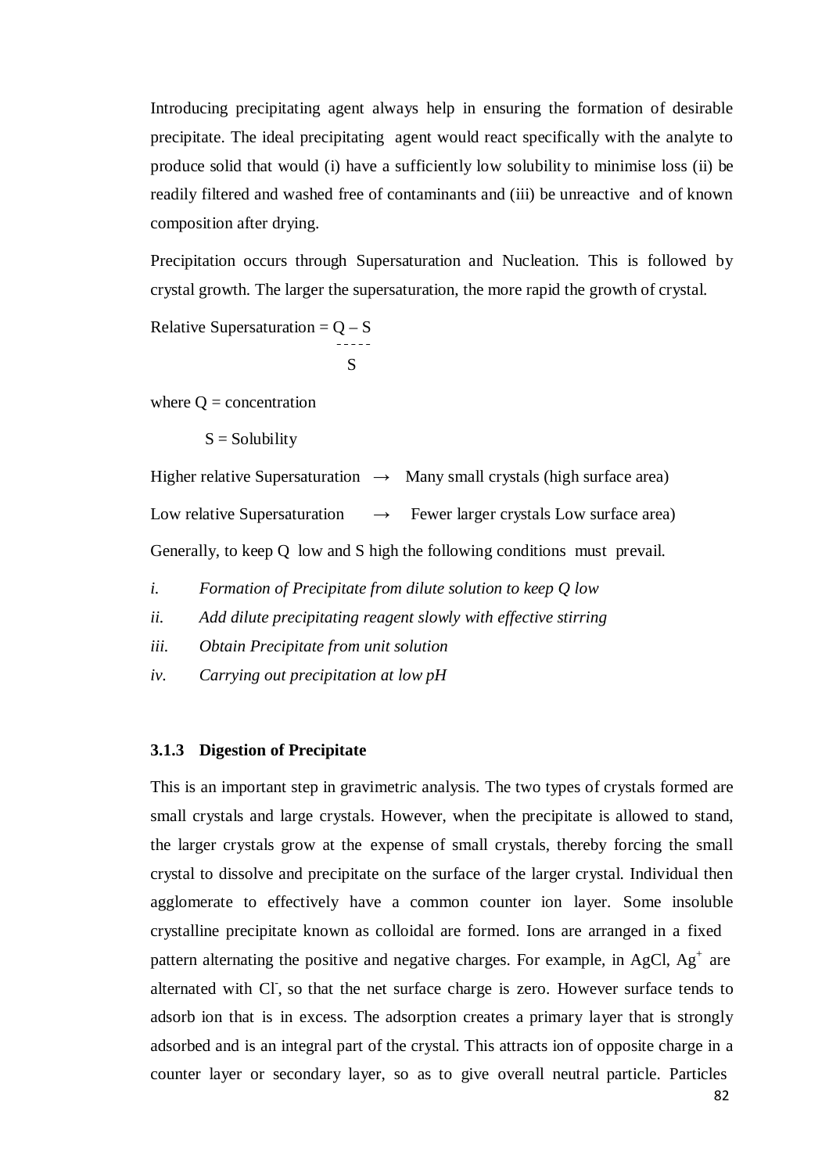Introducing precipitating agent always help in ensuring the formation of desirable precipitate. The ideal precipitating agent would react specifically with the analyte to produce solid that would (i) have a sufficiently low solubility to minimise loss (ii) be readily filtered and washed free of contaminants and (iii) be unreactive and of known composition after drying.

Precipitation occurs through Supersaturation and Nucleation. This is followed by crystal growth. The larger the supersaturation, the more rapid the growth of crystal.

Relative Supersaturation  $= Q - S$ 

$$
\mathbf{S}^-
$$

where  $Q =$  concentration

 $S =$  Solubility

Higher relative Supersaturation  $\rightarrow$  Many small crystals (high surface area) Low relative Supersaturation  $\rightarrow$  Fewer larger crystals Low surface area) Generally, to keep Q low and S high the following conditions must prevail.

- *i. Formation of Precipitate from dilute solution to keep Q low*
- *ii. Add dilute precipitating reagent slowly with effective stirring*
- *iii. Obtain Precipitate from unit solution*
- *iv. Carrying out precipitation at low pH*

#### **3.1.3 Digestion of Precipitate**

This is an important step in gravimetric analysis. The two types of crystals formed are small crystals and large crystals. However, when the precipitate is allowed to stand, the larger crystals grow at the expense of small crystals, thereby forcing the small crystal to dissolve and precipitate on the surface of the larger crystal. Individual then agglomerate to effectively have a common counter ion layer. Some insoluble crystalline precipitate known as colloidal are formed. Ions are arranged in a fixed pattern alternating the positive and negative charges. For example, in AgCl,  $Ag<sup>+</sup>$  are alternated with CI, so that the net surface charge is zero. However surface tends to adsorb ion that is in excess. The adsorption creates a primary layer that is strongly adsorbed and is an integral part of the crystal. This attracts ion of opposite charge in a counter layer or secondary layer, so as to give overall neutral particle. Particles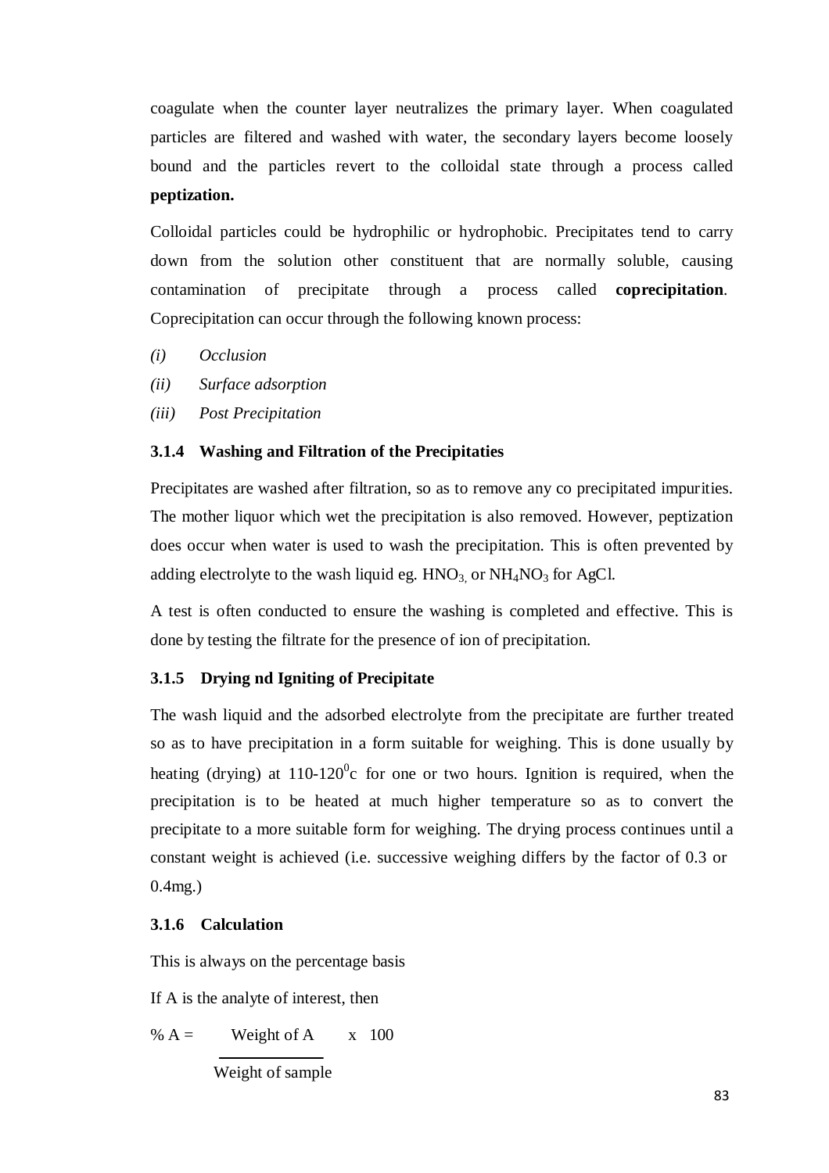coagulate when the counter layer neutralizes the primary layer. When coagulated particles are filtered and washed with water, the secondary layers become loosely bound and the particles revert to the colloidal state through a process called **peptization.**

Colloidal particles could be hydrophilic or hydrophobic. Precipitates tend to carry down from the solution other constituent that are normally soluble, causing contamination of precipitate through a process called **coprecipitation**. Coprecipitation can occur through the following known process:

- *(i) Occlusion*
- *(ii) Surface adsorption*
- *(iii) Post Precipitation*

# **3.1.4 Washing and Filtration of the Precipitaties**

Precipitates are washed after filtration, so as to remove any co precipitated impurities. The mother liquor which wet the precipitation is also removed. However, peptization does occur when water is used to wash the precipitation. This is often prevented by adding electrolyte to the wash liquid eg.  $HNO<sub>3</sub>$  or  $NH<sub>4</sub>NO<sub>3</sub>$  for AgCl.

A test is often conducted to ensure the washing is completed and effective. This is done by testing the filtrate for the presence of ion of precipitation.

# **3.1.5 Drying nd Igniting of Precipitate**

The wash liquid and the adsorbed electrolyte from the precipitate are further treated so as to have precipitation in a form suitable for weighing. This is done usually by heating (drying) at  $110-120^{\circ}$ c for one or two hours. Ignition is required, when the precipitation is to be heated at much higher temperature so as to convert the precipitate to a more suitable form for weighing. The drying process continues until a constant weight is achieved (i.e. successive weighing differs by the factor of 0.3 or 0.4mg.)

# **3.1.6 Calculation**

This is always on the percentage basis

If A is the analyte of interest, then

% 
$$
A =
$$
 Weight of A x 100  
Weight of sample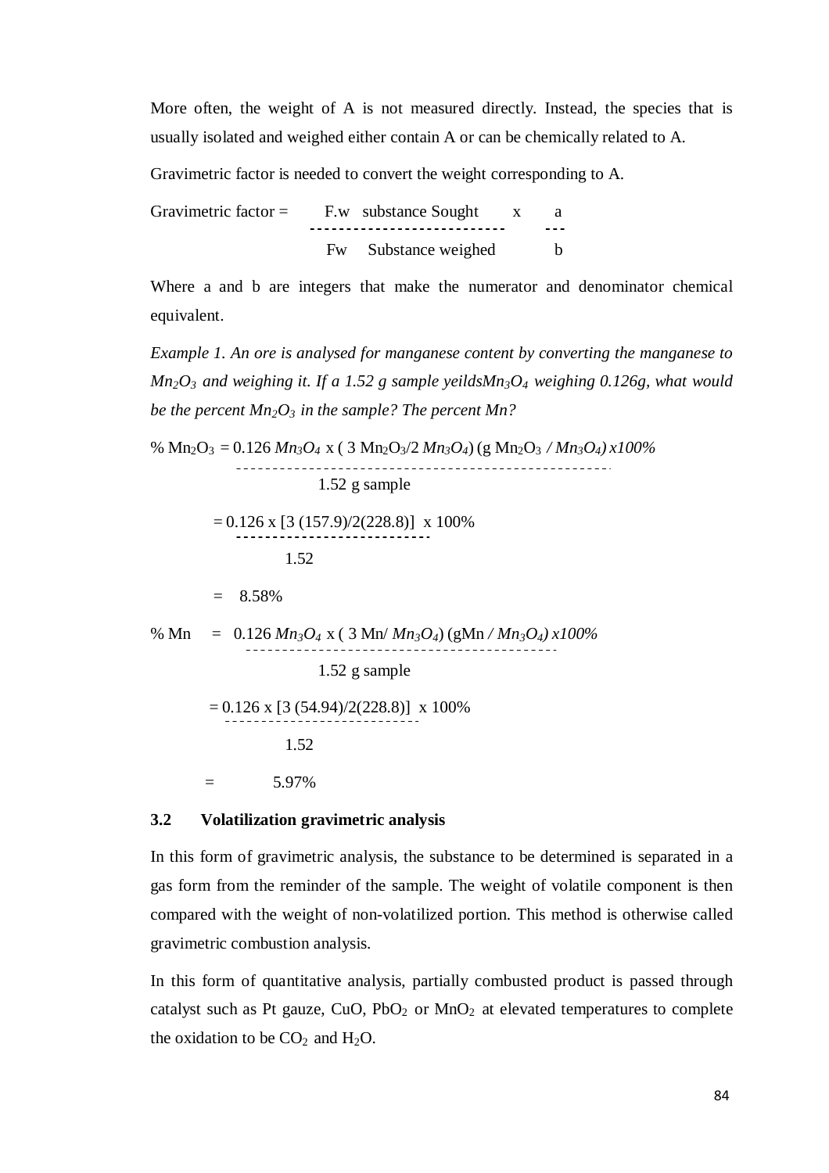More often, the weight of A is not measured directly. Instead, the species that is usually isolated and weighed either contain A or can be chemically related to A.

Gravimetric factor is needed to convert the weight corresponding to A.

Gravimetric factor  $=$  F.w substance Sought  $\quad x \quad a$ Fw Substance weighed b

Where a and b are integers that make the numerator and denominator chemical equivalent.

*Example 1. An ore is analysed for manganese content by converting the manganese to Mn2O3 and weighing it. If a 1.52 g sample yeildsMn3O4 weighing 0.126g, what would be the percent Mn2O3 in the sample? The percent Mn?*

% Mn2O3 = 0.126 *Mn3O4* x ( 3 Mn2O3/2 *Mn3O4*) (g Mn2O3 */ Mn3O4) x100%* \_\_\_\_\_\_\_\_\_\_\_\_\_\_\_\_\_\_\_\_\_\_\_\_\_\_\_\_\_ 1.52 g sample  $= 0.126$  x  $[3 (157.9)/2(228.8)]$  x 100% 1.52  $= 8.58\%$ % Mn =  $0.126 Mn_3O_4$  x ( $3 Mn/Mn_3O_4$ ) (gMn /  $Mn_3O_4$ ) x100% 1.52 g sample  $= 0.126$  x [3 (54.94)/2(228.8)] x 100% 1.52  $=$  5.97%

## **3.2 Volatilization gravimetric analysis**

In this form of gravimetric analysis, the substance to be determined is separated in a gas form from the reminder of the sample. The weight of volatile component is then compared with the weight of non-volatilized portion. This method is otherwise called gravimetric combustion analysis.

In this form of quantitative analysis, partially combusted product is passed through catalyst such as Pt gauze,  $CuO$ ,  $PbO<sub>2</sub>$  or  $MnO<sub>2</sub>$  at elevated temperatures to complete the oxidation to be  $CO<sub>2</sub>$  and  $H<sub>2</sub>O$ .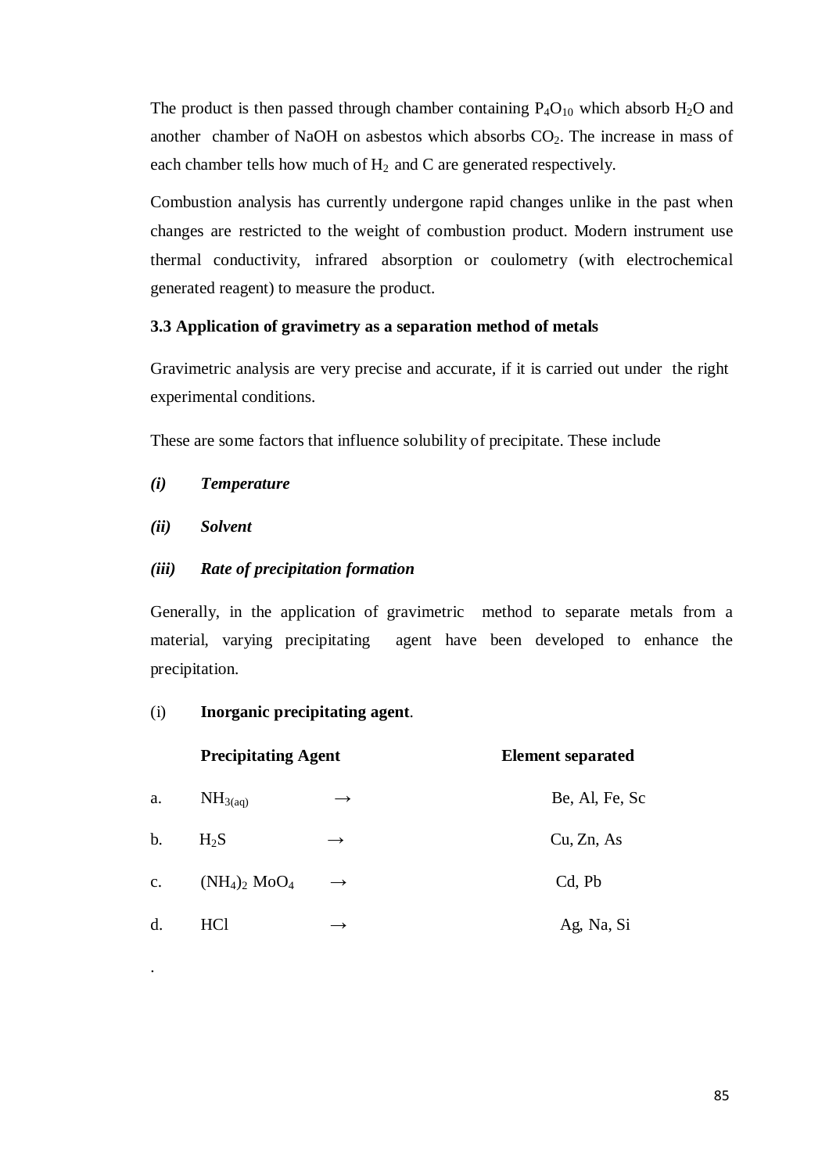The product is then passed through chamber containing  $P_4O_{10}$  which absorb  $H_2O$  and another chamber of NaOH on asbestos which absorbs  $CO<sub>2</sub>$ . The increase in mass of each chamber tells how much of  $H_2$  and C are generated respectively.

Combustion analysis has currently undergone rapid changes unlike in the past when changes are restricted to the weight of combustion product. Modern instrument use thermal conductivity, infrared absorption or coulometry (with electrochemical generated reagent) to measure the product.

# **3.3 Application of gravimetry as a separation method of metals**

Gravimetric analysis are very precise and accurate, if it is carried out under the right experimental conditions.

These are some factors that influence solubility of precipitate. These include

- *(i) Temperature*
- *(ii) Solvent*

.

# *(iii) Rate of precipitation formation*

Generally, in the application of gravimetric method to separate metals from a material, varying precipitating agent have been developed to enhance the precipitation.

#### (i) **Inorganic precipitating agent**.

|                | <b>Precipitating Agent</b>  |               | <b>Element separated</b> |  |
|----------------|-----------------------------|---------------|--------------------------|--|
| a.             | NH <sub>3(aq)</sub>         | $\rightarrow$ | Be, Al, Fe, Sc           |  |
| $\mathbf b$ .  | $H_2S$                      | $\rightarrow$ | Cu, Zn, As               |  |
| $\mathbf{c}$ . | $(NH_4)_2$ MoO <sub>4</sub> | $\rightarrow$ | Cd, Pb                   |  |
| d.             | HCl                         |               | Ag, Na, Si               |  |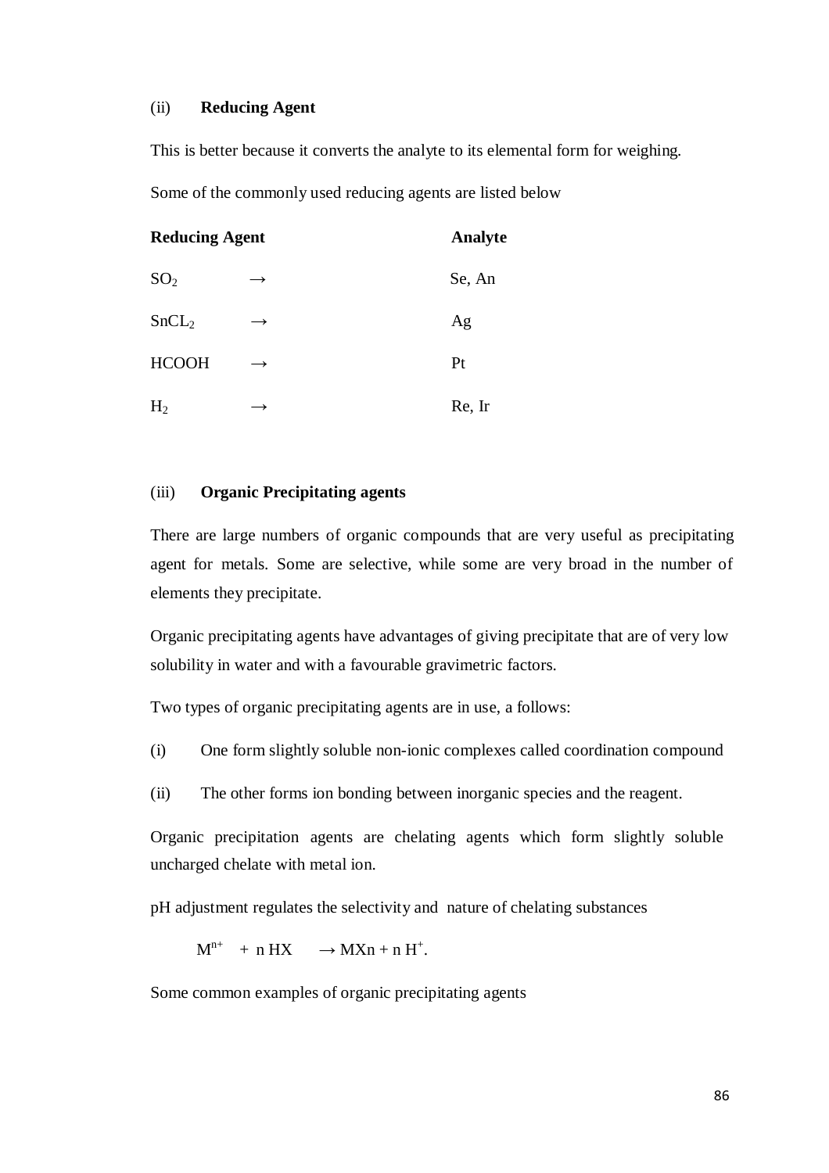# (ii) **Reducing Agent**

This is better because it converts the analyte to its elemental form for weighing.

Some of the commonly used reducing agents are listed below

| <b>Reducing Agent</b> |               | Analyte |
|-----------------------|---------------|---------|
| SO <sub>2</sub>       | $\rightarrow$ | Se, An  |
| SnCL <sub>2</sub>     | $\rightarrow$ | Ag      |
| <b>HCOOH</b>          | $\rightarrow$ | Pt      |
| H <sub>2</sub>        | $\rightarrow$ | Re, Ir  |

#### (iii) **Organic Precipitating agents**

There are large numbers of organic compounds that are very useful as precipitating agent for metals. Some are selective, while some are very broad in the number of elements they precipitate.

Organic precipitating agents have advantages of giving precipitate that are of very low solubility in water and with a favourable gravimetric factors.

Two types of organic precipitating agents are in use, a follows:

- (i) One form slightly soluble non-ionic complexes called coordination compound
- (ii) The other forms ion bonding between inorganic species and the reagent.

Organic precipitation agents are chelating agents which form slightly soluble uncharged chelate with metal ion.

pH adjustment regulates the selectivity and nature of chelating substances

 $M^{n+}$  + n HX  $\rightarrow$  MXn + n H<sup>+</sup>.

Some common examples of organic precipitating agents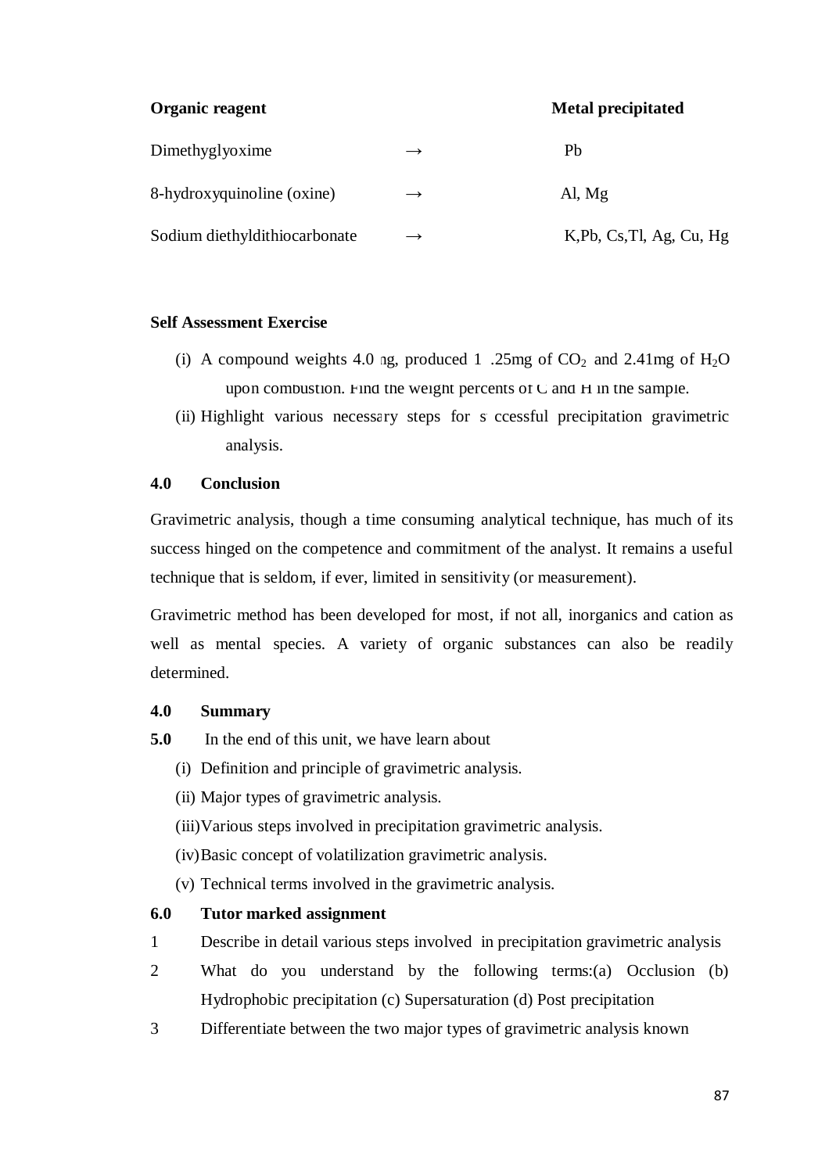**Organic reagent Metal precipitated** 

| Dimethyglyoxime               | $\rightarrow$ | Ph                        |
|-------------------------------|---------------|---------------------------|
| 8-hydroxyquinoline (oxine)    | $\rightarrow$ | Al, $Mg$                  |
| Sodium diethyldithiocarbonate | $\rightarrow$ | K, Pb, Cs, Tl, Ag, Cu, Hg |

#### **Self Assessment Exercise**

- (i) A compound weights 4.0 ng, produced 1 .25mg of  $CO_2$  and 2.41mg of  $H_2O$ upon combustion. Find the weight percents of C and H in the sample.
- (ii) Highlight various necessary steps for s ccessful precipitation gravimetric analysis.

#### **4.0 Conclusion**

Gravimetric analysis, though a time consuming analytical technique, has much of its success hinged on the competence and commitment of the analyst. It remains a useful technique that is seldom, if ever, limited in sensitivity (or measurement).

Gravimetric method has been developed for most, if not all, inorganics and cation as well as mental species. A variety of organic substances can also be readily determined.

# **4.0 Summary**

- **5.0** In the end of this unit, we have learn about
	- (i) Definition and principle of gravimetric analysis.
	- (ii) Major types of gravimetric analysis.
	- (iii)Various steps involved in precipitation gravimetric analysis.
	- (iv) Basic concept of volatilization gravimetric analysis.
	- (v) Technical terms involved in the gravimetric analysis.

# **6.0 Tutor marked assignment**

- 1 Describe in detail various steps involved in precipitation gravimetric analysis
- 2 What do you understand by the following terms:(a) Occlusion (b) Hydrophobic precipitation (c) Supersaturation (d) Post precipitation
- 3 Differentiate between the two major types of gravimetric analysis known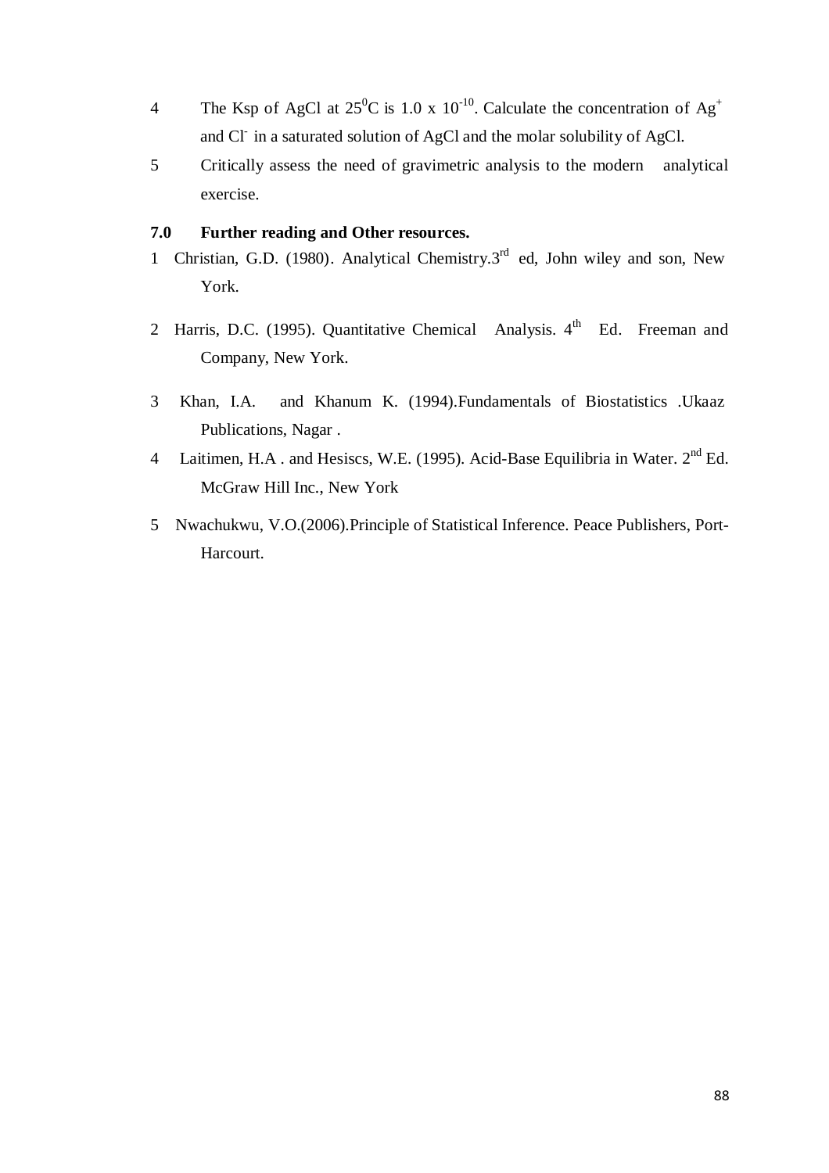- 4 The Ksp of AgCl at  $25^{\circ}$ C is 1.0 x 10<sup>-10</sup>. Calculate the concentration of Ag<sup>+</sup> and Cl- in a saturated solution of AgCl and the molar solubility of AgCl.
- 5 Critically assess the need of gravimetric analysis to the modern analytical exercise.

#### **7.0 Further reading and Other resources.**

- 1 Christian, G.D. (1980). Analytical Chemistry.3<sup>rd</sup> ed, John wiley and son, New York.
- 2 Harris, D.C. (1995). Quantitative Chemical Analysis.  $4<sup>th</sup>$  Ed. Freeman and Company, New York.
- 3 Khan, I.A. and Khanum K. (1994).Fundamentals of Biostatistics .Ukaaz Publications, Nagar .
- 4 Laitimen, H.A. and Hesiscs, W.E. (1995). Acid-Base Equilibria in Water. 2<sup>nd</sup> Ed. McGraw Hill Inc., New York
- 5 Nwachukwu, V.O.(2006).Principle of Statistical Inference. Peace Publishers, Port-Harcourt.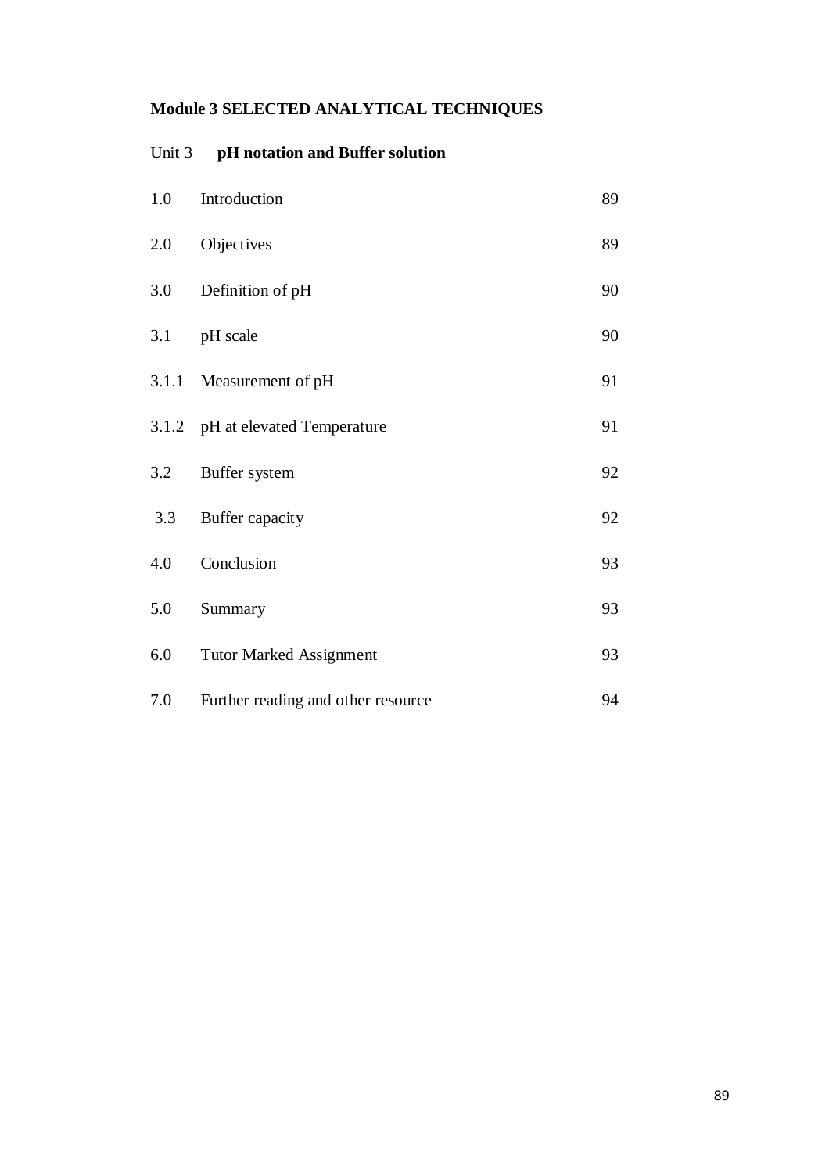# **Module 3 SELECTED ANALYTICAL TECHNIQUES**

# Unit 3 **pH notation and Buffer solution**

| 1.0   | Introduction                       | 89 |
|-------|------------------------------------|----|
| 2.0   | Objectives                         | 89 |
| 3.0   | Definition of pH                   | 90 |
| 3.1   | pH scale                           | 90 |
| 3.1.1 | Measurement of pH                  | 91 |
|       | 3.1.2 pH at elevated Temperature   | 91 |
| 3.2   | Buffer system                      | 92 |
| 3.3   | Buffer capacity                    | 92 |
| 4.0   | Conclusion                         | 93 |
| 5.0   | Summary                            | 93 |
| 6.0   | <b>Tutor Marked Assignment</b>     | 93 |
| 7.0   | Further reading and other resource | 94 |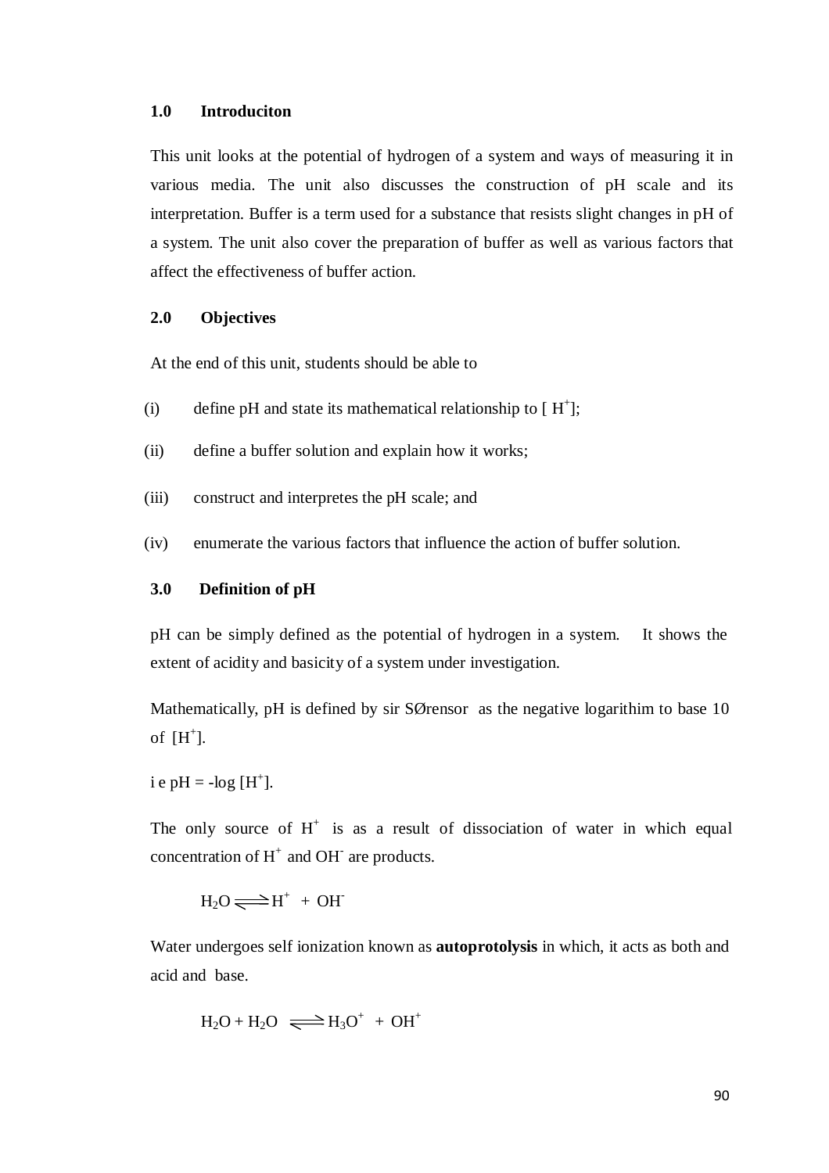#### **1.0 Introduciton**

This unit looks at the potential of hydrogen of a system and ways of measuring it in various media. The unit also discusses the construction of pH scale and its interpretation. Buffer is a term used for a substance that resists slight changes in pH of a system. The unit also cover the preparation of buffer as well as various factors that affect the effectiveness of buffer action.

#### **2.0 Objectives**

At the end of this unit, students should be able to

- (i) define pH and state its mathematical relationship to  $[H^+]$ ;
- (ii) define a buffer solution and explain how it works;
- (iii) construct and interpretes the pH scale; and
- (iv) enumerate the various factors that influence the action of buffer solution.

#### **3.0 Definition of pH**

pH can be simply defined as the potential of hydrogen in a system. It shows the extent of acidity and basicity of a system under investigation.

Mathematically, pH is defined by sir SØrensor as the negative logarithim to base 10 of  $[H^+]$ .

i e pH =  $-log[H^+]$ .

The only source of  $H^+$  is as a result of dissociation of water in which equal concentration of  $H^+$  and OH<sup>-</sup> are products.

$$
H_2O\!\rightleftharpoons\!\H^+\,+\,OH
$$

Water undergoes self ionization known as **autoprotolysis** in which, it acts as both and acid and base.

$$
H_2O + H_2O \implies H_3O^+ + OH^+
$$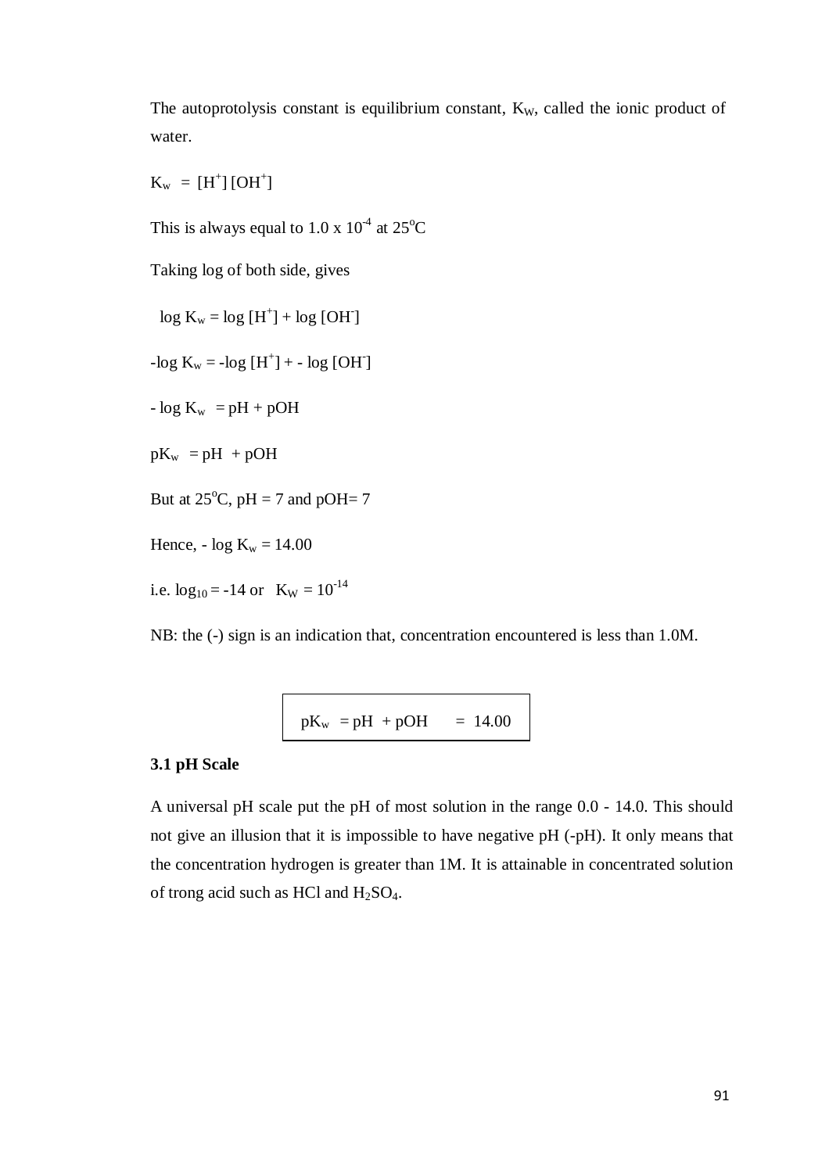The autoprotolysis constant is equilibrium constant,  $K_W$ , called the ionic product of water.

 $K_w = [H^+] [OH^+]$ 

This is always equal to  $1.0 \times 10^{-4}$  at  $25^{\circ}$ C

Taking log of both side, gives

 $log K_w = log [H^+] + log [OH^-]$  $-log K_w = -log [H^+] + - log [OH]$  $- \log K_w = pH + pOH$  $pK_w = pH + pOH$ But at  $25^{\circ}$ C, pH = 7 and pOH= 7 Hence, -  $log K_w = 14.00$ i.e.  $log_{10} = -14$  or  $K_W = 10^{-14}$ 

NB: the (-) sign is an indication that, concentration encountered is less than 1.0M.

$$
pK_w = pH + pOH = 14.00
$$

#### **3.1 pH Scale**

A universal pH scale put the pH of most solution in the range 0.0 - 14.0. This should not give an illusion that it is impossible to have negative pH (-pH). It only means that the concentration hydrogen is greater than 1M. It is attainable in concentrated solution of trong acid such as HCl and  $H_2SO_4$ .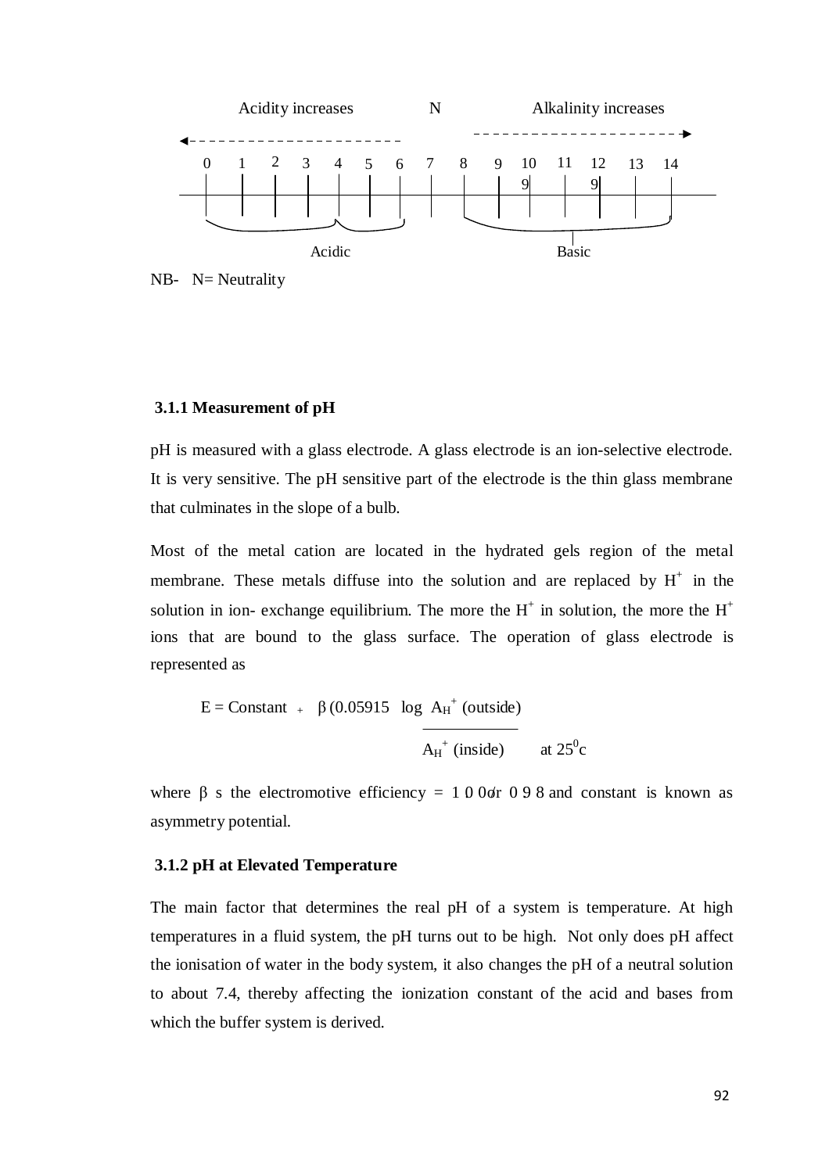

NB-  $N=$  Neutrality

#### **3.1.1 Measurement of pH**

pH is measured with a glass electrode. A glass electrode is an ion-selective electrode. It is very sensitive. The pH sensitive part of the electrode is the thin glass membrane that culminates in the slope of a bulb.

Most of the metal cation are located in the hydrated gels region of the metal membrane. These metals diffuse into the solution and are replaced by  $H^+$  in the solution in ion- exchange equilibrium. The more the  $H^+$  in solution, the more the  $H^+$ ions that are bound to the glass surface. The operation of glass electrode is represented as

$$
E = \text{Constant}_{+} \beta (0.05915 \log A_{H}^{+} \text{ (outside)}
$$
  
A<sub>H</sub><sup>+</sup> (inside) at 25<sup>0</sup>c

where  $\beta$  s the electromotive efficiency = 1 0 0or 0 9 8 and constant is known as asymmetry potential.

#### **3.1.2 pH at Elevated Temperature**

The main factor that determines the real pH of a system is temperature. At high temperatures in a fluid system, the pH turns out to be high. Not only does pH affect the ionisation of water in the body system, it also changes the pH of a neutral solution to about 7.4, thereby affecting the ionization constant of the acid and bases from which the buffer system is derived.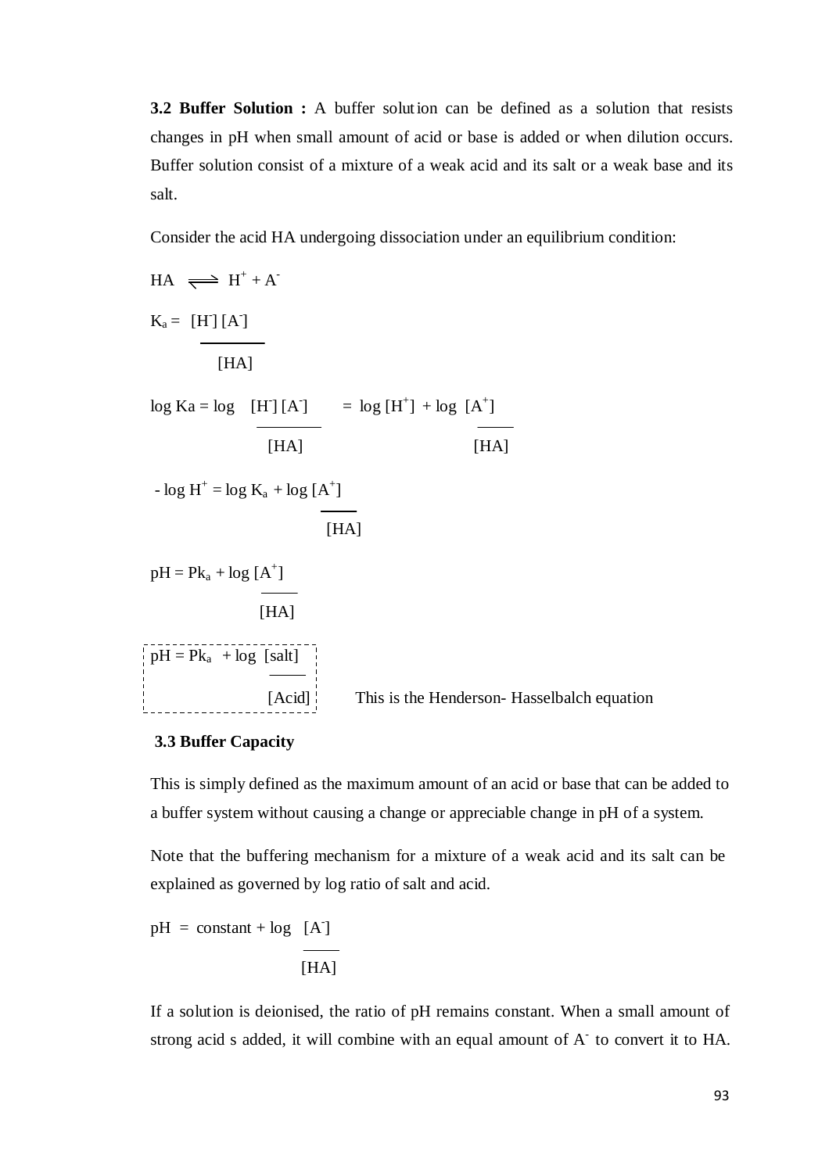**3.2 Buffer Solution :** A buffer solution can be defined as a solution that resists changes in pH when small amount of acid or base is added or when dilution occurs. Buffer solution consist of a mixture of a weak acid and its salt or a weak base and its salt.

Consider the acid HA undergoing dissociation under an equilibrium condition:

 $HA \implies H^+ + A^ K_a = [H][A]$  $[HA]$  $\log$  Ka =  $\log$  [H<sup>-</sup>] [A<sup>-</sup>] =  $\log$  [H<sup>+</sup>] +  $\log$  [A<sup>+</sup>]  $[HA]$   $[HA]$  $- \log H^+ = \log K_a + \log [A^+]$ [HA]  $pH = Pk_a + log [A^+]$ [HA]  $pH = Pk_a + log$  [salt] [Acid] This is the Henderson- Hasselbalch equation

# **3.3 Buffer Capacity**

This is simply defined as the maximum amount of an acid or base that can be added to a buffer system without causing a change or appreciable change in pH of a system.

Note that the buffering mechanism for a mixture of a weak acid and its salt can be explained as governed by log ratio of salt and acid.

$$
pH = constant + log [A]
$$
  
 [HA]

If a solution is deionised, the ratio of pH remains constant. When a small amount of strong acid s added, it will combine with an equal amount of  $A<sup>-</sup>$  to convert it to HA.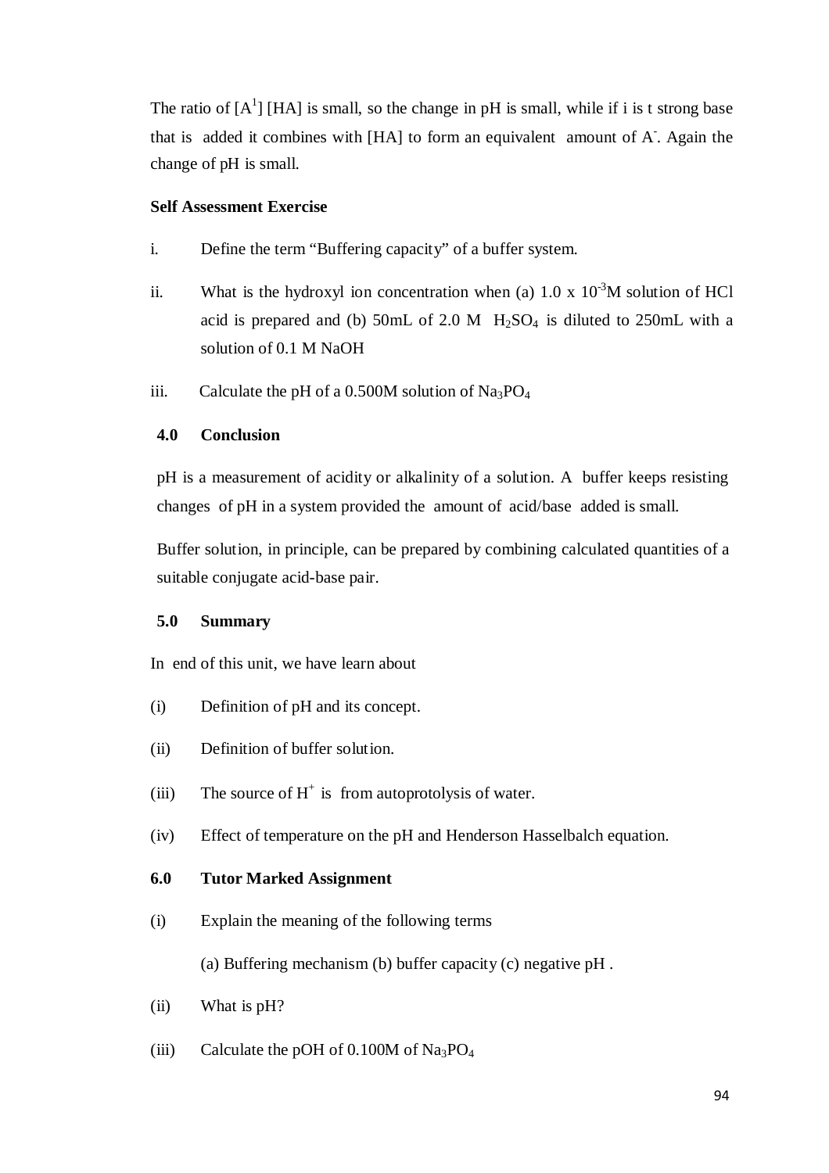The ratio of  $[A^1]$  [HA] is small, so the change in pH is small, while if i is t strong base that is added it combines with [HA] to form an equivalent amount of A. Again the change of pH is small.

# **Self Assessment Exercise**

- i. Define the term "Buffering capacity" of a buffer system.
- ii. What is the hydroxyl ion concentration when (a)  $1.0 \times 10^{-3}$ M solution of HCl acid is prepared and (b) 50mL of 2.0 M  $H_2SO_4$  is diluted to 250mL with a solution of 0.1 M NaOH
- iii. Calculate the pH of a 0.500M solution of  $Na<sub>3</sub>PO<sub>4</sub>$

# **4.0 Conclusion**

pH is a measurement of acidity or alkalinity of a solution. A buffer keeps resisting changes of pH in a system provided the amount of acid/base added is small.

Buffer solution, in principle, can be prepared by combining calculated quantities of a suitable conjugate acid-base pair.

#### **5.0 Summary**

In end of this unit, we have learn about

- (i) Definition of pH and its concept.
- (ii) Definition of buffer solut ion.
- (iii) The source of  $H^+$  is from autoprotolysis of water.
- (iv) Effect of temperature on the pH and Henderson Hasselbalch equation.

# **6.0 Tutor Marked Assignment**

(i) Explain the meaning of the following terms

(a) Buffering mechanism (b) buffer capacity (c) negative pH .

- (ii) What is pH?
- (iii) Calculate the pOH of  $0.100M$  of Na<sub>3</sub>PO<sub>4</sub>